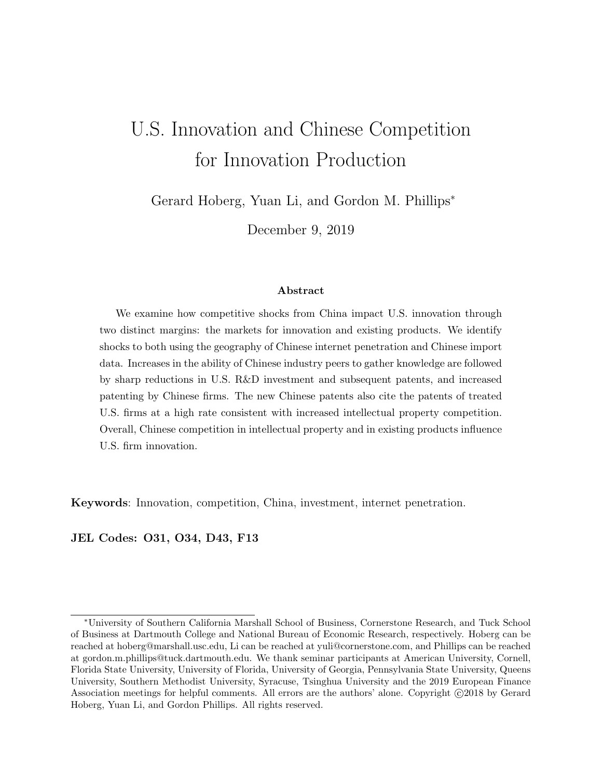# U.S. Innovation and Chinese Competition for Innovation Production

Gerard Hoberg, Yuan Li, and Gordon M. Phillips<sup>∗</sup>

December 9, 2019

### Abstract

We examine how competitive shocks from China impact U.S. innovation through two distinct margins: the markets for innovation and existing products. We identify shocks to both using the geography of Chinese internet penetration and Chinese import data. Increases in the ability of Chinese industry peers to gather knowledge are followed by sharp reductions in U.S. R&D investment and subsequent patents, and increased patenting by Chinese firms. The new Chinese patents also cite the patents of treated U.S. firms at a high rate consistent with increased intellectual property competition. Overall, Chinese competition in intellectual property and in existing products influence U.S. firm innovation.

Keywords: Innovation, competition, China, investment, internet penetration.

JEL Codes: O31, O34, D43, F13

<sup>∗</sup>University of Southern California Marshall School of Business, Cornerstone Research, and Tuck School of Business at Dartmouth College and National Bureau of Economic Research, respectively. Hoberg can be reached at hoberg@marshall.usc.edu, Li can be reached at yuli@cornerstone.com, and Phillips can be reached at gordon.m.phillips@tuck.dartmouth.edu. We thank seminar participants at American University, Cornell, Florida State University, University of Florida, University of Georgia, Pennsylvania State University, Queens University, Southern Methodist University, Syracuse, Tsinghua University and the 2019 European Finance Association meetings for helpful comments. All errors are the authors' alone. Copyright  $\odot$ 2018 by Gerard Hoberg, Yuan Li, and Gordon Phillips. All rights reserved.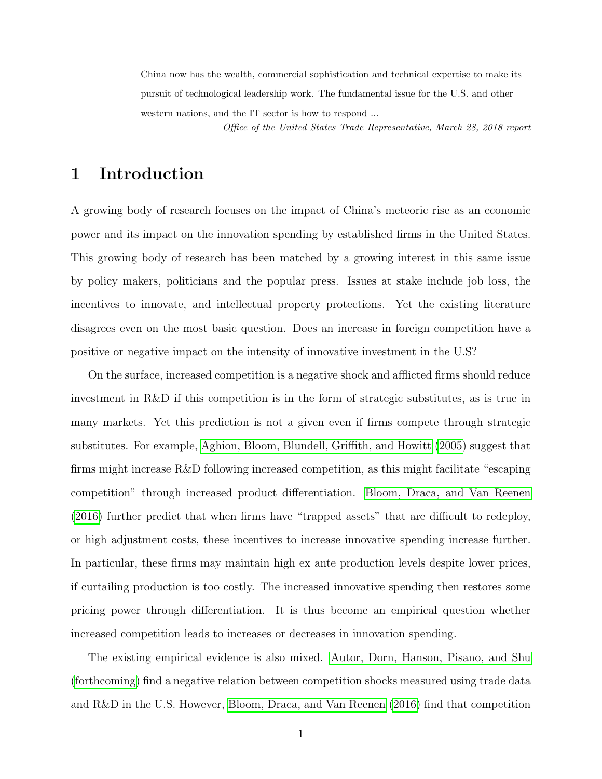China now has the wealth, commercial sophistication and technical expertise to make its pursuit of technological leadership work. The fundamental issue for the U.S. and other western nations, and the IT sector is how to respond ... Office of the United States Trade Representative, March 28, 2018 report

# 1 Introduction

A growing body of research focuses on the impact of China's meteoric rise as an economic power and its impact on the innovation spending by established firms in the United States. This growing body of research has been matched by a growing interest in this same issue by policy makers, politicians and the popular press. Issues at stake include job loss, the incentives to innovate, and intellectual property protections. Yet the existing literature disagrees even on the most basic question. Does an increase in foreign competition have a positive or negative impact on the intensity of innovative investment in the U.S?

On the surface, increased competition is a negative shock and afflicted firms should reduce investment in R&D if this competition is in the form of strategic substitutes, as is true in many markets. Yet this prediction is not a given even if firms compete through strategic substitutes. For example, [Aghion, Bloom, Blundell, Griffith, and Howitt](#page-34-0) [\(2005\)](#page-34-0) suggest that firms might increase R&D following increased competition, as this might facilitate "escaping competition" through increased product differentiation. [Bloom, Draca, and Van Reenen](#page-34-1) [\(2016\)](#page-34-1) further predict that when firms have "trapped assets" that are difficult to redeploy, or high adjustment costs, these incentives to increase innovative spending increase further. In particular, these firms may maintain high ex ante production levels despite lower prices, if curtailing production is too costly. The increased innovative spending then restores some pricing power through differentiation. It is thus become an empirical question whether increased competition leads to increases or decreases in innovation spending.

The existing empirical evidence is also mixed. [Autor, Dorn, Hanson, Pisano, and Shu](#page-34-2) [\(forthcoming\)](#page-34-2) find a negative relation between competition shocks measured using trade data and R&D in the U.S. However, [Bloom, Draca, and Van Reenen](#page-34-1) [\(2016\)](#page-34-1) find that competition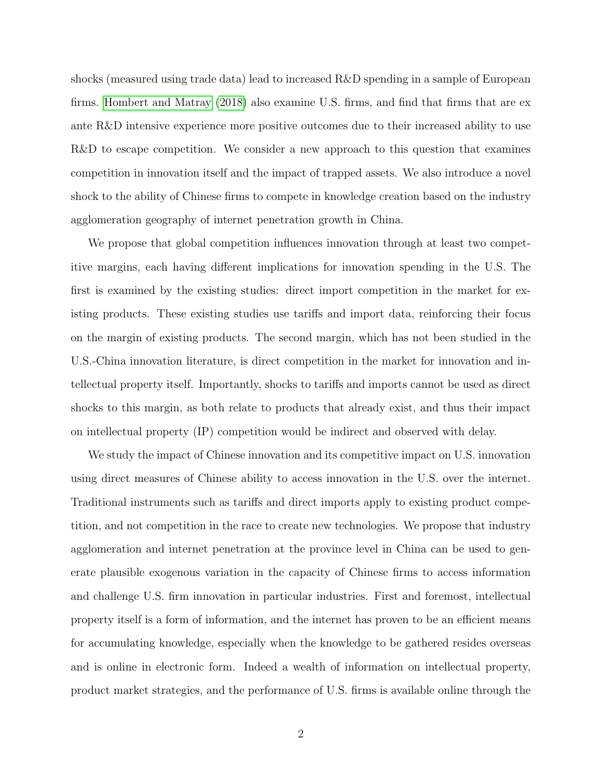shocks (measured using trade data) lead to increased R&D spending in a sample of European firms. [Hombert and Matray](#page-34-3) [\(2018\)](#page-34-3) also examine U.S. firms, and find that firms that are ex ante R&D intensive experience more positive outcomes due to their increased ability to use R&D to escape competition. We consider a new approach to this question that examines competition in innovation itself and the impact of trapped assets. We also introduce a novel shock to the ability of Chinese firms to compete in knowledge creation based on the industry agglomeration geography of internet penetration growth in China.

We propose that global competition influences innovation through at least two competitive margins, each having different implications for innovation spending in the U.S. The first is examined by the existing studies: direct import competition in the market for existing products. These existing studies use tariffs and import data, reinforcing their focus on the margin of existing products. The second margin, which has not been studied in the U.S.-China innovation literature, is direct competition in the market for innovation and intellectual property itself. Importantly, shocks to tariffs and imports cannot be used as direct shocks to this margin, as both relate to products that already exist, and thus their impact on intellectual property (IP) competition would be indirect and observed with delay.

We study the impact of Chinese innovation and its competitive impact on U.S. innovation using direct measures of Chinese ability to access innovation in the U.S. over the internet. Traditional instruments such as tariffs and direct imports apply to existing product competition, and not competition in the race to create new technologies. We propose that industry agglomeration and internet penetration at the province level in China can be used to generate plausible exogenous variation in the capacity of Chinese firms to access information and challenge U.S. firm innovation in particular industries. First and foremost, intellectual property itself is a form of information, and the internet has proven to be an efficient means for accumulating knowledge, especially when the knowledge to be gathered resides overseas and is online in electronic form. Indeed a wealth of information on intellectual property, product market strategies, and the performance of U.S. firms is available online through the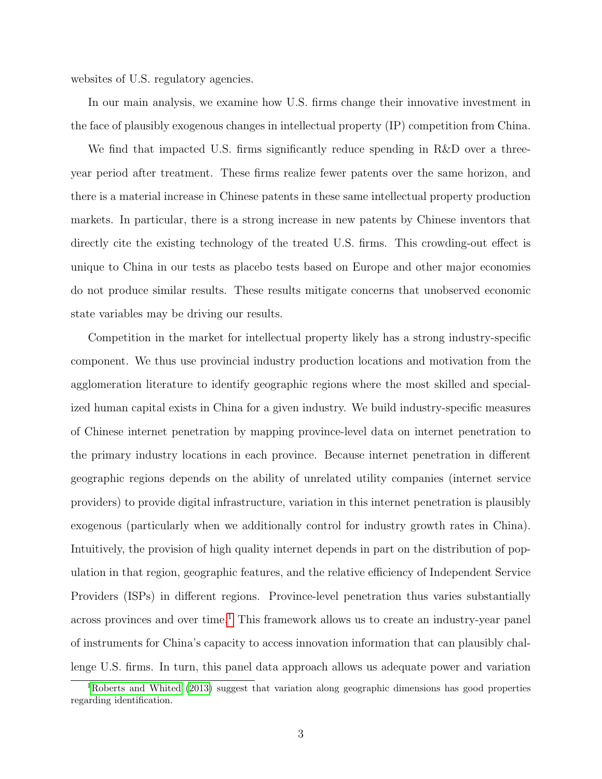websites of U.S. regulatory agencies.

In our main analysis, we examine how U.S. firms change their innovative investment in the face of plausibly exogenous changes in intellectual property (IP) competition from China.

We find that impacted U.S. firms significantly reduce spending in R&D over a threeyear period after treatment. These firms realize fewer patents over the same horizon, and there is a material increase in Chinese patents in these same intellectual property production markets. In particular, there is a strong increase in new patents by Chinese inventors that directly cite the existing technology of the treated U.S. firms. This crowding-out effect is unique to China in our tests as placebo tests based on Europe and other major economies do not produce similar results. These results mitigate concerns that unobserved economic state variables may be driving our results.

Competition in the market for intellectual property likely has a strong industry-specific component. We thus use provincial industry production locations and motivation from the agglomeration literature to identify geographic regions where the most skilled and specialized human capital exists in China for a given industry. We build industry-specific measures of Chinese internet penetration by mapping province-level data on internet penetration to the primary industry locations in each province. Because internet penetration in different geographic regions depends on the ability of unrelated utility companies (internet service providers) to provide digital infrastructure, variation in this internet penetration is plausibly exogenous (particularly when we additionally control for industry growth rates in China). Intuitively, the provision of high quality internet depends in part on the distribution of population in that region, geographic features, and the relative efficiency of Independent Service Providers (ISPs) in different regions. Province-level penetration thus varies substantially across provinces and over time.<sup>[1](#page-3-0)</sup> This framework allows us to create an industry-year panel of instruments for China's capacity to access innovation information that can plausibly challenge U.S. firms. In turn, this panel data approach allows us adequate power and variation

<span id="page-3-0"></span><sup>1</sup>[Roberts and Whited](#page-34-4) [\(2013\)](#page-34-4) suggest that variation along geographic dimensions has good properties regarding identification.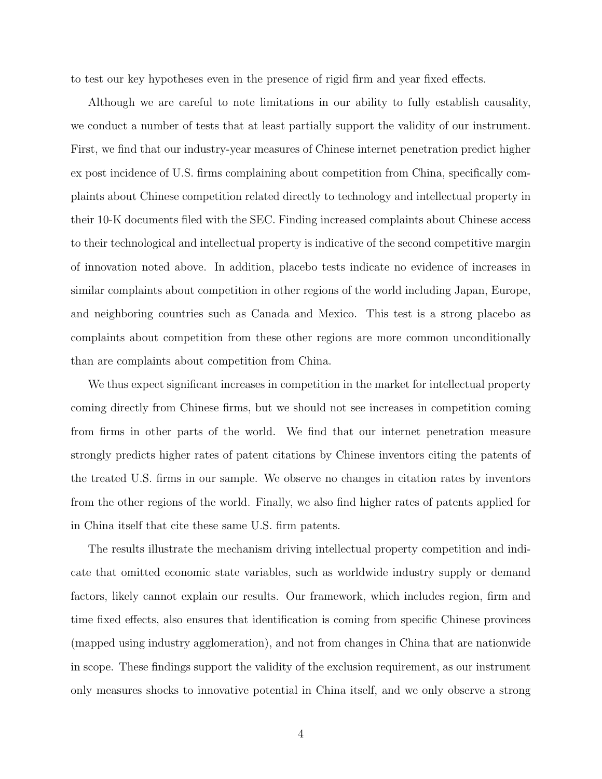to test our key hypotheses even in the presence of rigid firm and year fixed effects.

Although we are careful to note limitations in our ability to fully establish causality, we conduct a number of tests that at least partially support the validity of our instrument. First, we find that our industry-year measures of Chinese internet penetration predict higher ex post incidence of U.S. firms complaining about competition from China, specifically complaints about Chinese competition related directly to technology and intellectual property in their 10-K documents filed with the SEC. Finding increased complaints about Chinese access to their technological and intellectual property is indicative of the second competitive margin of innovation noted above. In addition, placebo tests indicate no evidence of increases in similar complaints about competition in other regions of the world including Japan, Europe, and neighboring countries such as Canada and Mexico. This test is a strong placebo as complaints about competition from these other regions are more common unconditionally than are complaints about competition from China.

We thus expect significant increases in competition in the market for intellectual property coming directly from Chinese firms, but we should not see increases in competition coming from firms in other parts of the world. We find that our internet penetration measure strongly predicts higher rates of patent citations by Chinese inventors citing the patents of the treated U.S. firms in our sample. We observe no changes in citation rates by inventors from the other regions of the world. Finally, we also find higher rates of patents applied for in China itself that cite these same U.S. firm patents.

The results illustrate the mechanism driving intellectual property competition and indicate that omitted economic state variables, such as worldwide industry supply or demand factors, likely cannot explain our results. Our framework, which includes region, firm and time fixed effects, also ensures that identification is coming from specific Chinese provinces (mapped using industry agglomeration), and not from changes in China that are nationwide in scope. These findings support the validity of the exclusion requirement, as our instrument only measures shocks to innovative potential in China itself, and we only observe a strong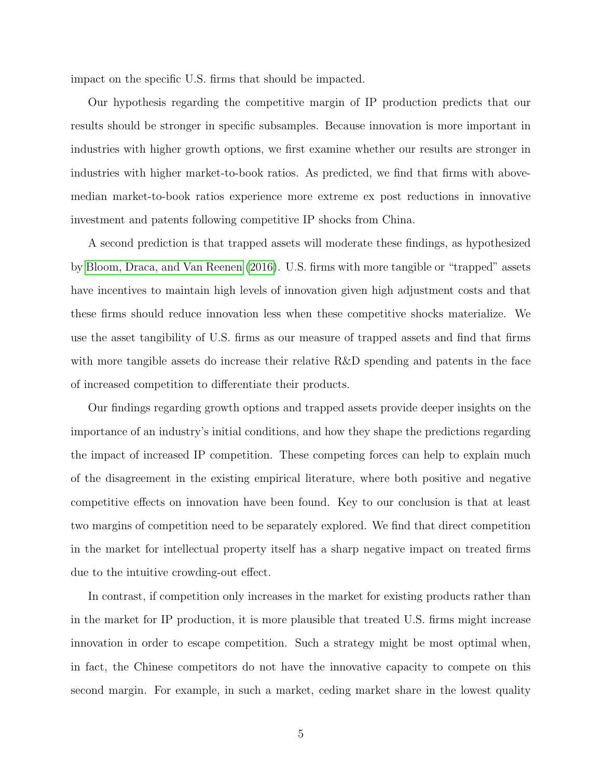impact on the specific U.S. firms that should be impacted.

Our hypothesis regarding the competitive margin of IP production predicts that our results should be stronger in specific subsamples. Because innovation is more important in industries with higher growth options, we first examine whether our results are stronger in industries with higher market-to-book ratios. As predicted, we find that firms with abovemedian market-to-book ratios experience more extreme ex post reductions in innovative investment and patents following competitive IP shocks from China.

A second prediction is that trapped assets will moderate these findings, as hypothesized by [Bloom, Draca, and Van Reenen](#page-34-1) [\(2016\)](#page-34-1). U.S. firms with more tangible or "trapped" assets have incentives to maintain high levels of innovation given high adjustment costs and that these firms should reduce innovation less when these competitive shocks materialize. We use the asset tangibility of U.S. firms as our measure of trapped assets and find that firms with more tangible assets do increase their relative R&D spending and patents in the face of increased competition to differentiate their products.

Our findings regarding growth options and trapped assets provide deeper insights on the importance of an industry's initial conditions, and how they shape the predictions regarding the impact of increased IP competition. These competing forces can help to explain much of the disagreement in the existing empirical literature, where both positive and negative competitive effects on innovation have been found. Key to our conclusion is that at least two margins of competition need to be separately explored. We find that direct competition in the market for intellectual property itself has a sharp negative impact on treated firms due to the intuitive crowding-out effect.

In contrast, if competition only increases in the market for existing products rather than in the market for IP production, it is more plausible that treated U.S. firms might increase innovation in order to escape competition. Such a strategy might be most optimal when, in fact, the Chinese competitors do not have the innovative capacity to compete on this second margin. For example, in such a market, ceding market share in the lowest quality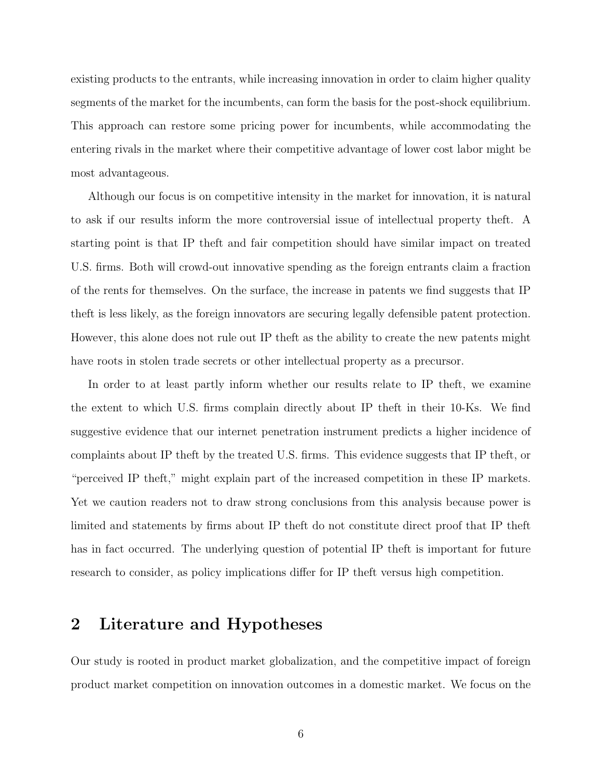existing products to the entrants, while increasing innovation in order to claim higher quality segments of the market for the incumbents, can form the basis for the post-shock equilibrium. This approach can restore some pricing power for incumbents, while accommodating the entering rivals in the market where their competitive advantage of lower cost labor might be most advantageous.

Although our focus is on competitive intensity in the market for innovation, it is natural to ask if our results inform the more controversial issue of intellectual property theft. A starting point is that IP theft and fair competition should have similar impact on treated U.S. firms. Both will crowd-out innovative spending as the foreign entrants claim a fraction of the rents for themselves. On the surface, the increase in patents we find suggests that IP theft is less likely, as the foreign innovators are securing legally defensible patent protection. However, this alone does not rule out IP theft as the ability to create the new patents might have roots in stolen trade secrets or other intellectual property as a precursor.

In order to at least partly inform whether our results relate to IP theft, we examine the extent to which U.S. firms complain directly about IP theft in their 10-Ks. We find suggestive evidence that our internet penetration instrument predicts a higher incidence of complaints about IP theft by the treated U.S. firms. This evidence suggests that IP theft, or "perceived IP theft," might explain part of the increased competition in these IP markets. Yet we caution readers not to draw strong conclusions from this analysis because power is limited and statements by firms about IP theft do not constitute direct proof that IP theft has in fact occurred. The underlying question of potential IP theft is important for future research to consider, as policy implications differ for IP theft versus high competition.

# 2 Literature and Hypotheses

Our study is rooted in product market globalization, and the competitive impact of foreign product market competition on innovation outcomes in a domestic market. We focus on the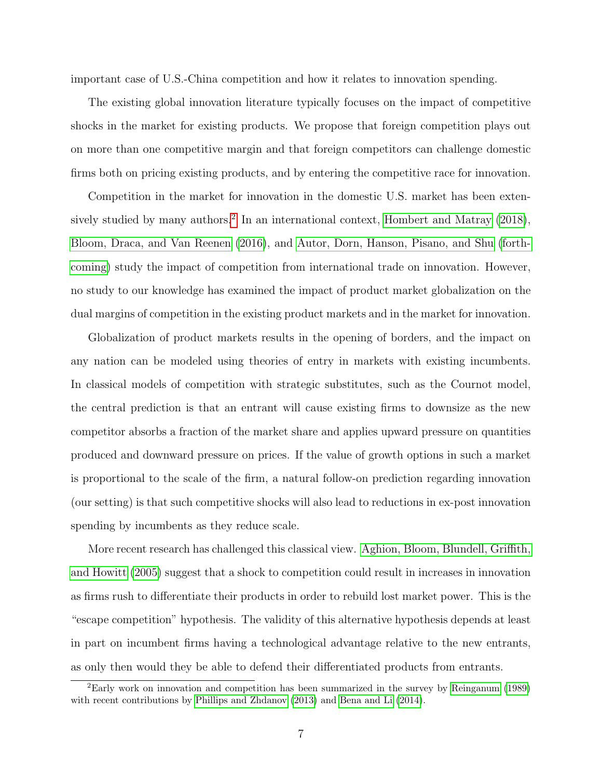important case of U.S.-China competition and how it relates to innovation spending.

The existing global innovation literature typically focuses on the impact of competitive shocks in the market for existing products. We propose that foreign competition plays out on more than one competitive margin and that foreign competitors can challenge domestic firms both on pricing existing products, and by entering the competitive race for innovation.

Competition in the market for innovation in the domestic U.S. market has been exten-sively studied by many authors.<sup>[2](#page-7-0)</sup> In an international context, [Hombert and Matray](#page-34-3) [\(2018\)](#page-34-3), [Bloom, Draca, and Van Reenen](#page-34-1) [\(2016\)](#page-34-1), and [Autor, Dorn, Hanson, Pisano, and Shu](#page-34-2) [\(forth](#page-34-2)[coming\)](#page-34-2) study the impact of competition from international trade on innovation. However, no study to our knowledge has examined the impact of product market globalization on the dual margins of competition in the existing product markets and in the market for innovation.

Globalization of product markets results in the opening of borders, and the impact on any nation can be modeled using theories of entry in markets with existing incumbents. In classical models of competition with strategic substitutes, such as the Cournot model, the central prediction is that an entrant will cause existing firms to downsize as the new competitor absorbs a fraction of the market share and applies upward pressure on quantities produced and downward pressure on prices. If the value of growth options in such a market is proportional to the scale of the firm, a natural follow-on prediction regarding innovation (our setting) is that such competitive shocks will also lead to reductions in ex-post innovation spending by incumbents as they reduce scale.

More recent research has challenged this classical view. [Aghion, Bloom, Blundell, Griffith,](#page-34-0) [and Howitt](#page-34-0) [\(2005\)](#page-34-0) suggest that a shock to competition could result in increases in innovation as firms rush to differentiate their products in order to rebuild lost market power. This is the "escape competition" hypothesis. The validity of this alternative hypothesis depends at least in part on incumbent firms having a technological advantage relative to the new entrants, as only then would they be able to defend their differentiated products from entrants.

<span id="page-7-0"></span><sup>2</sup>Early work on innovation and competition has been summarized in the survey by [Reinganum](#page-34-5) [\(1989\)](#page-34-5) with recent contributions by [Phillips and Zhdanov](#page-34-6) [\(2013\)](#page-34-6) and [Bena and Li](#page-34-7) [\(2014\)](#page-34-7).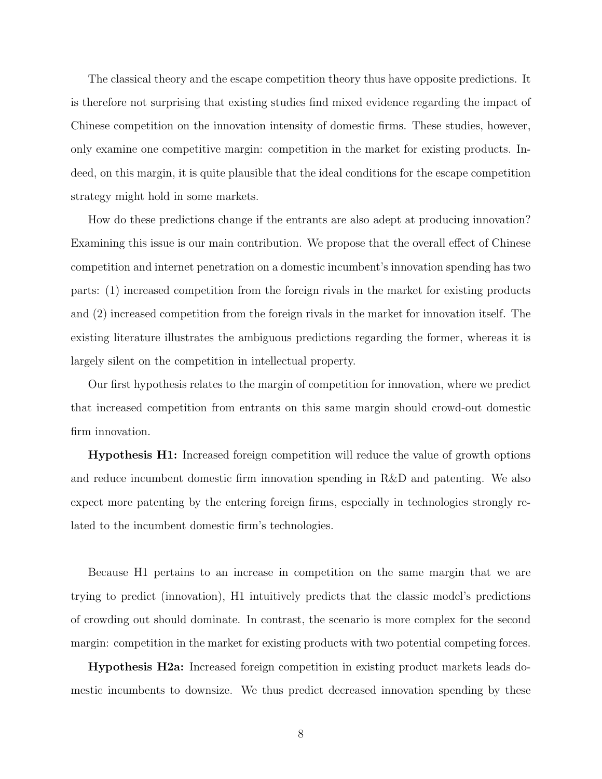The classical theory and the escape competition theory thus have opposite predictions. It is therefore not surprising that existing studies find mixed evidence regarding the impact of Chinese competition on the innovation intensity of domestic firms. These studies, however, only examine one competitive margin: competition in the market for existing products. Indeed, on this margin, it is quite plausible that the ideal conditions for the escape competition strategy might hold in some markets.

How do these predictions change if the entrants are also adept at producing innovation? Examining this issue is our main contribution. We propose that the overall effect of Chinese competition and internet penetration on a domestic incumbent's innovation spending has two parts: (1) increased competition from the foreign rivals in the market for existing products and (2) increased competition from the foreign rivals in the market for innovation itself. The existing literature illustrates the ambiguous predictions regarding the former, whereas it is largely silent on the competition in intellectual property.

Our first hypothesis relates to the margin of competition for innovation, where we predict that increased competition from entrants on this same margin should crowd-out domestic firm innovation.

Hypothesis H1: Increased foreign competition will reduce the value of growth options and reduce incumbent domestic firm innovation spending in R&D and patenting. We also expect more patenting by the entering foreign firms, especially in technologies strongly related to the incumbent domestic firm's technologies.

Because H1 pertains to an increase in competition on the same margin that we are trying to predict (innovation), H1 intuitively predicts that the classic model's predictions of crowding out should dominate. In contrast, the scenario is more complex for the second margin: competition in the market for existing products with two potential competing forces.

Hypothesis H2a: Increased foreign competition in existing product markets leads domestic incumbents to downsize. We thus predict decreased innovation spending by these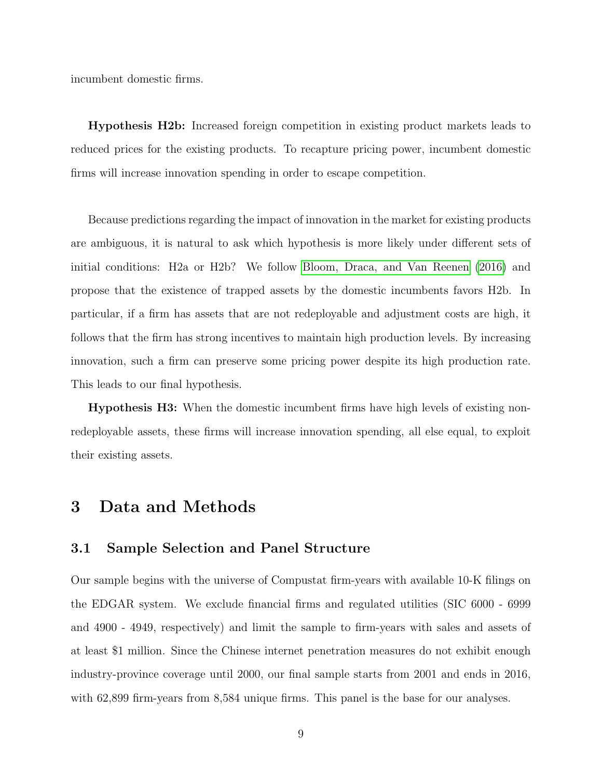incumbent domestic firms.

Hypothesis H2b: Increased foreign competition in existing product markets leads to reduced prices for the existing products. To recapture pricing power, incumbent domestic firms will increase innovation spending in order to escape competition.

Because predictions regarding the impact of innovation in the market for existing products are ambiguous, it is natural to ask which hypothesis is more likely under different sets of initial conditions: H2a or H2b? We follow [Bloom, Draca, and Van Reenen](#page-34-1) [\(2016\)](#page-34-1) and propose that the existence of trapped assets by the domestic incumbents favors H2b. In particular, if a firm has assets that are not redeployable and adjustment costs are high, it follows that the firm has strong incentives to maintain high production levels. By increasing innovation, such a firm can preserve some pricing power despite its high production rate. This leads to our final hypothesis.

Hypothesis H3: When the domestic incumbent firms have high levels of existing nonredeployable assets, these firms will increase innovation spending, all else equal, to exploit their existing assets.

# 3 Data and Methods

# 3.1 Sample Selection and Panel Structure

Our sample begins with the universe of Compustat firm-years with available 10-K filings on the EDGAR system. We exclude financial firms and regulated utilities (SIC 6000 - 6999 and 4900 - 4949, respectively) and limit the sample to firm-years with sales and assets of at least \$1 million. Since the Chinese internet penetration measures do not exhibit enough industry-province coverage until 2000, our final sample starts from 2001 and ends in 2016, with 62,899 firm-years from 8,584 unique firms. This panel is the base for our analyses.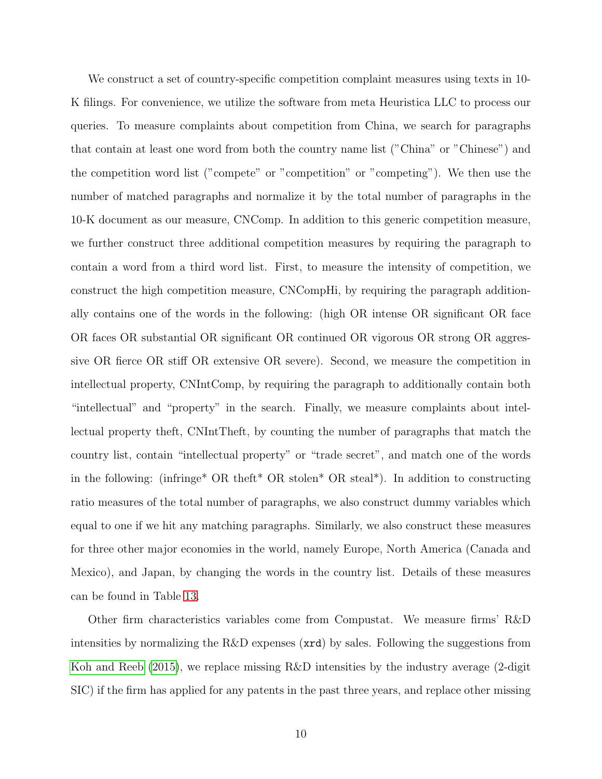We construct a set of country-specific competition complaint measures using texts in 10- K filings. For convenience, we utilize the software from meta Heuristica LLC to process our queries. To measure complaints about competition from China, we search for paragraphs that contain at least one word from both the country name list ("China" or "Chinese") and the competition word list ("compete" or "competition" or "competing"). We then use the number of matched paragraphs and normalize it by the total number of paragraphs in the 10-K document as our measure, CNComp. In addition to this generic competition measure, we further construct three additional competition measures by requiring the paragraph to contain a word from a third word list. First, to measure the intensity of competition, we construct the high competition measure, CNCompHi, by requiring the paragraph additionally contains one of the words in the following: (high OR intense OR significant OR face OR faces OR substantial OR significant OR continued OR vigorous OR strong OR aggressive OR fierce OR stiff OR extensive OR severe). Second, we measure the competition in intellectual property, CNIntComp, by requiring the paragraph to additionally contain both "intellectual" and "property" in the search. Finally, we measure complaints about intellectual property theft, CNIntTheft, by counting the number of paragraphs that match the country list, contain "intellectual property" or "trade secret", and match one of the words in the following: (infringe\* OR theft\* OR stolen\* OR steal\*). In addition to constructing ratio measures of the total number of paragraphs, we also construct dummy variables which equal to one if we hit any matching paragraphs. Similarly, we also construct these measures for three other major economies in the world, namely Europe, North America (Canada and Mexico), and Japan, by changing the words in the country list. Details of these measures can be found in Table [13.](#page-51-0)

Other firm characteristics variables come from Compustat. We measure firms' R&D intensities by normalizing the  $R&D$  expenses  $(\text{ard})$  by sales. Following the suggestions from [Koh and Reeb](#page-34-8) [\(2015\)](#page-34-8), we replace missing R&D intensities by the industry average (2-digit SIC) if the firm has applied for any patents in the past three years, and replace other missing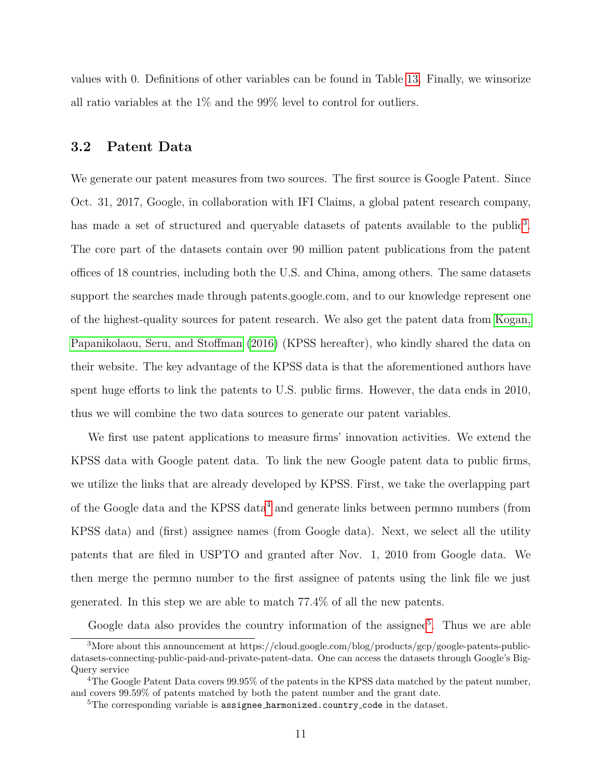values with 0. Definitions of other variables can be found in Table [13.](#page-51-0) Finally, we winsorize all ratio variables at the 1% and the 99% level to control for outliers.

## 3.2 Patent Data

We generate our patent measures from two sources. The first source is Google Patent. Since Oct. 31, 2017, Google, in collaboration with IFI Claims, a global patent research company, has made a set of structured and queryable datasets of patents available to the public<sup>[3](#page-11-0)</sup>. The core part of the datasets contain over 90 million patent publications from the patent offices of 18 countries, including both the U.S. and China, among others. The same datasets support the searches made through patents.google.com, and to our knowledge represent one of the highest-quality sources for patent research. We also get the patent data from [Kogan,](#page-34-9) [Papanikolaou, Seru, and Stoffman](#page-34-9) [\(2016\)](#page-34-9) (KPSS hereafter), who kindly shared the data on their website. The key advantage of the KPSS data is that the aforementioned authors have spent huge efforts to link the patents to U.S. public firms. However, the data ends in 2010, thus we will combine the two data sources to generate our patent variables.

We first use patent applications to measure firms' innovation activities. We extend the KPSS data with Google patent data. To link the new Google patent data to public firms, we utilize the links that are already developed by KPSS. First, we take the overlapping part of the Google data and the KPSS data<sup>[4](#page-11-1)</sup> and generate links between permno numbers (from KPSS data) and (first) assignee names (from Google data). Next, we select all the utility patents that are filed in USPTO and granted after Nov. 1, 2010 from Google data. We then merge the permno number to the first assignee of patents using the link file we just generated. In this step we are able to match 77.4% of all the new patents.

<span id="page-11-0"></span>Google data also provides the country information of the assignee<sup>[5](#page-11-2)</sup>. Thus we are able

<sup>3</sup>More about this announcement at https://cloud.google.com/blog/products/gcp/google-patents-publicdatasets-connecting-public-paid-and-private-patent-data. One can access the datasets through Google's Big-Query service

<span id="page-11-1"></span><sup>&</sup>lt;sup>4</sup>The Google Patent Data covers 99.95% of the patents in the KPSS data matched by the patent number, and covers 99.59% of patents matched by both the patent number and the grant date.

<span id="page-11-2"></span><sup>&</sup>lt;sup>5</sup>The corresponding variable is assignee harmonized.country code in the dataset.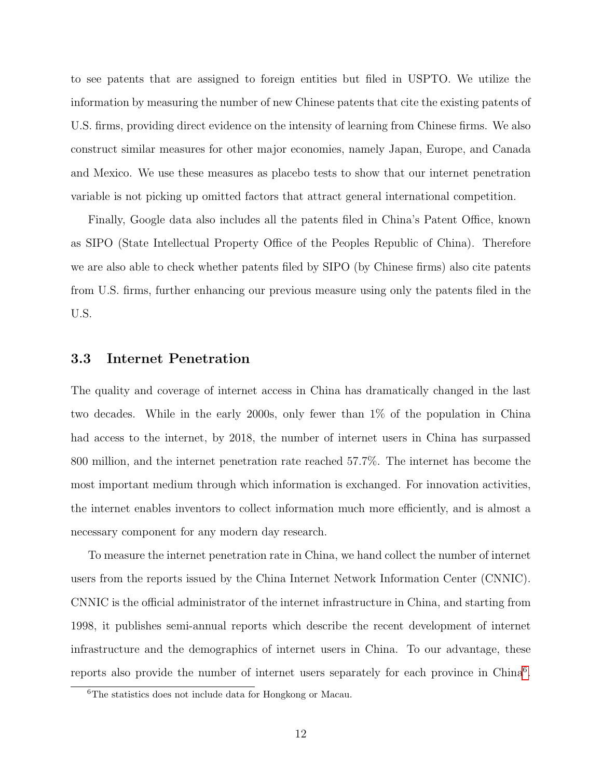to see patents that are assigned to foreign entities but filed in USPTO. We utilize the information by measuring the number of new Chinese patents that cite the existing patents of U.S. firms, providing direct evidence on the intensity of learning from Chinese firms. We also construct similar measures for other major economies, namely Japan, Europe, and Canada and Mexico. We use these measures as placebo tests to show that our internet penetration variable is not picking up omitted factors that attract general international competition.

Finally, Google data also includes all the patents filed in China's Patent Office, known as SIPO (State Intellectual Property Office of the Peoples Republic of China). Therefore we are also able to check whether patents filed by SIPO (by Chinese firms) also cite patents from U.S. firms, further enhancing our previous measure using only the patents filed in the U.S.

## 3.3 Internet Penetration

The quality and coverage of internet access in China has dramatically changed in the last two decades. While in the early 2000s, only fewer than 1% of the population in China had access to the internet, by 2018, the number of internet users in China has surpassed 800 million, and the internet penetration rate reached 57.7%. The internet has become the most important medium through which information is exchanged. For innovation activities, the internet enables inventors to collect information much more efficiently, and is almost a necessary component for any modern day research.

To measure the internet penetration rate in China, we hand collect the number of internet users from the reports issued by the China Internet Network Information Center (CNNIC). CNNIC is the official administrator of the internet infrastructure in China, and starting from 1998, it publishes semi-annual reports which describe the recent development of internet infrastructure and the demographics of internet users in China. To our advantage, these reports also provide the number of internet users separately for each province in China<sup>[6](#page-12-0)</sup>.

<span id="page-12-0"></span><sup>6</sup>The statistics does not include data for Hongkong or Macau.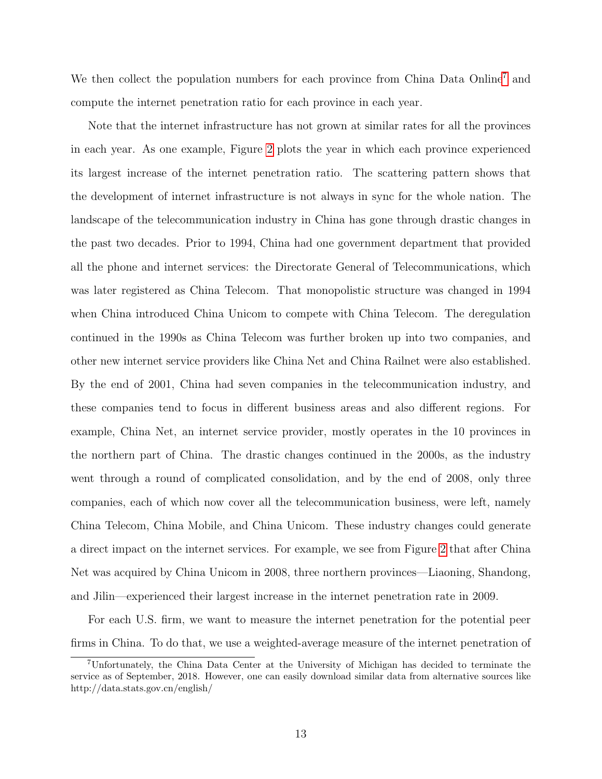We then collect the population numbers for each province from China Data Online<sup>[7](#page-13-0)</sup> and compute the internet penetration ratio for each province in each year.

Note that the internet infrastructure has not grown at similar rates for all the provinces in each year. As one example, Figure [2](#page-48-0) plots the year in which each province experienced its largest increase of the internet penetration ratio. The scattering pattern shows that the development of internet infrastructure is not always in sync for the whole nation. The landscape of the telecommunication industry in China has gone through drastic changes in the past two decades. Prior to 1994, China had one government department that provided all the phone and internet services: the Directorate General of Telecommunications, which was later registered as China Telecom. That monopolistic structure was changed in 1994 when China introduced China Unicom to compete with China Telecom. The deregulation continued in the 1990s as China Telecom was further broken up into two companies, and other new internet service providers like China Net and China Railnet were also established. By the end of 2001, China had seven companies in the telecommunication industry, and these companies tend to focus in different business areas and also different regions. For example, China Net, an internet service provider, mostly operates in the 10 provinces in the northern part of China. The drastic changes continued in the 2000s, as the industry went through a round of complicated consolidation, and by the end of 2008, only three companies, each of which now cover all the telecommunication business, were left, namely China Telecom, China Mobile, and China Unicom. These industry changes could generate a direct impact on the internet services. For example, we see from Figure [2](#page-48-0) that after China Net was acquired by China Unicom in 2008, three northern provinces—Liaoning, Shandong, and Jilin—experienced their largest increase in the internet penetration rate in 2009.

For each U.S. firm, we want to measure the internet penetration for the potential peer firms in China. To do that, we use a weighted-average measure of the internet penetration of

<span id="page-13-0"></span><sup>7</sup>Unfortunately, the China Data Center at the University of Michigan has decided to terminate the service as of September, 2018. However, one can easily download similar data from alternative sources like http://data.stats.gov.cn/english/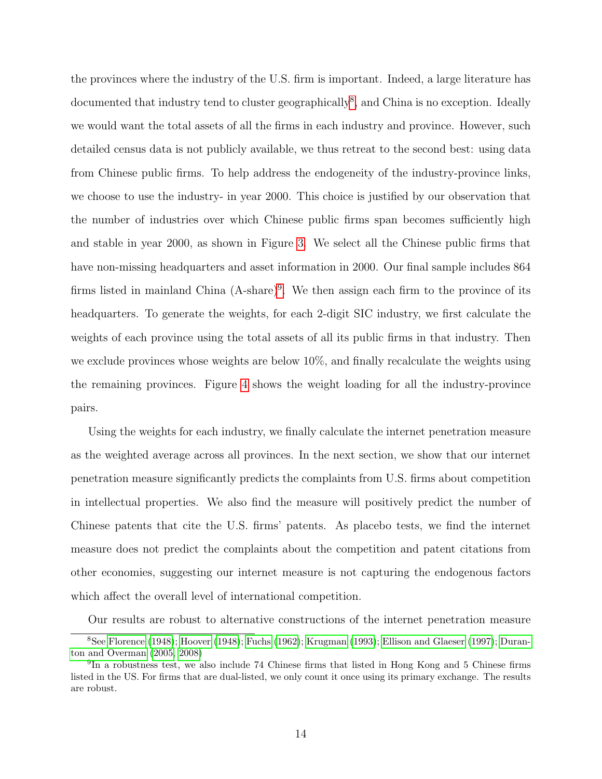the provinces where the industry of the U.S. firm is important. Indeed, a large literature has documented that industry tend to cluster geographically<sup>[8](#page-14-0)</sup>, and China is no exception. Ideally we would want the total assets of all the firms in each industry and province. However, such detailed census data is not publicly available, we thus retreat to the second best: using data from Chinese public firms. To help address the endogeneity of the industry-province links, we choose to use the industry- in year 2000. This choice is justified by our observation that the number of industries over which Chinese public firms span becomes sufficiently high and stable in year 2000, as shown in Figure [3.](#page-49-0) We select all the Chinese public firms that have non-missing headquarters and asset information in 2000. Our final sample includes 864 firms listed in mainland China  $(A\text{-share})^9$  $(A\text{-share})^9$ . We then assign each firm to the province of its headquarters. To generate the weights, for each 2-digit SIC industry, we first calculate the weights of each province using the total assets of all its public firms in that industry. Then we exclude provinces whose weights are below 10%, and finally recalculate the weights using the remaining provinces. Figure [4](#page-50-0) shows the weight loading for all the industry-province pairs.

Using the weights for each industry, we finally calculate the internet penetration measure as the weighted average across all provinces. In the next section, we show that our internet penetration measure significantly predicts the complaints from U.S. firms about competition in intellectual properties. We also find the measure will positively predict the number of Chinese patents that cite the U.S. firms' patents. As placebo tests, we find the internet measure does not predict the complaints about the competition and patent citations from other economies, suggesting our internet measure is not capturing the endogenous factors which affect the overall level of international competition.

<span id="page-14-0"></span>Our results are robust to alternative constructions of the internet penetration measure

<sup>8</sup>See [Florence](#page-34-10) [\(1948\)](#page-34-10); [Hoover](#page-34-11) [\(1948\)](#page-34-11); [Fuchs](#page-34-12) [\(1962\)](#page-34-12); [Krugman](#page-34-13) [\(1993\)](#page-34-13); [Ellison and Glaeser](#page-34-14) [\(1997\)](#page-34-14); [Duran](#page-34-15)[ton and Overman](#page-34-15) [\(2005,](#page-34-15) [2008\)](#page-34-16)

<span id="page-14-1"></span><sup>&</sup>lt;sup>9</sup>In a robustness test, we also include 74 Chinese firms that listed in Hong Kong and 5 Chinese firms listed in the US. For firms that are dual-listed, we only count it once using its primary exchange. The results are robust.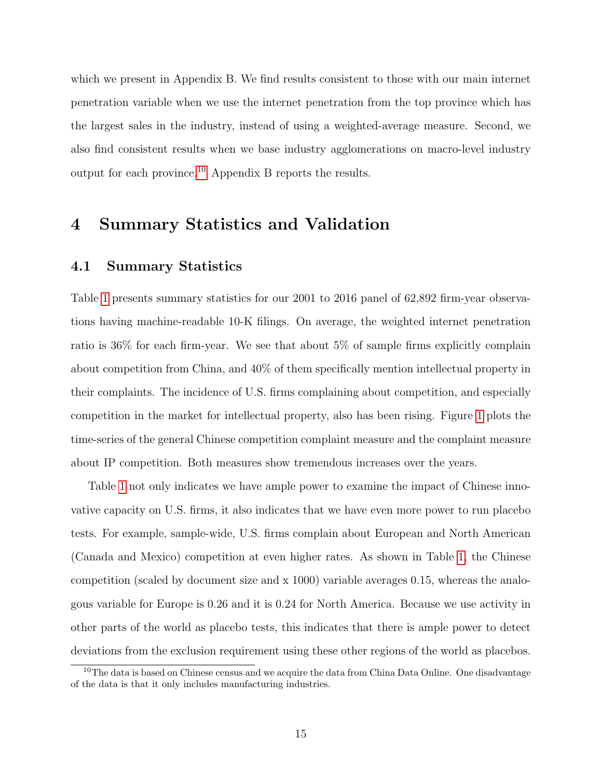which we present in Appendix B. We find results consistent to those with our main internet penetration variable when we use the internet penetration from the top province which has the largest sales in the industry, instead of using a weighted-average measure. Second, we also find consistent results when we base industry agglomerations on macro-level industry output for each province.[10](#page-15-0) Appendix B reports the results.

# 4 Summary Statistics and Validation

# 4.1 Summary Statistics

Table [1](#page-35-0) presents summary statistics for our 2001 to 2016 panel of 62,892 firm-year observations having machine-readable 10-K filings. On average, the weighted internet penetration ratio is 36% for each firm-year. We see that about 5% of sample firms explicitly complain about competition from China, and 40% of them specifically mention intellectual property in their complaints. The incidence of U.S. firms complaining about competition, and especially competition in the market for intellectual property, also has been rising. Figure [1](#page-47-0) plots the time-series of the general Chinese competition complaint measure and the complaint measure about IP competition. Both measures show tremendous increases over the years.

Table [1](#page-35-0) not only indicates we have ample power to examine the impact of Chinese innovative capacity on U.S. firms, it also indicates that we have even more power to run placebo tests. For example, sample-wide, U.S. firms complain about European and North American (Canada and Mexico) competition at even higher rates. As shown in Table [1,](#page-35-0) the Chinese competition (scaled by document size and x 1000) variable averages 0.15, whereas the analogous variable for Europe is 0.26 and it is 0.24 for North America. Because we use activity in other parts of the world as placebo tests, this indicates that there is ample power to detect deviations from the exclusion requirement using these other regions of the world as placebos.

<span id="page-15-0"></span><sup>&</sup>lt;sup>10</sup>The data is based on Chinese census and we acquire the data from China Data Online. One disadvantage of the data is that it only includes manufacturing industries.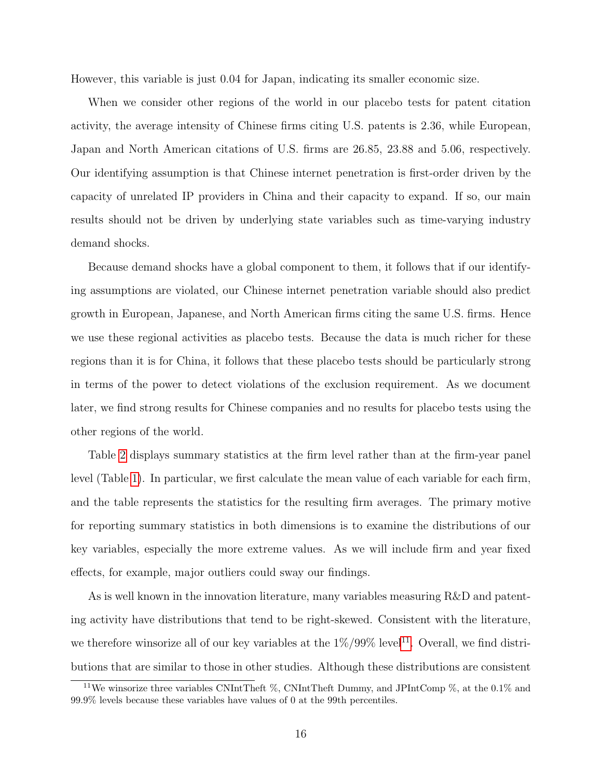However, this variable is just 0.04 for Japan, indicating its smaller economic size.

When we consider other regions of the world in our placebo tests for patent citation activity, the average intensity of Chinese firms citing U.S. patents is 2.36, while European, Japan and North American citations of U.S. firms are 26.85, 23.88 and 5.06, respectively. Our identifying assumption is that Chinese internet penetration is first-order driven by the capacity of unrelated IP providers in China and their capacity to expand. If so, our main results should not be driven by underlying state variables such as time-varying industry demand shocks.

Because demand shocks have a global component to them, it follows that if our identifying assumptions are violated, our Chinese internet penetration variable should also predict growth in European, Japanese, and North American firms citing the same U.S. firms. Hence we use these regional activities as placebo tests. Because the data is much richer for these regions than it is for China, it follows that these placebo tests should be particularly strong in terms of the power to detect violations of the exclusion requirement. As we document later, we find strong results for Chinese companies and no results for placebo tests using the other regions of the world.

Table [2](#page-36-0) displays summary statistics at the firm level rather than at the firm-year panel level (Table [1\)](#page-35-0). In particular, we first calculate the mean value of each variable for each firm, and the table represents the statistics for the resulting firm averages. The primary motive for reporting summary statistics in both dimensions is to examine the distributions of our key variables, especially the more extreme values. As we will include firm and year fixed effects, for example, major outliers could sway our findings.

As is well known in the innovation literature, many variables measuring R&D and patenting activity have distributions that tend to be right-skewed. Consistent with the literature, we therefore winsorize all of our key variables at the  $1\%/99\%$  level<sup>[11](#page-16-0)</sup>. Overall, we find distributions that are similar to those in other studies. Although these distributions are consistent

<span id="page-16-0"></span><sup>11</sup>We winsorize three variables CNIntTheft %, CNIntTheft Dummy, and JPIntComp %, at the 0.1% and 99.9% levels because these variables have values of 0 at the 99th percentiles.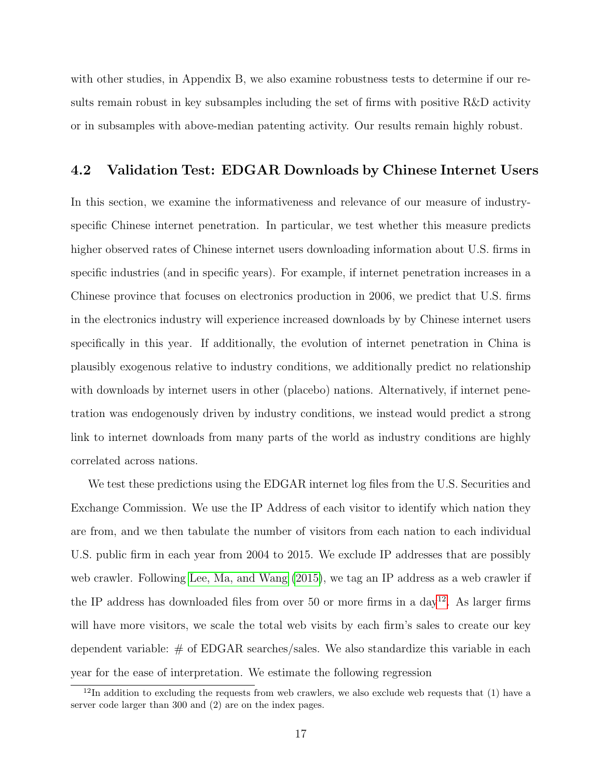with other studies, in Appendix B, we also examine robustness tests to determine if our results remain robust in key subsamples including the set of firms with positive R&D activity or in subsamples with above-median patenting activity. Our results remain highly robust.

## 4.2 Validation Test: EDGAR Downloads by Chinese Internet Users

In this section, we examine the informativeness and relevance of our measure of industryspecific Chinese internet penetration. In particular, we test whether this measure predicts higher observed rates of Chinese internet users downloading information about U.S. firms in specific industries (and in specific years). For example, if internet penetration increases in a Chinese province that focuses on electronics production in 2006, we predict that U.S. firms in the electronics industry will experience increased downloads by by Chinese internet users specifically in this year. If additionally, the evolution of internet penetration in China is plausibly exogenous relative to industry conditions, we additionally predict no relationship with downloads by internet users in other (placebo) nations. Alternatively, if internet penetration was endogenously driven by industry conditions, we instead would predict a strong link to internet downloads from many parts of the world as industry conditions are highly correlated across nations.

We test these predictions using the EDGAR internet log files from the U.S. Securities and Exchange Commission. We use the IP Address of each visitor to identify which nation they are from, and we then tabulate the number of visitors from each nation to each individual U.S. public firm in each year from 2004 to 2015. We exclude IP addresses that are possibly web crawler. Following [Lee, Ma, and Wang](#page-34-17) [\(2015\)](#page-34-17), we tag an IP address as a web crawler if the IP address has downloaded files from over 50 or more firms in a  $\frac{day^{12}}{x}$  $\frac{day^{12}}{x}$  $\frac{day^{12}}{x}$ . As larger firms will have more visitors, we scale the total web visits by each firm's sales to create our key dependent variable: # of EDGAR searches/sales. We also standardize this variable in each year for the ease of interpretation. We estimate the following regression

<span id="page-17-0"></span> $12$ In addition to excluding the requests from web crawlers, we also exclude web requests that (1) have a server code larger than 300 and (2) are on the index pages.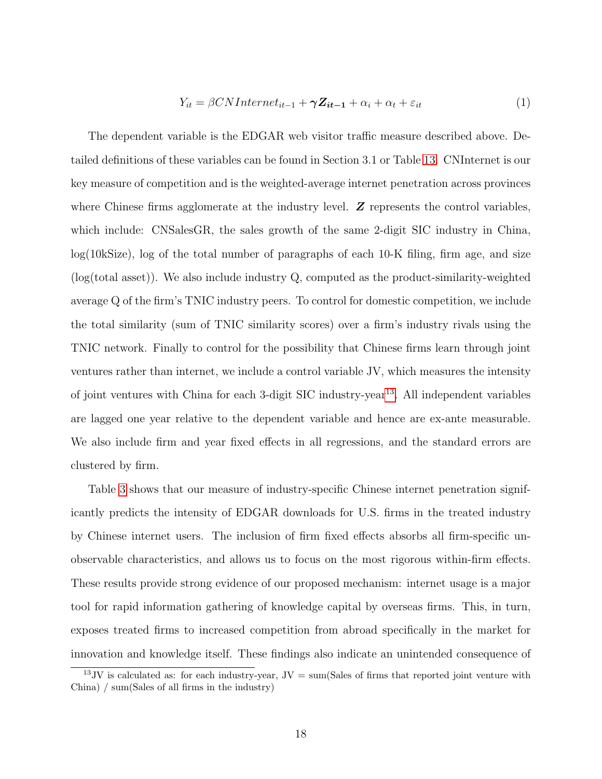<span id="page-18-1"></span>
$$
Y_{it} = \beta CNInternet_{it-1} + \gamma Z_{it-1} + \alpha_i + \alpha_t + \varepsilon_{it}
$$
\n(1)

The dependent variable is the EDGAR web visitor traffic measure described above. Detailed definitions of these variables can be found in Section 3.1 or Table [13.](#page-51-0) CNInternet is our key measure of competition and is the weighted-average internet penetration across provinces where Chinese firms agglomerate at the industry level.  $\boldsymbol{Z}$  represents the control variables, which include: CNSalesGR, the sales growth of the same 2-digit SIC industry in China, log(10kSize), log of the total number of paragraphs of each 10-K filing, firm age, and size (log(total asset)). We also include industry Q, computed as the product-similarity-weighted average Q of the firm's TNIC industry peers. To control for domestic competition, we include the total similarity (sum of TNIC similarity scores) over a firm's industry rivals using the TNIC network. Finally to control for the possibility that Chinese firms learn through joint ventures rather than internet, we include a control variable JV, which measures the intensity of joint ventures with China for each 3-digit SIC industry-year<sup>[13](#page-18-0)</sup>. All independent variables are lagged one year relative to the dependent variable and hence are ex-ante measurable. We also include firm and year fixed effects in all regressions, and the standard errors are clustered by firm.

Table [3](#page-37-0) shows that our measure of industry-specific Chinese internet penetration significantly predicts the intensity of EDGAR downloads for U.S. firms in the treated industry by Chinese internet users. The inclusion of firm fixed effects absorbs all firm-specific unobservable characteristics, and allows us to focus on the most rigorous within-firm effects. These results provide strong evidence of our proposed mechanism: internet usage is a major tool for rapid information gathering of knowledge capital by overseas firms. This, in turn, exposes treated firms to increased competition from abroad specifically in the market for innovation and knowledge itself. These findings also indicate an unintended consequence of

<span id="page-18-0"></span><sup>&</sup>lt;sup>13</sup>JV is calculated as: for each industry-year,  $JV = \text{sum}(\text{Sales of firms that reported joint venture with})$ China) / sum(Sales of all firms in the industry)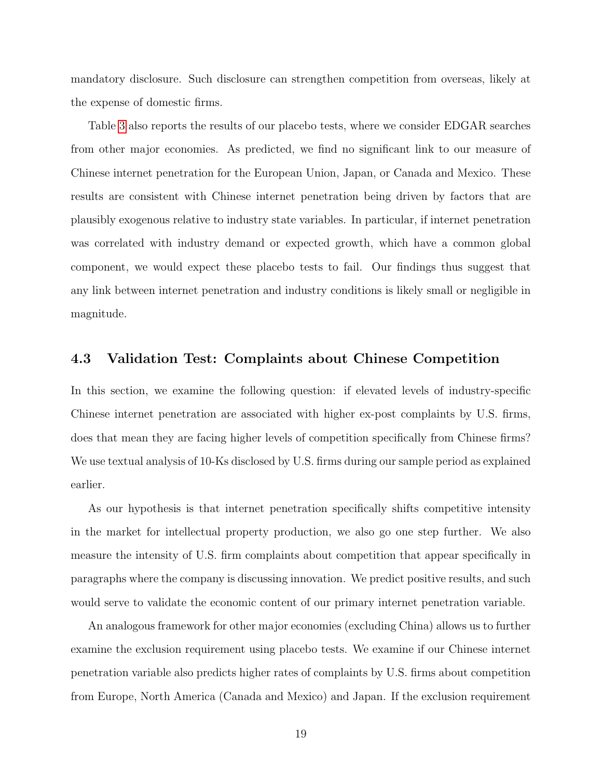mandatory disclosure. Such disclosure can strengthen competition from overseas, likely at the expense of domestic firms.

Table [3](#page-37-0) also reports the results of our placebo tests, where we consider EDGAR searches from other major economies. As predicted, we find no significant link to our measure of Chinese internet penetration for the European Union, Japan, or Canada and Mexico. These results are consistent with Chinese internet penetration being driven by factors that are plausibly exogenous relative to industry state variables. In particular, if internet penetration was correlated with industry demand or expected growth, which have a common global component, we would expect these placebo tests to fail. Our findings thus suggest that any link between internet penetration and industry conditions is likely small or negligible in magnitude.

## 4.3 Validation Test: Complaints about Chinese Competition

In this section, we examine the following question: if elevated levels of industry-specific Chinese internet penetration are associated with higher ex-post complaints by U.S. firms, does that mean they are facing higher levels of competition specifically from Chinese firms? We use textual analysis of 10-Ks disclosed by U.S. firms during our sample period as explained earlier.

As our hypothesis is that internet penetration specifically shifts competitive intensity in the market for intellectual property production, we also go one step further. We also measure the intensity of U.S. firm complaints about competition that appear specifically in paragraphs where the company is discussing innovation. We predict positive results, and such would serve to validate the economic content of our primary internet penetration variable.

An analogous framework for other major economies (excluding China) allows us to further examine the exclusion requirement using placebo tests. We examine if our Chinese internet penetration variable also predicts higher rates of complaints by U.S. firms about competition from Europe, North America (Canada and Mexico) and Japan. If the exclusion requirement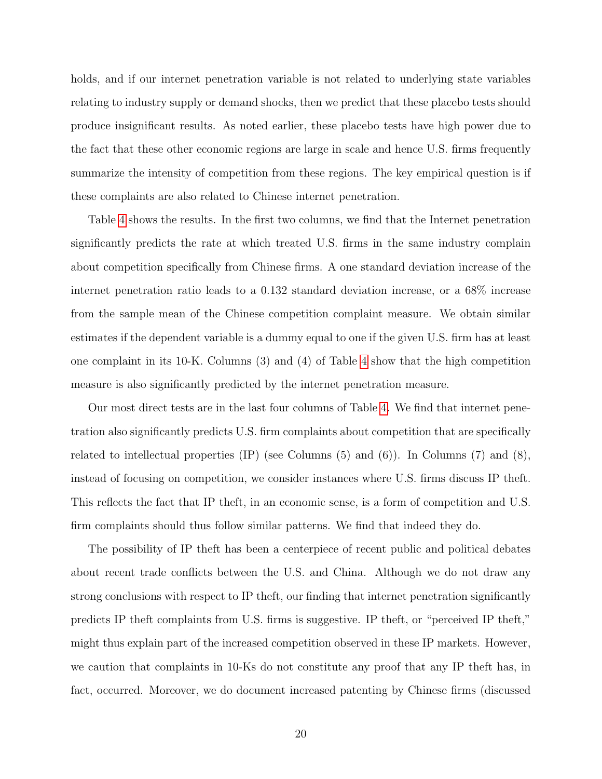holds, and if our internet penetration variable is not related to underlying state variables relating to industry supply or demand shocks, then we predict that these placebo tests should produce insignificant results. As noted earlier, these placebo tests have high power due to the fact that these other economic regions are large in scale and hence U.S. firms frequently summarize the intensity of competition from these regions. The key empirical question is if these complaints are also related to Chinese internet penetration.

Table [4](#page-38-0) shows the results. In the first two columns, we find that the Internet penetration significantly predicts the rate at which treated U.S. firms in the same industry complain about competition specifically from Chinese firms. A one standard deviation increase of the internet penetration ratio leads to a 0.132 standard deviation increase, or a 68% increase from the sample mean of the Chinese competition complaint measure. We obtain similar estimates if the dependent variable is a dummy equal to one if the given U.S. firm has at least one complaint in its 10-K. Columns (3) and (4) of Table [4](#page-38-0) show that the high competition measure is also significantly predicted by the internet penetration measure.

Our most direct tests are in the last four columns of Table [4.](#page-38-0) We find that internet penetration also significantly predicts U.S. firm complaints about competition that are specifically related to intellectual properties  $(\text{IP})$  (see Columns  $(5)$  and  $(6)$ ). In Columns  $(7)$  and  $(8)$ , instead of focusing on competition, we consider instances where U.S. firms discuss IP theft. This reflects the fact that IP theft, in an economic sense, is a form of competition and U.S. firm complaints should thus follow similar patterns. We find that indeed they do.

The possibility of IP theft has been a centerpiece of recent public and political debates about recent trade conflicts between the U.S. and China. Although we do not draw any strong conclusions with respect to IP theft, our finding that internet penetration significantly predicts IP theft complaints from U.S. firms is suggestive. IP theft, or "perceived IP theft," might thus explain part of the increased competition observed in these IP markets. However, we caution that complaints in 10-Ks do not constitute any proof that any IP theft has, in fact, occurred. Moreover, we do document increased patenting by Chinese firms (discussed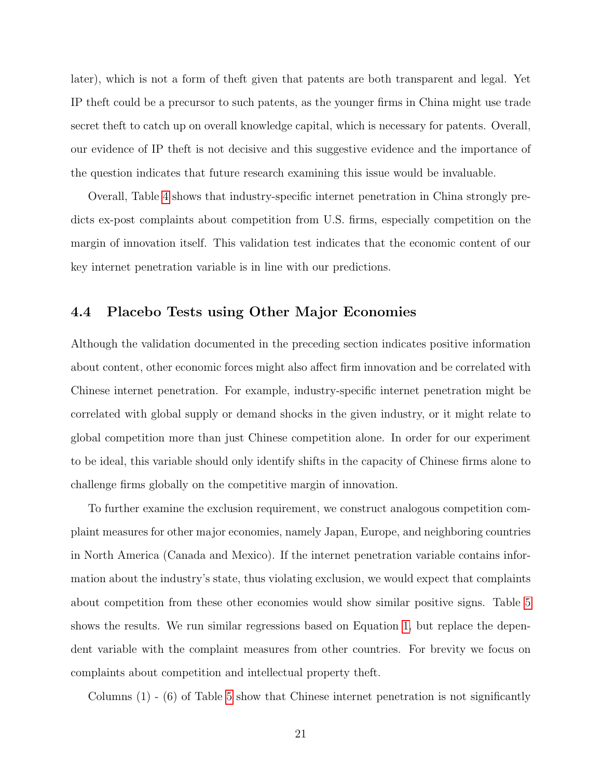later), which is not a form of theft given that patents are both transparent and legal. Yet IP theft could be a precursor to such patents, as the younger firms in China might use trade secret theft to catch up on overall knowledge capital, which is necessary for patents. Overall, our evidence of IP theft is not decisive and this suggestive evidence and the importance of the question indicates that future research examining this issue would be invaluable.

Overall, Table [4](#page-38-0) shows that industry-specific internet penetration in China strongly predicts ex-post complaints about competition from U.S. firms, especially competition on the margin of innovation itself. This validation test indicates that the economic content of our key internet penetration variable is in line with our predictions.

## 4.4 Placebo Tests using Other Major Economies

Although the validation documented in the preceding section indicates positive information about content, other economic forces might also affect firm innovation and be correlated with Chinese internet penetration. For example, industry-specific internet penetration might be correlated with global supply or demand shocks in the given industry, or it might relate to global competition more than just Chinese competition alone. In order for our experiment to be ideal, this variable should only identify shifts in the capacity of Chinese firms alone to challenge firms globally on the competitive margin of innovation.

To further examine the exclusion requirement, we construct analogous competition complaint measures for other major economies, namely Japan, Europe, and neighboring countries in North America (Canada and Mexico). If the internet penetration variable contains information about the industry's state, thus violating exclusion, we would expect that complaints about competition from these other economies would show similar positive signs. Table [5](#page-39-0) shows the results. We run similar regressions based on Equation [1,](#page-18-1) but replace the dependent variable with the complaint measures from other countries. For brevity we focus on complaints about competition and intellectual property theft.

Columns  $(1)$  -  $(6)$  of Table [5](#page-39-0) show that Chinese internet penetration is not significantly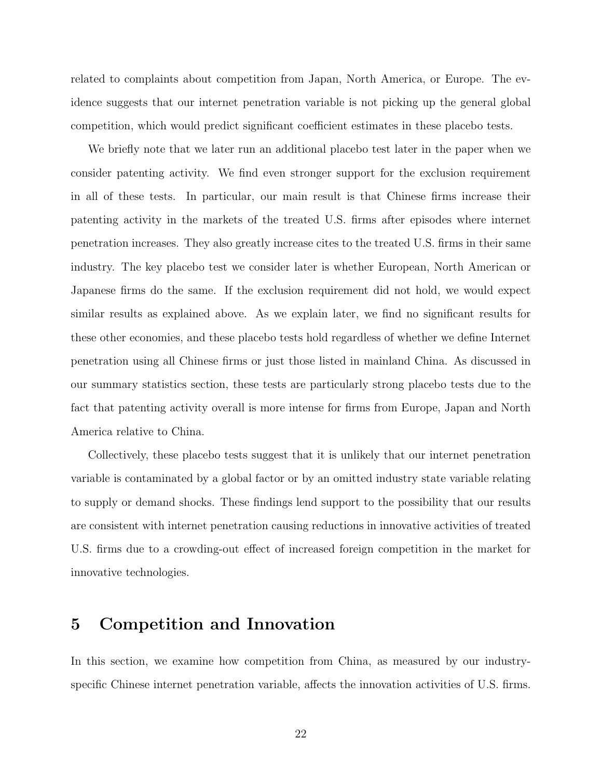related to complaints about competition from Japan, North America, or Europe. The evidence suggests that our internet penetration variable is not picking up the general global competition, which would predict significant coefficient estimates in these placebo tests.

We briefly note that we later run an additional placebo test later in the paper when we consider patenting activity. We find even stronger support for the exclusion requirement in all of these tests. In particular, our main result is that Chinese firms increase their patenting activity in the markets of the treated U.S. firms after episodes where internet penetration increases. They also greatly increase cites to the treated U.S. firms in their same industry. The key placebo test we consider later is whether European, North American or Japanese firms do the same. If the exclusion requirement did not hold, we would expect similar results as explained above. As we explain later, we find no significant results for these other economies, and these placebo tests hold regardless of whether we define Internet penetration using all Chinese firms or just those listed in mainland China. As discussed in our summary statistics section, these tests are particularly strong placebo tests due to the fact that patenting activity overall is more intense for firms from Europe, Japan and North America relative to China.

Collectively, these placebo tests suggest that it is unlikely that our internet penetration variable is contaminated by a global factor or by an omitted industry state variable relating to supply or demand shocks. These findings lend support to the possibility that our results are consistent with internet penetration causing reductions in innovative activities of treated U.S. firms due to a crowding-out effect of increased foreign competition in the market for innovative technologies.

# 5 Competition and Innovation

In this section, we examine how competition from China, as measured by our industryspecific Chinese internet penetration variable, affects the innovation activities of U.S. firms.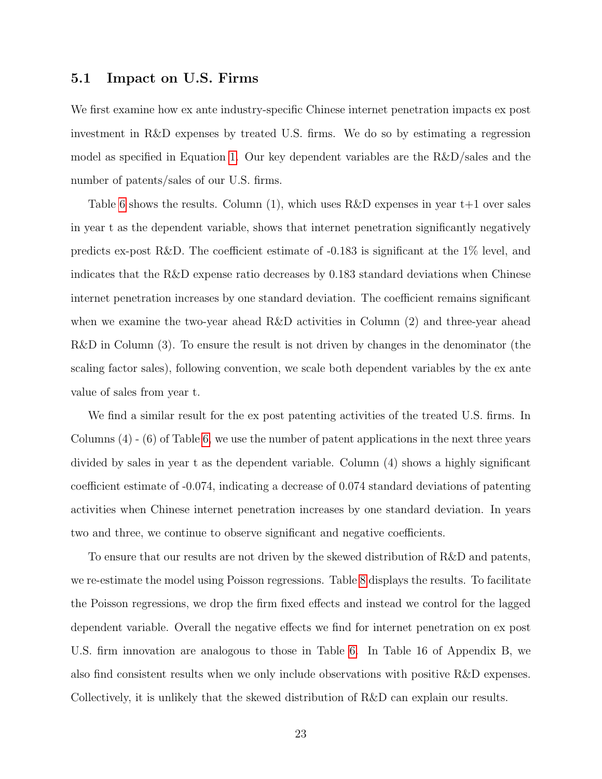### 5.1 Impact on U.S. Firms

We first examine how ex ante industry-specific Chinese internet penetration impacts ex post investment in R&D expenses by treated U.S. firms. We do so by estimating a regression model as specified in Equation [1.](#page-18-1) Our key dependent variables are the R&D/sales and the number of patents/sales of our U.S. firms.

Table [6](#page-40-0) shows the results. Column  $(1)$ , which uses R&D expenses in year  $t+1$  over sales in year t as the dependent variable, shows that internet penetration significantly negatively predicts ex-post R&D. The coefficient estimate of -0.183 is significant at the 1% level, and indicates that the R&D expense ratio decreases by 0.183 standard deviations when Chinese internet penetration increases by one standard deviation. The coefficient remains significant when we examine the two-year ahead R&D activities in Column (2) and three-year ahead R&D in Column (3). To ensure the result is not driven by changes in the denominator (the scaling factor sales), following convention, we scale both dependent variables by the ex ante value of sales from year t.

We find a similar result for the ex post patenting activities of the treated U.S. firms. In Columns (4) - (6) of Table [6,](#page-40-0) we use the number of patent applications in the next three years divided by sales in year t as the dependent variable. Column (4) shows a highly significant coefficient estimate of -0.074, indicating a decrease of 0.074 standard deviations of patenting activities when Chinese internet penetration increases by one standard deviation. In years two and three, we continue to observe significant and negative coefficients.

To ensure that our results are not driven by the skewed distribution of R&D and patents, we re-estimate the model using Poisson regressions. Table [8](#page-42-0) displays the results. To facilitate the Poisson regressions, we drop the firm fixed effects and instead we control for the lagged dependent variable. Overall the negative effects we find for internet penetration on ex post U.S. firm innovation are analogous to those in Table [6.](#page-40-0) In Table 16 of Appendix B, we also find consistent results when we only include observations with positive R&D expenses. Collectively, it is unlikely that the skewed distribution of R&D can explain our results.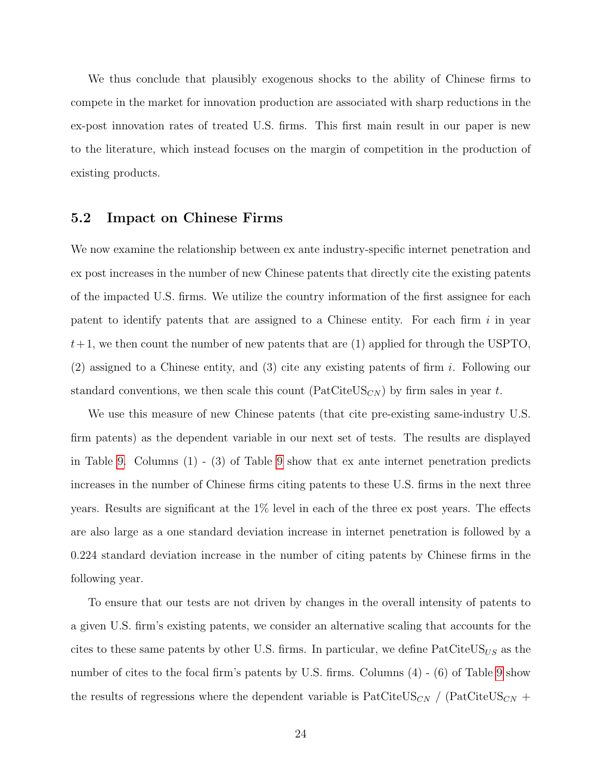We thus conclude that plausibly exogenous shocks to the ability of Chinese firms to compete in the market for innovation production are associated with sharp reductions in the ex-post innovation rates of treated U.S. firms. This first main result in our paper is new to the literature, which instead focuses on the margin of competition in the production of existing products.

## 5.2 Impact on Chinese Firms

We now examine the relationship between ex ante industry-specific internet penetration and ex post increases in the number of new Chinese patents that directly cite the existing patents of the impacted U.S. firms. We utilize the country information of the first assignee for each patent to identify patents that are assigned to a Chinese entity. For each firm  $i$  in year  $t+1$ , we then count the number of new patents that are (1) applied for through the USPTO, (2) assigned to a Chinese entity, and (3) cite any existing patents of firm i. Following our standard conventions, we then scale this count ( $\text{PatCiteUS}_{CN}$ ) by firm sales in year t.

We use this measure of new Chinese patents (that cite pre-existing same-industry U.S. firm patents) as the dependent variable in our next set of tests. The results are displayed in Table [9.](#page-43-0) Columns (1) - (3) of Table [9](#page-43-0) show that ex ante internet penetration predicts increases in the number of Chinese firms citing patents to these U.S. firms in the next three years. Results are significant at the 1% level in each of the three ex post years. The effects are also large as a one standard deviation increase in internet penetration is followed by a 0.224 standard deviation increase in the number of citing patents by Chinese firms in the following year.

To ensure that our tests are not driven by changes in the overall intensity of patents to a given U.S. firm's existing patents, we consider an alternative scaling that accounts for the cites to these same patents by other U.S. firms. In particular, we define  $\text{PatCiteUS}_{US}$  as the number of cites to the focal firm's patents by U.S. firms. Columns  $(4)$  -  $(6)$  of Table [9](#page-43-0) show the results of regressions where the dependent variable is  $\text{PatCiteUS}_{CN}$  / ( $\text{PatCiteUS}_{CN}$  +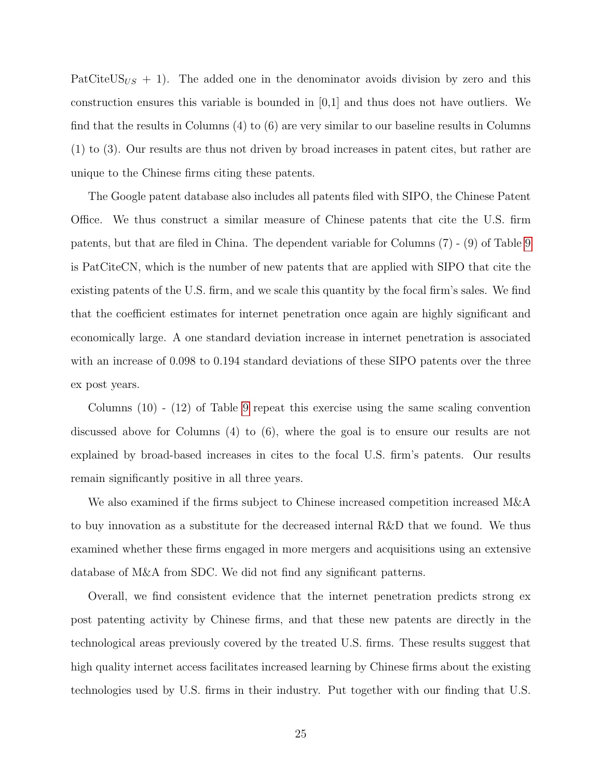PatCiteUS $_{US}$  + 1). The added one in the denominator avoids division by zero and this construction ensures this variable is bounded in [0,1] and thus does not have outliers. We find that the results in Columns (4) to (6) are very similar to our baseline results in Columns (1) to (3). Our results are thus not driven by broad increases in patent cites, but rather are unique to the Chinese firms citing these patents.

The Google patent database also includes all patents filed with SIPO, the Chinese Patent Office. We thus construct a similar measure of Chinese patents that cite the U.S. firm patents, but that are filed in China. The dependent variable for Columns (7) - (9) of Table [9](#page-43-0) is PatCiteCN, which is the number of new patents that are applied with SIPO that cite the existing patents of the U.S. firm, and we scale this quantity by the focal firm's sales. We find that the coefficient estimates for internet penetration once again are highly significant and economically large. A one standard deviation increase in internet penetration is associated with an increase of 0.098 to 0.194 standard deviations of these SIPO patents over the three ex post years.

Columns (10) - (12) of Table [9](#page-43-0) repeat this exercise using the same scaling convention discussed above for Columns (4) to (6), where the goal is to ensure our results are not explained by broad-based increases in cites to the focal U.S. firm's patents. Our results remain significantly positive in all three years.

We also examined if the firms subject to Chinese increased competition increased M&A to buy innovation as a substitute for the decreased internal R&D that we found. We thus examined whether these firms engaged in more mergers and acquisitions using an extensive database of M&A from SDC. We did not find any significant patterns.

Overall, we find consistent evidence that the internet penetration predicts strong ex post patenting activity by Chinese firms, and that these new patents are directly in the technological areas previously covered by the treated U.S. firms. These results suggest that high quality internet access facilitates increased learning by Chinese firms about the existing technologies used by U.S. firms in their industry. Put together with our finding that U.S.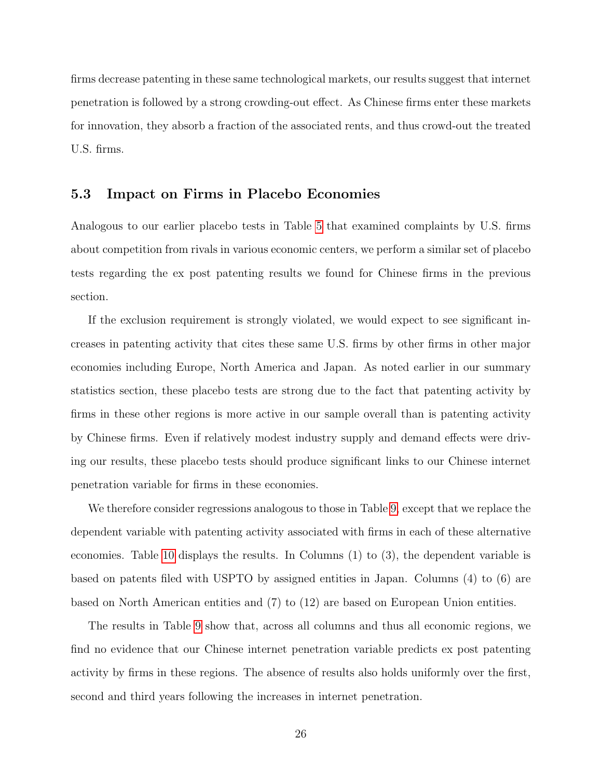firms decrease patenting in these same technological markets, our results suggest that internet penetration is followed by a strong crowding-out effect. As Chinese firms enter these markets for innovation, they absorb a fraction of the associated rents, and thus crowd-out the treated U.S. firms.

## 5.3 Impact on Firms in Placebo Economies

Analogous to our earlier placebo tests in Table [5](#page-39-0) that examined complaints by U.S. firms about competition from rivals in various economic centers, we perform a similar set of placebo tests regarding the ex post patenting results we found for Chinese firms in the previous section.

If the exclusion requirement is strongly violated, we would expect to see significant increases in patenting activity that cites these same U.S. firms by other firms in other major economies including Europe, North America and Japan. As noted earlier in our summary statistics section, these placebo tests are strong due to the fact that patenting activity by firms in these other regions is more active in our sample overall than is patenting activity by Chinese firms. Even if relatively modest industry supply and demand effects were driving our results, these placebo tests should produce significant links to our Chinese internet penetration variable for firms in these economies.

We therefore consider regressions analogous to those in Table [9,](#page-43-0) except that we replace the dependent variable with patenting activity associated with firms in each of these alternative economies. Table [10](#page-44-0) displays the results. In Columns (1) to (3), the dependent variable is based on patents filed with USPTO by assigned entities in Japan. Columns (4) to (6) are based on North American entities and (7) to (12) are based on European Union entities.

The results in Table [9](#page-43-0) show that, across all columns and thus all economic regions, we find no evidence that our Chinese internet penetration variable predicts ex post patenting activity by firms in these regions. The absence of results also holds uniformly over the first, second and third years following the increases in internet penetration.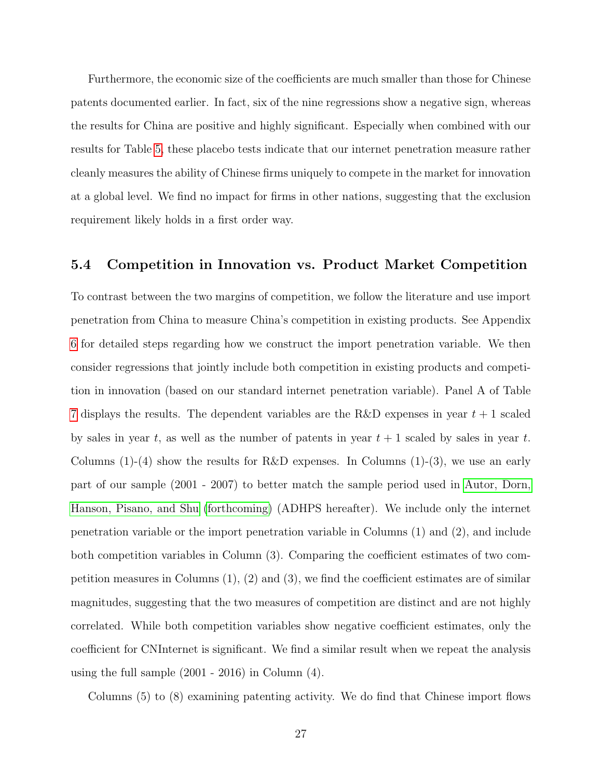Furthermore, the economic size of the coefficients are much smaller than those for Chinese patents documented earlier. In fact, six of the nine regressions show a negative sign, whereas the results for China are positive and highly significant. Especially when combined with our results for Table [5,](#page-39-0) these placebo tests indicate that our internet penetration measure rather cleanly measures the ability of Chinese firms uniquely to compete in the market for innovation at a global level. We find no impact for firms in other nations, suggesting that the exclusion requirement likely holds in a first order way.

# 5.4 Competition in Innovation vs. Product Market Competition

To contrast between the two margins of competition, we follow the literature and use import penetration from China to measure China's competition in existing products. See Appendix [6](#page-59-0) for detailed steps regarding how we construct the import penetration variable. We then consider regressions that jointly include both competition in existing products and competition in innovation (based on our standard internet penetration variable). Panel A of Table [7](#page-41-0) displays the results. The dependent variables are the R&D expenses in year  $t + 1$  scaled by sales in year t, as well as the number of patents in year  $t + 1$  scaled by sales in year t. Columns  $(1)-(4)$  show the results for R&D expenses. In Columns  $(1)-(3)$ , we use an early part of our sample (2001 - 2007) to better match the sample period used in [Autor, Dorn,](#page-34-2) [Hanson, Pisano, and Shu](#page-34-2) [\(forthcoming\)](#page-34-2) (ADHPS hereafter). We include only the internet penetration variable or the import penetration variable in Columns (1) and (2), and include both competition variables in Column (3). Comparing the coefficient estimates of two competition measures in Columns  $(1), (2)$  and  $(3),$  we find the coefficient estimates are of similar magnitudes, suggesting that the two measures of competition are distinct and are not highly correlated. While both competition variables show negative coefficient estimates, only the coefficient for CNInternet is significant. We find a similar result when we repeat the analysis using the full sample (2001 - 2016) in Column (4).

Columns (5) to (8) examining patenting activity. We do find that Chinese import flows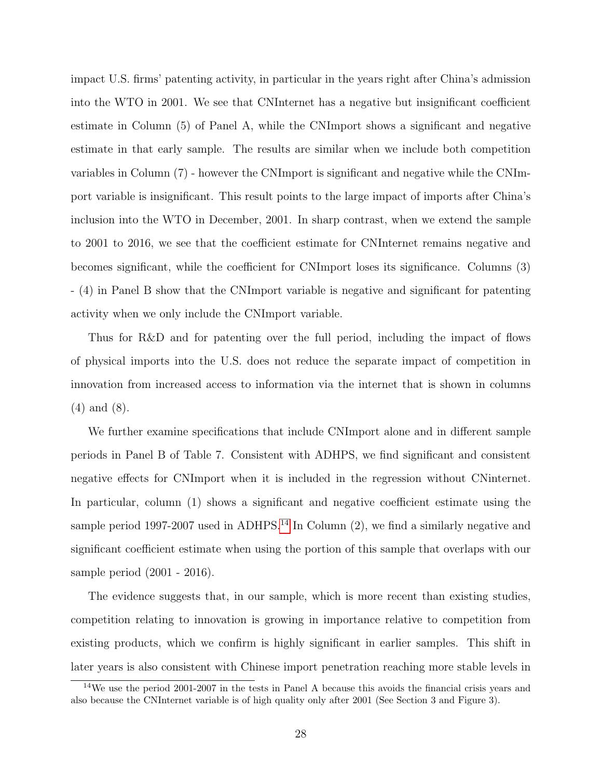impact U.S. firms' patenting activity, in particular in the years right after China's admission into the WTO in 2001. We see that CNInternet has a negative but insignificant coefficient estimate in Column (5) of Panel A, while the CNImport shows a significant and negative estimate in that early sample. The results are similar when we include both competition variables in Column (7) - however the CNImport is significant and negative while the CNImport variable is insignificant. This result points to the large impact of imports after China's inclusion into the WTO in December, 2001. In sharp contrast, when we extend the sample to 2001 to 2016, we see that the coefficient estimate for CNInternet remains negative and becomes significant, while the coefficient for CNImport loses its significance. Columns (3) - (4) in Panel B show that the CNImport variable is negative and significant for patenting activity when we only include the CNImport variable.

Thus for R&D and for patenting over the full period, including the impact of flows of physical imports into the U.S. does not reduce the separate impact of competition in innovation from increased access to information via the internet that is shown in columns (4) and (8).

We further examine specifications that include CNImport alone and in different sample periods in Panel B of Table 7. Consistent with ADHPS, we find significant and consistent negative effects for CNImport when it is included in the regression without CNinternet. In particular, column (1) shows a significant and negative coefficient estimate using the sample period 1997-2007 used in ADHPS.<sup>[14](#page-28-0)</sup> In Column  $(2)$ , we find a similarly negative and significant coefficient estimate when using the portion of this sample that overlaps with our sample period (2001 - 2016).

The evidence suggests that, in our sample, which is more recent than existing studies, competition relating to innovation is growing in importance relative to competition from existing products, which we confirm is highly significant in earlier samples. This shift in later years is also consistent with Chinese import penetration reaching more stable levels in

<span id="page-28-0"></span><sup>14</sup>We use the period 2001-2007 in the tests in Panel A because this avoids the financial crisis years and also because the CNInternet variable is of high quality only after 2001 (See Section 3 and Figure 3).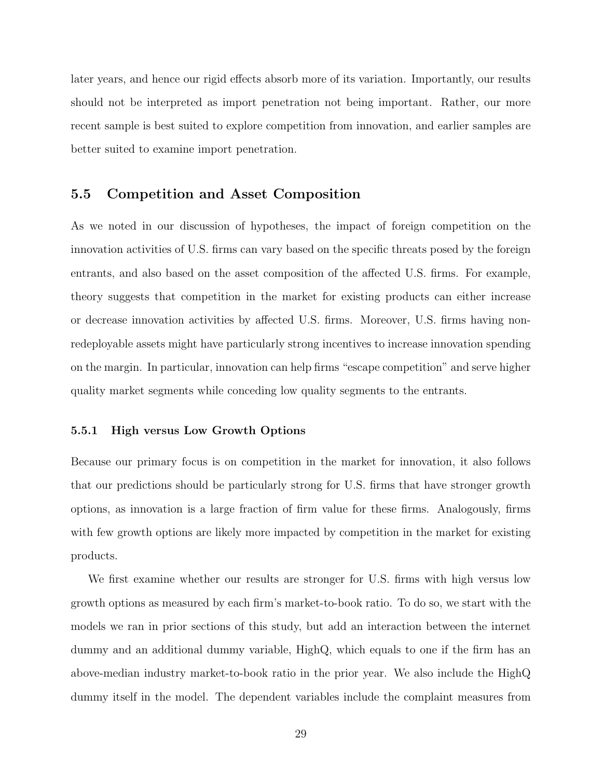later years, and hence our rigid effects absorb more of its variation. Importantly, our results should not be interpreted as import penetration not being important. Rather, our more recent sample is best suited to explore competition from innovation, and earlier samples are better suited to examine import penetration.

## 5.5 Competition and Asset Composition

As we noted in our discussion of hypotheses, the impact of foreign competition on the innovation activities of U.S. firms can vary based on the specific threats posed by the foreign entrants, and also based on the asset composition of the affected U.S. firms. For example, theory suggests that competition in the market for existing products can either increase or decrease innovation activities by affected U.S. firms. Moreover, U.S. firms having nonredeployable assets might have particularly strong incentives to increase innovation spending on the margin. In particular, innovation can help firms "escape competition" and serve higher quality market segments while conceding low quality segments to the entrants.

### 5.5.1 High versus Low Growth Options

Because our primary focus is on competition in the market for innovation, it also follows that our predictions should be particularly strong for U.S. firms that have stronger growth options, as innovation is a large fraction of firm value for these firms. Analogously, firms with few growth options are likely more impacted by competition in the market for existing products.

We first examine whether our results are stronger for U.S. firms with high versus low growth options as measured by each firm's market-to-book ratio. To do so, we start with the models we ran in prior sections of this study, but add an interaction between the internet dummy and an additional dummy variable, HighQ, which equals to one if the firm has an above-median industry market-to-book ratio in the prior year. We also include the HighQ dummy itself in the model. The dependent variables include the complaint measures from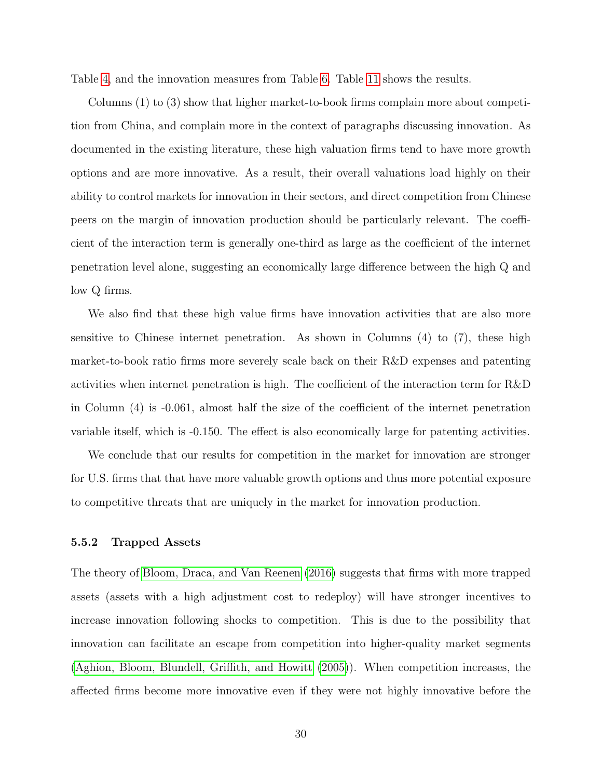Table [4,](#page-38-0) and the innovation measures from Table [6.](#page-40-0) Table [11](#page-45-0) shows the results.

Columns (1) to (3) show that higher market-to-book firms complain more about competition from China, and complain more in the context of paragraphs discussing innovation. As documented in the existing literature, these high valuation firms tend to have more growth options and are more innovative. As a result, their overall valuations load highly on their ability to control markets for innovation in their sectors, and direct competition from Chinese peers on the margin of innovation production should be particularly relevant. The coefficient of the interaction term is generally one-third as large as the coefficient of the internet penetration level alone, suggesting an economically large difference between the high Q and low Q firms.

We also find that these high value firms have innovation activities that are also more sensitive to Chinese internet penetration. As shown in Columns (4) to (7), these high market-to-book ratio firms more severely scale back on their R&D expenses and patenting activities when internet penetration is high. The coefficient of the interaction term for R&D in Column (4) is -0.061, almost half the size of the coefficient of the internet penetration variable itself, which is -0.150. The effect is also economically large for patenting activities.

We conclude that our results for competition in the market for innovation are stronger for U.S. firms that that have more valuable growth options and thus more potential exposure to competitive threats that are uniquely in the market for innovation production.

### 5.5.2 Trapped Assets

The theory of [Bloom, Draca, and Van Reenen](#page-34-1) [\(2016\)](#page-34-1) suggests that firms with more trapped assets (assets with a high adjustment cost to redeploy) will have stronger incentives to increase innovation following shocks to competition. This is due to the possibility that innovation can facilitate an escape from competition into higher-quality market segments [\(Aghion, Bloom, Blundell, Griffith, and Howitt](#page-34-0) [\(2005\)](#page-34-0)). When competition increases, the affected firms become more innovative even if they were not highly innovative before the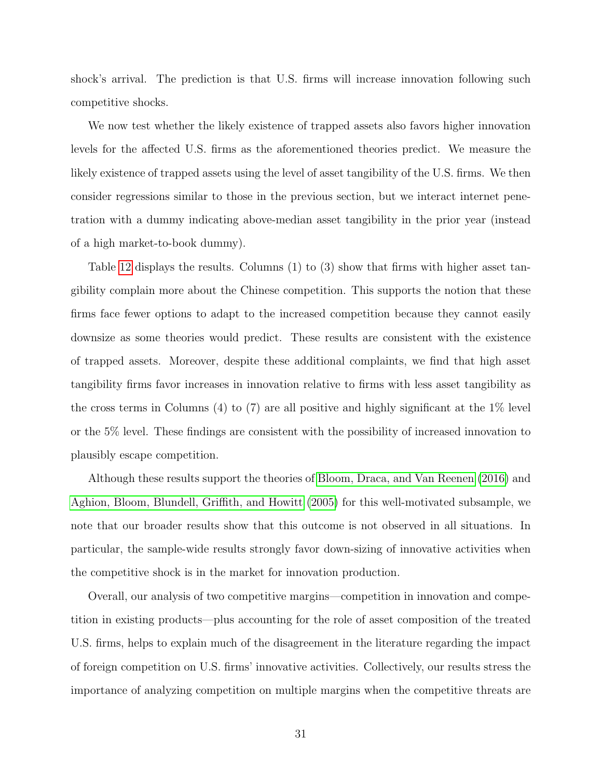shock's arrival. The prediction is that U.S. firms will increase innovation following such competitive shocks.

We now test whether the likely existence of trapped assets also favors higher innovation levels for the affected U.S. firms as the aforementioned theories predict. We measure the likely existence of trapped assets using the level of asset tangibility of the U.S. firms. We then consider regressions similar to those in the previous section, but we interact internet penetration with a dummy indicating above-median asset tangibility in the prior year (instead of a high market-to-book dummy).

Table [12](#page-46-0) displays the results. Columns (1) to (3) show that firms with higher asset tangibility complain more about the Chinese competition. This supports the notion that these firms face fewer options to adapt to the increased competition because they cannot easily downsize as some theories would predict. These results are consistent with the existence of trapped assets. Moreover, despite these additional complaints, we find that high asset tangibility firms favor increases in innovation relative to firms with less asset tangibility as the cross terms in Columns (4) to (7) are all positive and highly significant at the 1% level or the 5% level. These findings are consistent with the possibility of increased innovation to plausibly escape competition.

Although these results support the theories of [Bloom, Draca, and Van Reenen](#page-34-1) [\(2016\)](#page-34-1) and [Aghion, Bloom, Blundell, Griffith, and Howitt](#page-34-0) [\(2005\)](#page-34-0) for this well-motivated subsample, we note that our broader results show that this outcome is not observed in all situations. In particular, the sample-wide results strongly favor down-sizing of innovative activities when the competitive shock is in the market for innovation production.

Overall, our analysis of two competitive margins—competition in innovation and competition in existing products—plus accounting for the role of asset composition of the treated U.S. firms, helps to explain much of the disagreement in the literature regarding the impact of foreign competition on U.S. firms' innovative activities. Collectively, our results stress the importance of analyzing competition on multiple margins when the competitive threats are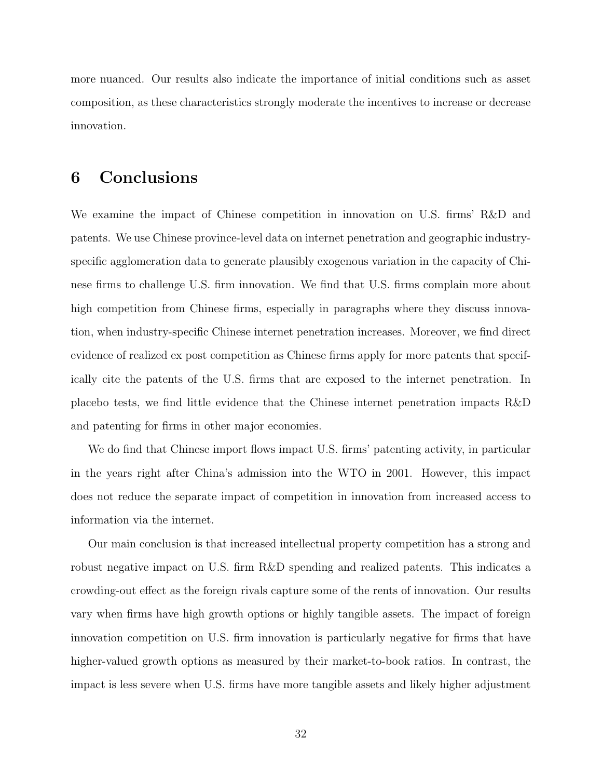more nuanced. Our results also indicate the importance of initial conditions such as asset composition, as these characteristics strongly moderate the incentives to increase or decrease innovation.

# 6 Conclusions

We examine the impact of Chinese competition in innovation on U.S. firms' R&D and patents. We use Chinese province-level data on internet penetration and geographic industryspecific agglomeration data to generate plausibly exogenous variation in the capacity of Chinese firms to challenge U.S. firm innovation. We find that U.S. firms complain more about high competition from Chinese firms, especially in paragraphs where they discuss innovation, when industry-specific Chinese internet penetration increases. Moreover, we find direct evidence of realized ex post competition as Chinese firms apply for more patents that specifically cite the patents of the U.S. firms that are exposed to the internet penetration. In placebo tests, we find little evidence that the Chinese internet penetration impacts R&D and patenting for firms in other major economies.

We do find that Chinese import flows impact U.S. firms' patenting activity, in particular in the years right after China's admission into the WTO in 2001. However, this impact does not reduce the separate impact of competition in innovation from increased access to information via the internet.

Our main conclusion is that increased intellectual property competition has a strong and robust negative impact on U.S. firm R&D spending and realized patents. This indicates a crowding-out effect as the foreign rivals capture some of the rents of innovation. Our results vary when firms have high growth options or highly tangible assets. The impact of foreign innovation competition on U.S. firm innovation is particularly negative for firms that have higher-valued growth options as measured by their market-to-book ratios. In contrast, the impact is less severe when U.S. firms have more tangible assets and likely higher adjustment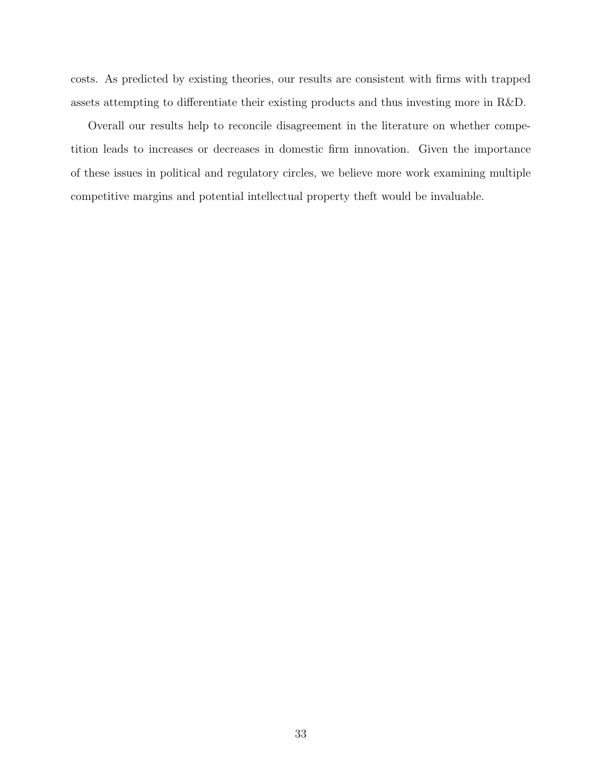costs. As predicted by existing theories, our results are consistent with firms with trapped assets attempting to differentiate their existing products and thus investing more in R&D.

Overall our results help to reconcile disagreement in the literature on whether competition leads to increases or decreases in domestic firm innovation. Given the importance of these issues in political and regulatory circles, we believe more work examining multiple competitive margins and potential intellectual property theft would be invaluable.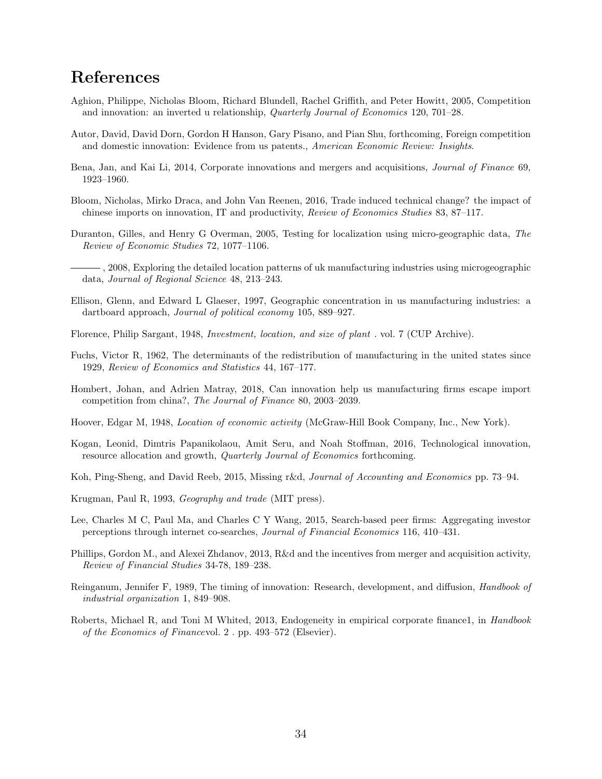# References

- <span id="page-34-0"></span>Aghion, Philippe, Nicholas Bloom, Richard Blundell, Rachel Griffith, and Peter Howitt, 2005, Competition and innovation: an inverted u relationship, Quarterly Journal of Economics 120, 701–28.
- <span id="page-34-2"></span>Autor, David, David Dorn, Gordon H Hanson, Gary Pisano, and Pian Shu, forthcoming, Foreign competition and domestic innovation: Evidence from us patents., American Economic Review: Insights.
- <span id="page-34-7"></span>Bena, Jan, and Kai Li, 2014, Corporate innovations and mergers and acquisitions, Journal of Finance 69, 1923–1960.
- <span id="page-34-1"></span>Bloom, Nicholas, Mirko Draca, and John Van Reenen, 2016, Trade induced technical change? the impact of chinese imports on innovation, IT and productivity, Review of Economics Studies 83, 87–117.
- <span id="page-34-15"></span>Duranton, Gilles, and Henry G Overman, 2005, Testing for localization using micro-geographic data, The Review of Economic Studies 72, 1077–1106.
- <span id="page-34-16"></span>, 2008, Exploring the detailed location patterns of uk manufacturing industries using microgeographic data, Journal of Regional Science 48, 213–243.
- <span id="page-34-14"></span>Ellison, Glenn, and Edward L Glaeser, 1997, Geographic concentration in us manufacturing industries: a dartboard approach, Journal of political economy 105, 889–927.
- <span id="page-34-10"></span>Florence, Philip Sargant, 1948, Investment, location, and size of plant . vol. 7 (CUP Archive).
- <span id="page-34-12"></span>Fuchs, Victor R, 1962, The determinants of the redistribution of manufacturing in the united states since 1929, Review of Economics and Statistics 44, 167–177.
- <span id="page-34-3"></span>Hombert, Johan, and Adrien Matray, 2018, Can innovation help us manufacturing firms escape import competition from china?, The Journal of Finance 80, 2003–2039.
- <span id="page-34-11"></span>Hoover, Edgar M, 1948, Location of economic activity (McGraw-Hill Book Company, Inc., New York).
- <span id="page-34-9"></span>Kogan, Leonid, Dimtris Papanikolaou, Amit Seru, and Noah Stoffman, 2016, Technological innovation, resource allocation and growth, Quarterly Journal of Economics forthcoming.
- <span id="page-34-8"></span>Koh, Ping-Sheng, and David Reeb, 2015, Missing r&d, Journal of Accounting and Economics pp. 73–94.
- <span id="page-34-13"></span>Krugman, Paul R, 1993, Geography and trade (MIT press).
- <span id="page-34-17"></span>Lee, Charles M C, Paul Ma, and Charles C Y Wang, 2015, Search-based peer firms: Aggregating investor perceptions through internet co-searches, Journal of Financial Economics 116, 410–431.
- <span id="page-34-6"></span>Phillips, Gordon M., and Alexei Zhdanov, 2013, R&d and the incentives from merger and acquisition activity, Review of Financial Studies 34-78, 189–238.
- <span id="page-34-5"></span>Reinganum, Jennifer F, 1989, The timing of innovation: Research, development, and diffusion, Handbook of industrial organization 1, 849–908.
- <span id="page-34-4"></span>Roberts, Michael R, and Toni M Whited, 2013, Endogeneity in empirical corporate finance1, in Handbook of the Economics of Financevol. 2 . pp. 493–572 (Elsevier).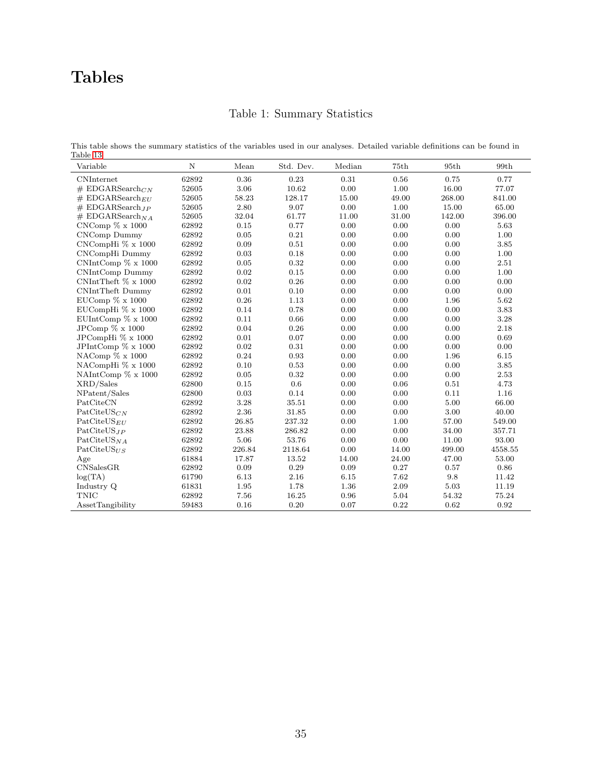# <span id="page-35-0"></span>Tables

# Table 1: Summary Statistics

This table shows the summary statistics of the variables used in our analyses. Detailed variable definitions can be found in Table [13](#page-51-0)

| Variable                    | $\mathbf N$ | ${\it Mean}$ | Std. Dev. | Median | 75th  | 95th   | 99th    |
|-----------------------------|-------------|--------------|-----------|--------|-------|--------|---------|
| <b>CNInternet</b>           | 62892       | 0.36         | $0.23\,$  | 0.31   | 0.56  | 0.75   | 0.77    |
| # EDGARSearch $_{CN}$       | 52605       | 3.06         | 10.62     | 0.00   | 1.00  | 16.00  | 77.07   |
| $# EDGARSearch_{EU}$        | 52605       | 58.23        | 128.17    | 15.00  | 49.00 | 268.00 | 841.00  |
| $# EDGARSearch_{IP}$        | 52605       | 2.80         | 9.07      | 0.00   | 1.00  | 15.00  | 65.00   |
| # EDGARSearch <sub>NA</sub> | 52605       | 32.04        | 61.77     | 11.00  | 31.00 | 142.00 | 396.00  |
| $CNComp \% x 1000$          | 62892       | 0.15         | 0.77      | 0.00   | 0.00  | 0.00   | 5.63    |
| CNComp Dummy                | 62892       | 0.05         | 0.21      | 0.00   | 0.00  | 0.00   | 1.00    |
| CNCompHi % x 1000           | 62892       | 0.09         | 0.51      | 0.00   | 0.00  | 0.00   | 3.85    |
| CNCompHi Dummy              | 62892       | 0.03         | 0.18      | 0.00   | 0.00  | 0.00   | 1.00    |
| $CNIntComp \% x 1000$       | 62892       | 0.05         | 0.32      | 0.00   | 0.00  | 0.00   | 2.51    |
| CNIntComp Dummy             | 62892       | 0.02         | 0.15      | 0.00   | 0.00  | 0.00   | 1.00    |
| CNIntTheft $\% \times 1000$ | 62892       | 0.02         | 0.26      | 0.00   | 0.00  | 0.00   | 0.00    |
| <b>CNIntTheft Dummy</b>     | 62892       | 0.01         | 0.10      | 0.00   | 0.00  | 0.00   | 0.00    |
| EUComp $\% \times 1000$     | 62892       | 0.26         | 1.13      | 0.00   | 0.00  | 1.96   | 5.62    |
| EUCompHi % x 1000           | 62892       | 0.14         | 0.78      | 0.00   | 0.00  | 0.00   | 3.83    |
| EUIntComp $\% \times 1000$  | 62892       | 0.11         | 0.66      | 0.00   | 0.00  | 0.00   | 3.28    |
| JPComp $\% \times 1000$     | 62892       | 0.04         | 0.26      | 0.00   | 0.00  | 0.00   | 2.18    |
| JPCompHi % x 1000           | 62892       | 0.01         | 0.07      | 0.00   | 0.00  | 0.00   | 0.69    |
| JPIntComp $\% \times 1000$  | 62892       | 0.02         | 0.31      | 0.00   | 0.00  | 0.00   | 0.00    |
| NAComp $\%$ x 1000          | 62892       | 0.24         | 0.93      | 0.00   | 0.00  | 1.96   | 6.15    |
| NACompHi % x 1000           | 62892       | 0.10         | 0.53      | 0.00   | 0.00  | 0.00   | 3.85    |
| NAIntComp $\% \times 1000$  | 62892       | 0.05         | 0.32      | 0.00   | 0.00  | 0.00   | 2.53    |
| XRD/Sales                   | 62800       | 0.15         | 0.6       | 0.00   | 0.06  | 0.51   | 4.73    |
| NPatent/Sales               | 62800       | 0.03         | 0.14      | 0.00   | 0.00  | 0.11   | 1.16    |
| PatCiteCN                   | 62892       | 3.28         | 35.51     | 0.00   | 0.00  | 5.00   | 66.00   |
| $\text{PatCiteUS}_{CN}$     | 62892       | $2.36\,$     | 31.85     | 0.00   | 0.00  | 3.00   | 40.00   |
| $\text{PatCiteUS}_{EII}$    | 62892       | 26.85        | 237.32    | 0.00   | 1.00  | 57.00  | 549.00  |
| $PatCiteUS_{JP}$            | 62892       | $23.88\,$    | 286.82    | 0.00   | 0.00  | 34.00  | 357.71  |
| $\text{PatCiteUS}_{NA}$     | 62892       | 5.06         | 53.76     | 0.00   | 0.00  | 11.00  | 93.00   |
| $\text{PatCiteUS}_{IIS}$    | 62892       | 226.84       | 2118.64   | 0.00   | 14.00 | 499.00 | 4558.55 |
| Age                         | 61884       | 17.87        | 13.52     | 14.00  | 24.00 | 47.00  | 53.00   |
| CNSalesGR                   | 62892       | 0.09         | 0.29      | 0.09   | 0.27  | 0.57   | 0.86    |
| log(TA)                     | 61790       | 6.13         | 2.16      | 6.15   | 7.62  | 9.8    | 11.42   |
| Industry Q                  | 61831       | 1.95         | 1.78      | 1.36   | 2.09  | 5.03   | 11.19   |
| <b>TNIC</b>                 | 62892       | 7.56         | 16.25     | 0.96   | 5.04  | 54.32  | 75.24   |
| <b>AssetTangibility</b>     | 59483       | 0.16         | 0.20      | 0.07   | 0.22  | 0.62   | 0.92    |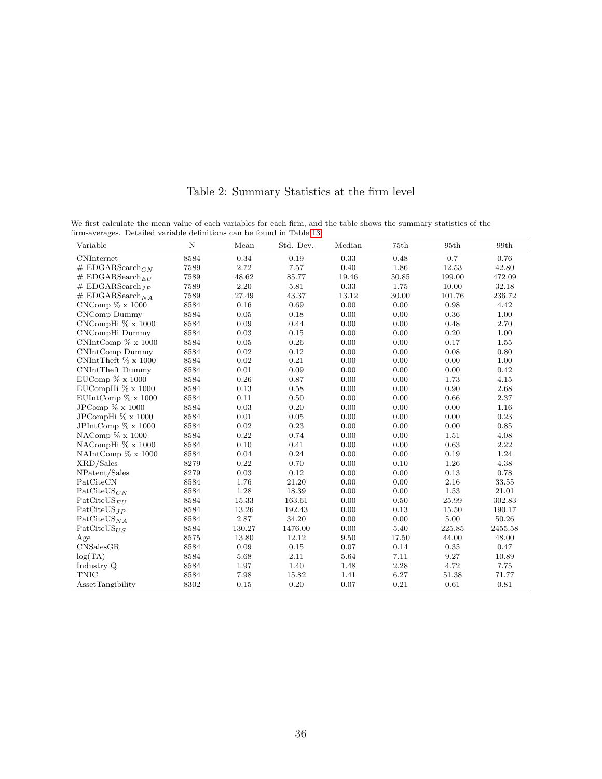| firm-averages. Detailed variable definitions can be found in Table 13 |             |        |           |        |       |        |         |
|-----------------------------------------------------------------------|-------------|--------|-----------|--------|-------|--------|---------|
| Variable                                                              | $\mathbf N$ | Mean   | Std. Dev. | Median | 75th  | 95th   | 99th    |
| <b>CNInternet</b>                                                     | 8584        | 0.34   | 0.19      | 0.33   | 0.48  | 0.7    | 0.76    |
| # EDGARSearch $_{CN}$                                                 | 7589        | 2.72   | 7.57      | 0.40   | 1.86  | 12.53  | 42.80   |
| $#$ EDGARSearch <sub>EU</sub>                                         | 7589        | 48.62  | 85.77     | 19.46  | 50.85 | 199.00 | 472.09  |
| # EDGARSearch <sub>IP</sub>                                           | 7589        | 2.20   | 5.81      | 0.33   | 1.75  | 10.00  | 32.18   |
| $# EDGARSearch_{NA}$                                                  | 7589        | 27.49  | 43.37     | 13.12  | 30.00 | 101.76 | 236.72  |
| $CNComp \frac{6}{2} \times 1000$                                      | 8584        | 0.16   | 0.69      | 0.00   | 0.00  | 0.98   | 4.42    |
| CNComp Dummy                                                          | 8584        | 0.05   | 0.18      | 0.00   | 0.00  | 0.36   | 1.00    |
| $CNCompHi \% x 1000$                                                  | 8584        | 0.09   | 0.44      | 0.00   | 0.00  | 0.48   | 2.70    |
| CNCompHi Dummy                                                        | 8584        | 0.03   | 0.15      | 0.00   | 0.00  | 0.20   | 1.00    |
| $CNIntComp \ % x 1000$                                                | 8584        | 0.05   | 0.26      | 0.00   | 0.00  | 0.17   | 1.55    |
| CNIntComp Dummy                                                       | 8584        | 0.02   | 0.12      | 0.00   | 0.00  | 0.08   | 0.80    |
| CNIntTheft $\% \times 1000$                                           | 8584        | 0.02   | 0.21      | 0.00   | 0.00  | 0.00   | 1.00    |
| CNIntTheft Dummy                                                      | 8584        | 0.01   | 0.09      | 0.00   | 0.00  | 0.00   | 0.42    |
| EUComp $\%$ x 1000                                                    | 8584        | 0.26   | 0.87      | 0.00   | 0.00  | 1.73   | 4.15    |
| EUCompHi % x 1000                                                     | 8584        | 0.13   | 0.58      | 0.00   | 0.00  | 0.90   | 2.68    |
| EUIntComp $\% \times 1000$                                            | 8584        | 0.11   | 0.50      | 0.00   | 0.00  | 0.66   | 2.37    |
| JPComp $\% \times 1000$                                               | 8584        | 0.03   | 0.20      | 0.00   | 0.00  | 0.00   | 1.16    |
| JPCompHi % x 1000                                                     | 8584        | 0.01   | 0.05      | 0.00   | 0.00  | 0.00   | 0.23    |
| JPIntComp % x 1000                                                    | 8584        | 0.02   | 0.23      | 0.00   | 0.00  | 0.00   | 0.85    |
| NAComp % x 1000                                                       | 8584        | 0.22   | 0.74      | 0.00   | 0.00  | 1.51   | 4.08    |
| NACompHi % x 1000                                                     | 8584        | 0.10   | 0.41      | 0.00   | 0.00  | 0.63   | 2.22    |
| NAIntComp $\% \times 1000$                                            | 8584        | 0.04   | 0.24      | 0.00   | 0.00  | 0.19   | 1.24    |
| XRD/Sales                                                             | 8279        | 0.22   | 0.70      | 0.00   | 0.10  | 1.26   | 4.38    |
| NPatent/Sales                                                         | 8279        | 0.03   | 0.12      | 0.00   | 0.00  | 0.13   | 0.78    |
| PatCiteCN                                                             | 8584        | 1.76   | 21.20     | 0.00   | 0.00  | 2.16   | 33.55   |
| $\text{PatCiteUS}_{CN}$                                               | 8584        | 1.28   | 18.39     | 0.00   | 0.00  | 1.53   | 21.01   |
| $\text{PatCiteUS}_{EII}$                                              | 8584        | 15.33  | 163.61    | 0.00   | 0.50  | 25.99  | 302.83  |
| $\text{PatCiteUS}_{JP}$                                               | 8584        | 13.26  | 192.43    | 0.00   | 0.13  | 15.50  | 190.17  |
| $\text{PatCiteUS}_{NA}$                                               | 8584        | 2.87   | 34.20     | 0.00   | 0.00  | 5.00   | 50.26   |
| $\text{PatCiteUS}_{\text{IIS}}$                                       | 8584        | 130.27 | 1476.00   | 0.00   | 5.40  | 225.85 | 2455.58 |
| Age                                                                   | 8575        | 13.80  | 12.12     | 9.50   | 17.50 | 44.00  | 48.00   |
| CNSalesGR                                                             | 8584        | 0.09   | 0.15      | 0.07   | 0.14  | 0.35   | 0.47    |
| log(TA)                                                               | 8584        | 5.68   | 2.11      | 5.64   | 7.11  | 9.27   | 10.89   |
| Industry Q                                                            | 8584        | 1.97   | 1.40      | 1.48   | 2.28  | 4.72   | 7.75    |
| <b>TNIC</b>                                                           | 8584        | 7.98   | 15.82     | 1.41   | 6.27  | 51.38  | 71.77   |
| AssetTangibility                                                      | 8302        | 0.15   | 0.20      | 0.07   | 0.21  | 0.61   | 0.81    |

Table 2: Summary Statistics at the firm level

<span id="page-36-0"></span>We first calculate the mean value of each variables for each firm, and the table shows the summary statistics of the firm-averages. Detailed variable definitions can be found in Table [13](#page-51-0)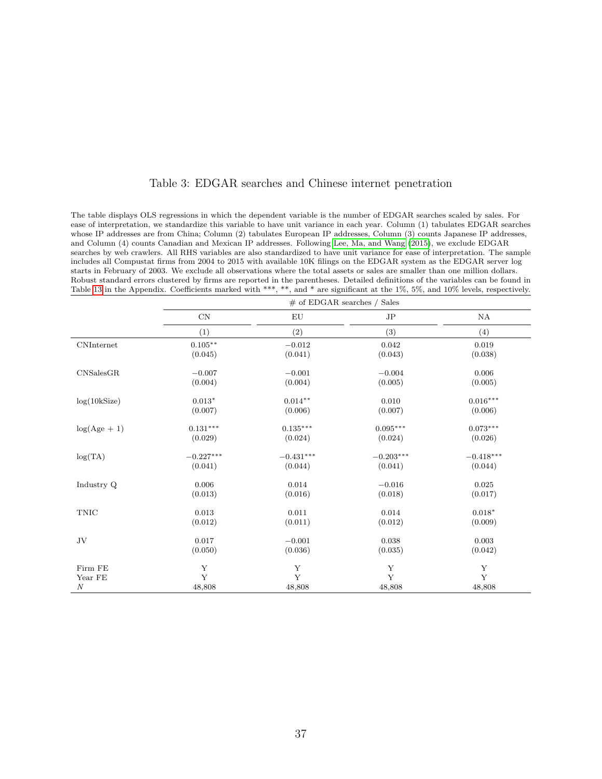| Table 3: EDGAR searches and Chinese internet penetration |  |  |  |  |
|----------------------------------------------------------|--|--|--|--|
|----------------------------------------------------------|--|--|--|--|

<span id="page-37-0"></span>The table displays OLS regressions in which the dependent variable is the number of EDGAR searches scaled by sales. For ease of interpretation, we standardize this variable to have unit variance in each year. Column (1) tabulates EDGAR searches whose IP addresses are from China; Column (2) tabulates European IP addresses, Column (3) counts Japanese IP addresses, and Column (4) counts Canadian and Mexican IP addresses. Following [Lee, Ma, and Wang](#page-34-17) [\(2015\)](#page-34-17), we exclude EDGAR searches by web crawlers. All RHS variables are also standardized to have unit variance for ease of interpretation. The sample includes all Compustat firms from 2004 to 2015 with available 10K filings on the EDGAR system as the EDGAR server log starts in February of 2003. We exclude all observations where the total assets or sales are smaller than one million dollars. Robust standard errors clustered by firms are reported in the parentheses. Detailed definitions of the variables can be found in Table [13](#page-51-0) in the Appendix. Coefficients marked with \*\*\*, \*\*, and \* are significant at the 1%, 5%, and 10% levels, respectively.

|                   |             |             | $\#$ of EDGAR searches / Sales |             |
|-------------------|-------------|-------------|--------------------------------|-------------|
|                   | $\mbox{CN}$ | EU          | JP                             | NA          |
|                   | (1)         | (2)         | (3)                            | (4)         |
| <b>CNInternet</b> | $0.105***$  | $-0.012$    | $\,0.042\,$                    | 0.019       |
|                   | (0.045)     | (0.041)     | (0.043)                        | (0.038)     |
| CNSalesGR         | $-0.007$    | $-0.001$    | $-0.004$                       | 0.006       |
|                   | (0.004)     | (0.004)     | (0.005)                        | (0.005)     |
| log(10kSize)      | $0.013*$    | $0.014**$   | 0.010                          | $0.016***$  |
|                   | (0.007)     | (0.006)     | (0.007)                        | (0.006)     |
| $log(Age + 1)$    | $0.131***$  | $0.135***$  | $0.095***$                     | $0.073***$  |
|                   | (0.029)     | (0.024)     | (0.024)                        | (0.026)     |
| log(TA)           | $-0.227***$ | $-0.431***$ | $-0.203***$                    | $-0.418***$ |
|                   | (0.041)     | (0.044)     | (0.041)                        | (0.044)     |
| Industry Q        | $0.006\,$   | $\,0.014\,$ | $-0.016$                       | 0.025       |
|                   | (0.013)     | (0.016)     | (0.018)                        | (0.017)     |
| <b>TNIC</b>       | 0.013       | 0.011       | 0.014                          | $0.018*$    |
|                   | (0.012)     | (0.011)     | (0.012)                        | (0.009)     |
| $\rm{JV}$         | 0.017       | $-0.001$    | 0.038                          | 0.003       |
|                   | (0.050)     | (0.036)     | (0.035)                        | (0.042)     |
| Firm FE           | Y           | Y           | Y                              | Y           |
| Year FE           | Y           | Y           | Y                              | Y           |
| $\boldsymbol{N}$  | 48,808      | 48,808      | 48,808                         | 48,808      |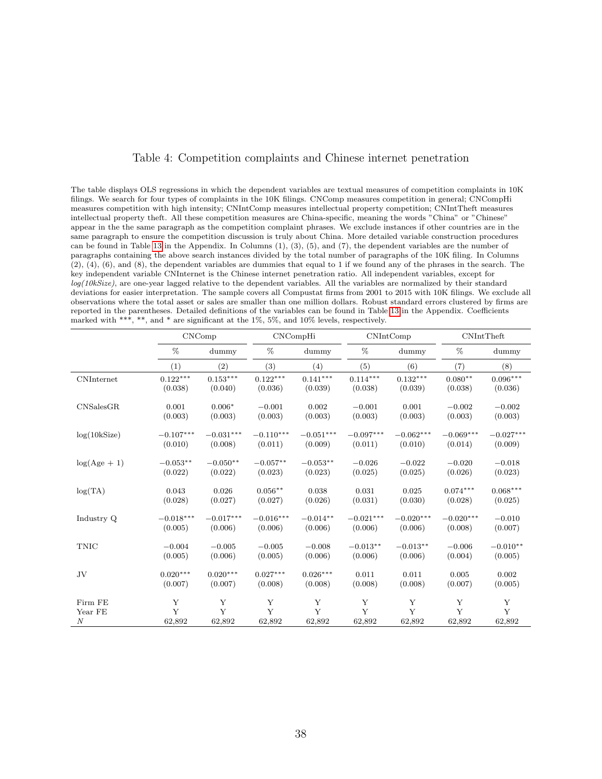### Table 4: Competition complaints and Chinese internet penetration

<span id="page-38-0"></span>The table displays OLS regressions in which the dependent variables are textual measures of competition complaints in 10K filings. We search for four types of complaints in the 10K filings. CNComp measures competition in general; CNCompHi measures competition with high intensity; CNIntComp measures intellectual property competition; CNIntTheft measures intellectual property theft. All these competition measures are China-specific, meaning the words "China" or "Chinese" appear in the the same paragraph as the competition complaint phrases. We exclude instances if other countries are in the same paragraph to ensure the competition discussion is truly about China. More detailed variable construction procedures can be found in Table [13](#page-51-0) in the Appendix. In Columns (1), (3), (5), and (7), the dependent variables are the number of paragraphs containing the above search instances divided by the total number of paragraphs of the 10K filing. In Columns (2), (4), (6), and (8), the dependent variables are dummies that equal to 1 if we found any of the phrases in the search. The key independent variable CNInternet is the Chinese internet penetration ratio. All independent variables, except for  $log(10kSize)$ , are one-year lagged relative to the dependent variables. All the variables are normalized by their standard deviations for easier interpretation. The sample covers all Compustat firms from 2001 to 2015 with 10K filings. We exclude all observations where the total asset or sales are smaller than one million dollars. Robust standard errors clustered by firms are reported in the parentheses. Detailed definitions of the variables can be found in Table [13](#page-51-0) in the Appendix. Coefficients marked with \*\*\*, \*\*, and \* are significant at the 1%, 5%, and 10% levels, respectively.

|                  | CNComp      |             | CNCompHi    |             | CNIntComp   |             | <b>CNIntTheft</b> |                 |
|------------------|-------------|-------------|-------------|-------------|-------------|-------------|-------------------|-----------------|
|                  | %           | dummy       | %           | dummy       | %           | dummy       | %                 | dummy           |
|                  | (1)         | (2)         | (3)         | (4)         | (5)         | (6)         | (7)               | (8)             |
| CNInternet       | $0.122***$  | $0.153***$  | $0.122***$  | $0.141***$  | $0.114***$  | $0.132***$  | $0.080**$         | $0.096***$      |
|                  | (0.038)     | (0.040)     | (0.036)     | (0.039)     | (0.038)     | (0.039)     | (0.038)           | (0.036)         |
| CNSalesGR        | 0.001       | $0.006*$    | $-0.001$    | 0.002       | $-0.001$    | 0.001       | $-0.002$          | $-0.002$        |
|                  | (0.003)     | (0.003)     | (0.003)     | (0.003)     | (0.003)     | (0.003)     | (0.003)           | (0.003)         |
| log(10kSize)     | $-0.107***$ | $-0.031***$ | $-0.110***$ | $-0.051***$ | $-0.097***$ | $-0.062***$ | $-0.069***$       | $-0.027***$     |
|                  | (0.010)     | (0.008)     | (0.011)     | (0.009)     | (0.011)     | (0.010)     | (0.014)           | (0.009)         |
| $log(Age + 1)$   | $-0.053**$  | $-0.050**$  | $-0.057**$  | $-0.053**$  | $-0.026$    | $-0.022$    | $-0.020$          | $-0.018$        |
|                  | (0.022)     | (0.022)     | (0.023)     | (0.023)     | (0.025)     | (0.025)     | (0.026)           | (0.023)         |
| log(TA)          | 0.043       | 0.026       | $0.056**$   | 0.038       | 0.031       | 0.025       | $0.074***$        | $0.068^{***}\,$ |
|                  | (0.028)     | (0.027)     | (0.027)     | (0.026)     | (0.031)     | (0.030)     | (0.028)           | (0.025)         |
| Industry Q       | $-0.018***$ | $-0.017***$ | $-0.016***$ | $-0.014**$  | $-0.021***$ | $-0.020***$ | $-0.020***$       | $-0.010$        |
|                  | (0.005)     | (0.006)     | (0.006)     | (0.006)     | (0.006)     | (0.006)     | (0.008)           | (0.007)         |
| <b>TNIC</b>      | $-0.004$    | $-0.005$    | $-0.005$    | $-0.008$    | $-0.013**$  | $-0.013**$  | $-0.006$          | $-0.010**$      |
|                  | (0.005)     | (0.006)     | (0.005)     | (0.006)     | (0.006)     | (0.006)     | (0.004)           | (0.005)         |
| JV               | $0.020***$  | $0.020***$  | $0.027***$  | $0.026***$  | 0.011       | 0.011       | 0.005             | 0.002           |
|                  | (0.007)     | (0.007)     | (0.008)     | (0.008)     | (0.008)     | (0.008)     | (0.007)           | (0.005)         |
| Firm FE          | Y           | Y           | Y           | Y           | Y           | Y           | Y                 | Y               |
| Year FE          | Y           | Y           | Y           | Y           | Y           | Y           | Y                 | Y               |
| $\boldsymbol{N}$ | 62,892      | 62,892      | 62,892      | 62,892      | 62,892      | 62,892      | 62,892            | 62,892          |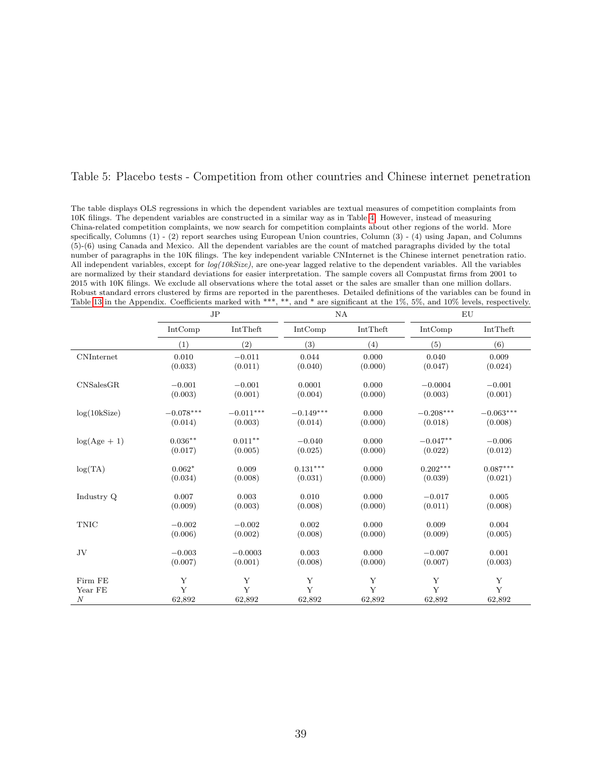#### <span id="page-39-0"></span>Table 5: Placebo tests - Competition from other countries and Chinese internet penetration

The table displays OLS regressions in which the dependent variables are textual measures of competition complaints from 10K filings. The dependent variables are constructed in a similar way as in Table [4.](#page-38-0) However, instead of measuring China-related competition complaints, we now search for competition complaints about other regions of the world. More specifically, Columns (1) - (2) report searches using European Union countries, Column (3) - (4) using Japan, and Columns (5)-(6) using Canada and Mexico. All the dependent variables are the count of matched paragraphs divided by the total number of paragraphs in the 10K filings. The key independent variable CNInternet is the Chinese internet penetration ratio. All independent variables, except for  $log(10kSize)$ , are one-year lagged relative to the dependent variables. All the variables are normalized by their standard deviations for easier interpretation. The sample covers all Compustat firms from 2001 to 2015 with 10K filings. We exclude all observations where the total asset or the sales are smaller than one million dollars. Robust standard errors clustered by firms are reported in the parentheses. Detailed definitions of the variables can be found in Table [13](#page-51-0) in the Appendix. Coefficients marked with \*\*\*, \*\*, and \* are significant at the 1%, 5%, and 10% levels, respectively.

|                   | $_{\rm JP}$ |             | NA          |          |             | ΕU          |
|-------------------|-------------|-------------|-------------|----------|-------------|-------------|
|                   | IntComp     | IntTheft    | IntComp     | IntTheft | IntComp     | IntTheft    |
|                   | (1)         | (2)         | (3)         | (4)      | (5)         | (6)         |
| <b>CNInternet</b> | 0.010       | $-0.011$    | 0.044       | 0.000    | 0.040       | 0.009       |
|                   | (0.033)     | (0.011)     | (0.040)     | (0.000)  | (0.047)     | (0.024)     |
| CNSalesGR         | $-0.001$    | $-0.001$    | 0.0001      | 0.000    | $-0.0004$   | $-0.001$    |
|                   | (0.003)     | (0.001)     | (0.004)     | (0.000)  | (0.003)     | (0.001)     |
| log(10kSize)      | $-0.078***$ | $-0.011***$ | $-0.149***$ | 0.000    | $-0.208***$ | $-0.063***$ |
|                   | (0.014)     | (0.003)     | (0.014)     | (0.000)  | (0.018)     | (0.008)     |
| $log(Age + 1)$    | $0.036**$   | $0.011**$   | $-0.040$    | 0.000    | $-0.047**$  | $-0.006$    |
|                   | (0.017)     | (0.005)     | (0.025)     | (0.000)  | (0.022)     | (0.012)     |
| log(TA)           | $0.062*$    | 0.009       | $0.131***$  | 0.000    | $0.202***$  | $0.087***$  |
|                   | (0.034)     | (0.008)     | (0.031)     | (0.000)  | (0.039)     | (0.021)     |
| Industry Q        | 0.007       | 0.003       | 0.010       | 0.000    | $-0.017$    | 0.005       |
|                   | (0.009)     | (0.003)     | (0.008)     | (0.000)  | (0.011)     | (0.008)     |
| <b>TNIC</b>       | $-0.002$    | $-0.002$    | 0.002       | 0.000    | 0.009       | 0.004       |
|                   | (0.006)     | (0.002)     | (0.008)     | (0.000)  | (0.009)     | (0.005)     |
| JV                | $-0.003$    | $-0.0003$   | 0.003       | 0.000    | $-0.007$    | 0.001       |
|                   | (0.007)     | (0.001)     | (0.008)     | (0.000)  | (0.007)     | (0.003)     |
| Firm FE           | Y           | Y           | Y           | Y        | Y           | Y           |
| Year FE           | Y           | Y           | Y           | Y        | Y           | Y           |
| $\boldsymbol{N}$  | 62,892      | 62,892      | 62,892      | 62,892   | 62,892      | 62,892      |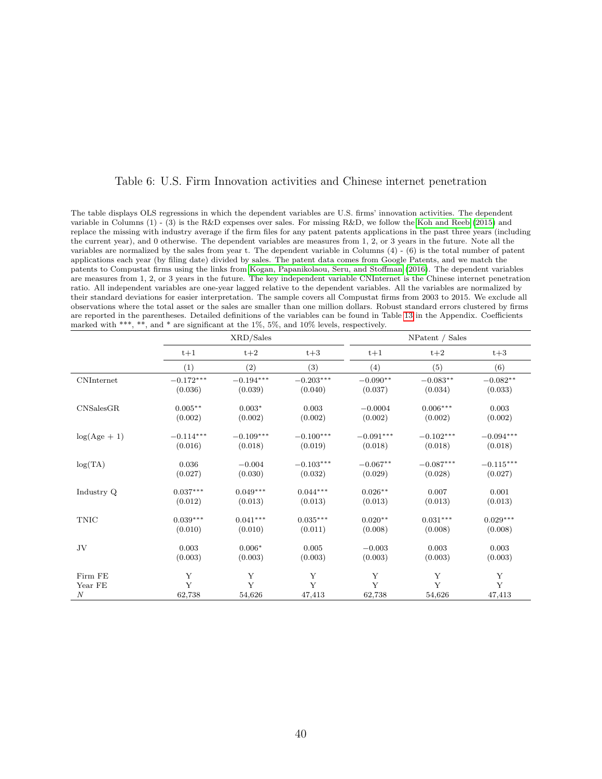### Table 6: U.S. Firm Innovation activities and Chinese internet penetration

<span id="page-40-0"></span>The table displays OLS regressions in which the dependent variables are U.S. firms' innovation activities. The dependent variable in Columns (1) - (3) is the R&D expenses over sales. For missing R&D, we follow the [Koh and Reeb](#page-34-8) [\(2015\)](#page-34-8) and replace the missing with industry average if the firm files for any patent patents applications in the past three years (including the current year), and 0 otherwise. The dependent variables are measures from 1, 2, or 3 years in the future. Note all the variables are normalized by the sales from year t. The dependent variable in Columns (4) - (6) is the total number of patent applications each year (by filing date) divided by sales. The patent data comes from Google Patents, and we match the patents to Compustat firms using the links from [Kogan, Papanikolaou, Seru, and Stoffman](#page-34-9) [\(2016\)](#page-34-9). The dependent variables are measures from 1, 2, or 3 years in the future. The key independent variable CNInternet is the Chinese internet penetration ratio. All independent variables are one-year lagged relative to the dependent variables. All the variables are normalized by their standard deviations for easier interpretation. The sample covers all Compustat firms from 2003 to 2015. We exclude all observations where the total asset or the sales are smaller than one million dollars. Robust standard errors clustered by firms are reported in the parentheses. Detailed definitions of the variables can be found in Table [13](#page-51-0) in the Appendix. Coefficients marked with \*\*\*, \*\*, and \* are significant at the 1%, 5%, and 10% levels, respectively.

|                   |             | XRD/Sales               |                         |             | NPatent / Sales |             |
|-------------------|-------------|-------------------------|-------------------------|-------------|-----------------|-------------|
|                   | $t+1$       | $t+2$                   | $t+3$                   | $t+1$       | $t+2$           | $t+3$       |
|                   | (1)         | (2)                     | (3)                     | (4)         | (5)             | (6)         |
| <b>CNInternet</b> | $-0.172***$ | $-0.194^{\ast\ast\ast}$ | $-0.203^{\ast\ast\ast}$ | $-0.090**$  | $-0.083**$      | $-0.082**$  |
|                   | (0.036)     | (0.039)                 | (0.040)                 | (0.037)     | (0.034)         | (0.033)     |
| CNSalesGR         | $0.005**$   | $0.003*$                | 0.003                   | $-0.0004$   | $0.006***$      | 0.003       |
|                   | (0.002)     | (0.002)                 | (0.002)                 | (0.002)     | (0.002)         | (0.002)     |
| $log(Age + 1)$    | $-0.114***$ | $-0.109***$             | $-0.100***$             | $-0.091***$ | $-0.102***$     | $-0.094***$ |
|                   | (0.016)     | (0.018)                 | (0.019)                 | (0.018)     | (0.018)         | (0.018)     |
| log(TA)           | 0.036       | $-0.004$                | $-0.103***$             | $-0.067**$  | $-0.087***$     | $-0.115***$ |
|                   | (0.027)     | (0.030)                 | (0.032)                 | (0.029)     | (0.028)         | (0.027)     |
| Industry Q        | $0.037***$  | $0.049***$              | $0.044***$              | $0.026**$   | 0.007           | 0.001       |
|                   | (0.012)     | (0.013)                 | (0.013)                 | (0.013)     | (0.013)         | (0.013)     |
| <b>TNIC</b>       | $0.039***$  | $0.041***$              | $0.035***$              | $0.020**$   | $0.031***$      | $0.029***$  |
|                   | (0.010)     | (0.010)                 | (0.011)                 | (0.008)     | (0.008)         | (0.008)     |
| $\rm{JV}$         | 0.003       | $0.006*$                | 0.005                   | $-0.003$    | 0.003           | 0.003       |
|                   | (0.003)     | (0.003)                 | (0.003)                 | (0.003)     | (0.003)         | (0.003)     |
| Firm FE           | Y           | Y                       | Y                       | Y           | Y               | $\mathbf Y$ |
| Year FE           | Y           | Y                       | Y                       | Y           | Y               | Y           |
| $\boldsymbol{N}$  | 62,738      | 54,626                  | 47,413                  | 62,738      | 54,626          | 47,413      |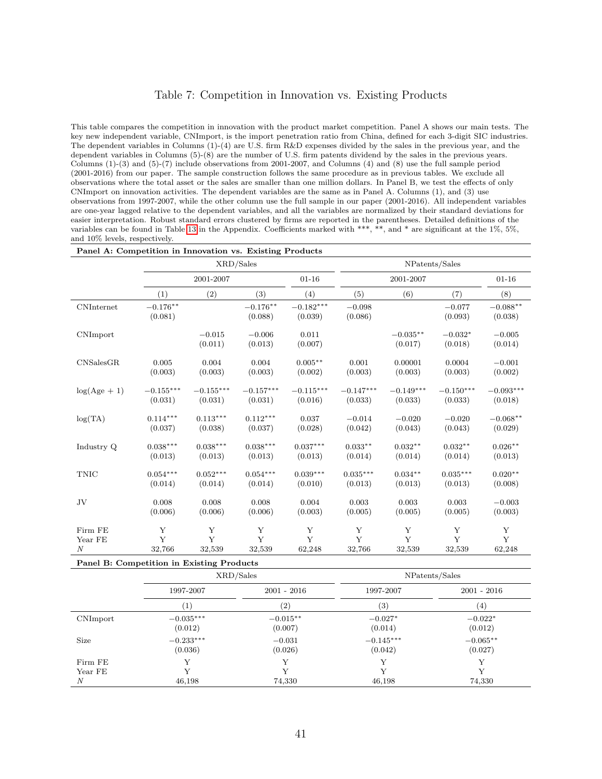### Table 7: Competition in Innovation vs. Existing Products

<span id="page-41-0"></span>This table compares the competition in innovation with the product market competition. Panel A shows our main tests. The key new independent variable, CNImport, is the import penetration ratio from China, defined for each 3-digit SIC industries. The dependent variables in Columns (1)-(4) are U.S. firm R&D expenses divided by the sales in the previous year, and the dependent variables in Columns (5)-(8) are the number of U.S. firm patents dividend by the sales in the previous years. Columns (1)-(3) and (5)-(7) include observations from 2001-2007, and Columns (4) and (8) use the full sample period (2001-2016) from our paper. The sample construction follows the same procedure as in previous tables. We exclude all observations where the total asset or the sales are smaller than one million dollars. In Panel B, we test the effects of only CNImport on innovation activities. The dependent variables are the same as in Panel A. Columns (1), and (3) use observations from 1997-2007, while the other column use the full sample in our paper (2001-2016). All independent variables are one-year lagged relative to the dependent variables, and all the variables are normalized by their standard deviations for easier interpretation. Robust standard errors clustered by firms are reported in the parentheses. Detailed definitions of the variables can be found in Table [13](#page-51-0) in the Appendix. Coefficients marked with \*\*\*, \*\*, and \* are significant at the 1%, 5%, and 10% levels, respectively.

|                  |                       | XRD/Sales           |                       |                        |                     |                       | NPatents/Sales       |                       |
|------------------|-----------------------|---------------------|-----------------------|------------------------|---------------------|-----------------------|----------------------|-----------------------|
|                  |                       | 2001-2007           |                       | $01 - 16$              |                     | 2001-2007             |                      | $01 - 16$             |
|                  | (1)                   | (2)                 | (3)                   | (4)                    | (5)                 | (6)                   | (7)                  | (8)                   |
| CNInternet       | $-0.176**$<br>(0.081) |                     | $-0.176**$<br>(0.088) | $-0.182***$<br>(0.039) | $-0.098$<br>(0.086) |                       | $-0.077$<br>(0.093)  | $-0.088**$<br>(0.038) |
| CNImport         |                       | $-0.015$<br>(0.011) | $-0.006$<br>(0.013)   | 0.011<br>(0.007)       |                     | $-0.035**$<br>(0.017) | $-0.032*$<br>(0.018) | $-0.005$<br>(0.014)   |
| CNSalesGR        | 0.005                 | 0.004               | 0.004                 | $0.005**$              | 0.001               | 0.00001               | 0.0004               | $-0.001$              |
|                  | (0.003)               | (0.003)             | (0.003)               | (0.002)                | (0.003)             | (0.003)               | (0.003)              | (0.002)               |
| $log(Age + 1)$   | $-0.155***$           | $-0.155***$         | $-0.157***$           | $-0.115***$            | $-0.147***$         | $-0.149***$           | $-0.150***$          | $-0.093***$           |
|                  | (0.031)               | (0.031)             | (0.031)               | (0.016)                | (0.033)             | (0.033)               | (0.033)              | (0.018)               |
| log(TA)          | $0.114***$            | $0.113***$          | $0.112***$            | 0.037                  | $-0.014$            | $-0.020$              | $-0.020$             | $-0.068**$            |
|                  | (0.037)               | (0.038)             | (0.037)               | (0.028)                | (0.042)             | (0.043)               | (0.043)              | (0.029)               |
| Industry Q       | $0.038***$            | $0.038***$          | $0.038***$            | $0.037***$             | $0.033**$           | $0.032**$             | $0.032**$            | $0.026**$             |
|                  | (0.013)               | (0.013)             | (0.013)               | (0.013)                | (0.014)             | (0.014)               | (0.014)              | (0.013)               |
| <b>TNIC</b>      | $0.054***$            | $0.052***$          | $0.054***$            | $0.039***$             | $0.035***$          | $0.034***$            | $0.035***$           | $0.020**$             |
|                  | (0.014)               | (0.014)             | (0.014)               | (0.010)                | (0.013)             | (0.013)               | (0.013)              | (0.008)               |
| JV               | 0.008                 | 0.008               | 0.008                 | 0.004                  | 0.003               | 0.003                 | 0.003                | $-0.003$              |
|                  | (0.006)               | (0.006)             | (0.006)               | (0.003)                | (0.005)             | (0.005)               | (0.005)              | (0.003)               |
| Firm FE          | Y                     | Y                   | Y                     | Y                      | Y                   | Y                     | Y                    | Y                     |
| Year FE          | Y                     | Y                   | Y                     | Y                      | $\mathbf{Y}$        | Y                     | Y                    | Y                     |
| $\boldsymbol{N}$ | 32,766                | 32,539              | 32,539                | 62,248                 | 32,766              | 32,539                | 32,539               | 62,248                |

#### Panel B: Competition in Existing Products

|                    |                        | XRD/Sales             |                        | NPatents/Sales        |
|--------------------|------------------------|-----------------------|------------------------|-----------------------|
|                    | 1997-2007              | $2001 - 2016$         | 1997-2007              | $2001 - 2016$         |
|                    | $\left  \right $       | $\left( 2\right)$     | (3)                    | (4)                   |
| CNImport           | $-0.035***$<br>(0.012) | $-0.015**$<br>(0.007) | $-0.027*$<br>(0.014)   | $-0.022*$<br>(0.012)  |
| Size               | $-0.233***$<br>(0.036) | $-0.031$<br>(0.026)   | $-0.145***$<br>(0.042) | $-0.065**$<br>(0.027) |
| Firm FE<br>Year FE |                        |                       |                        |                       |
| N                  | 46,198                 | 74,330                | 46,198                 | 74,330                |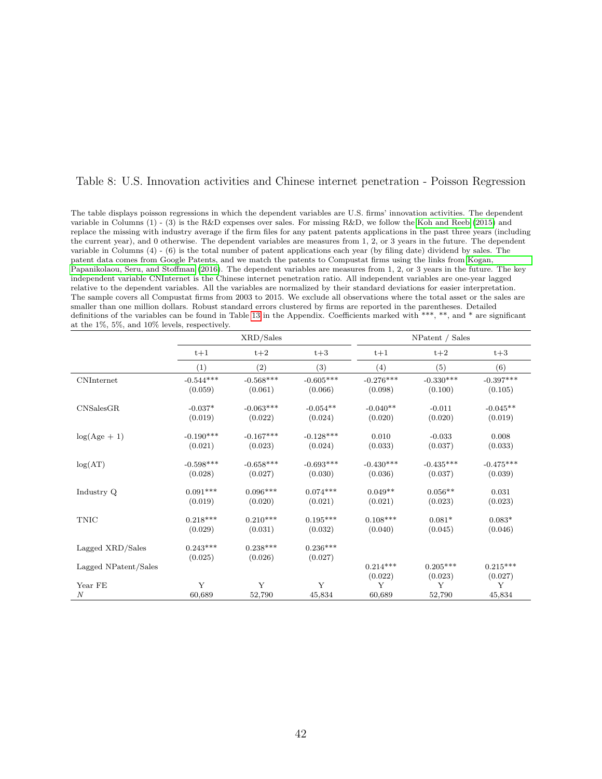### <span id="page-42-0"></span>Table 8: U.S. Innovation activities and Chinese internet penetration - Poisson Regression

The table displays poisson regressions in which the dependent variables are U.S. firms' innovation activities. The dependent variable in Columns (1) - (3) is the R&D expenses over sales. For missing R&D, we follow the [Koh and Reeb](#page-34-8) [\(2015\)](#page-34-8) and replace the missing with industry average if the firm files for any patent patents applications in the past three years (including the current year), and 0 otherwise. The dependent variables are measures from 1, 2, or 3 years in the future. The dependent variable in Columns (4) - (6) is the total number of patent applications each year (by filing date) dividend by sales. The patent data comes from Google Patents, and we match the patents to Compustat firms using the links from [Kogan,](#page-34-9) [Papanikolaou, Seru, and Stoffman](#page-34-9) [\(2016\)](#page-34-9). The dependent variables are measures from 1, 2, or 3 years in the future. The key independent variable CNInternet is the Chinese internet penetration ratio. All independent variables are one-year lagged relative to the dependent variables. All the variables are normalized by their standard deviations for easier interpretation. The sample covers all Compustat firms from 2003 to 2015. We exclude all observations where the total asset or the sales are smaller than one million dollars. Robust standard errors clustered by firms are reported in the parentheses. Detailed definitions of the variables can be found in Table [13](#page-51-0) in the Appendix. Coefficients marked with \*\*\*, \*\*, and \* are significant at the 1%, 5%, and 10% levels, respectively.

|                      |                        | XRD/Sales              |                        |                        | NPatent / Sales        |                        |
|----------------------|------------------------|------------------------|------------------------|------------------------|------------------------|------------------------|
|                      | $t+1$                  | $t+2$                  | $t+3$                  | $t+1$                  | $t+2$                  | $t+3$                  |
|                      | (1)                    | (2)                    | (3)                    | (4)                    | (5)                    | (6)                    |
| <b>CNInternet</b>    | $-0.544***$<br>(0.059) | $-0.568***$<br>(0.061) | $-0.605***$<br>(0.066) | $-0.276***$<br>(0.098) | $-0.330***$<br>(0.100) | $-0.397***$<br>(0.105) |
| CNSalesGR            | $-0.037*$<br>(0.019)   | $-0.063***$<br>(0.022) | $-0.054**$<br>(0.024)  | $-0.040**$<br>(0.020)  | $-0.011$<br>(0.020)    | $-0.045**$<br>(0.019)  |
| $log(Age + 1)$       | $-0.190***$<br>(0.021) | $-0.167***$<br>(0.023) | $-0.128***$<br>(0.024) | 0.010<br>(0.033)       | $-0.033$<br>(0.037)    | 0.008<br>(0.033)       |
| log(AT)              | $-0.598***$<br>(0.028) | $-0.658***$<br>(0.027) | $-0.693***$<br>(0.030) | $-0.430***$<br>(0.036) | $-0.435***$<br>(0.037) | $-0.475***$<br>(0.039) |
| Industry Q           | $0.091***$<br>(0.019)  | $0.096***$<br>(0.020)  | $0.074***$<br>(0.021)  | $0.049**$<br>(0.021)   | $0.056**$<br>(0.023)   | 0.031<br>(0.023)       |
| <b>TNIC</b>          | $0.218***$<br>(0.029)  | $0.210***$<br>(0.031)  | $0.195***$<br>(0.032)  | $0.108***$<br>(0.040)  | $0.081*$<br>(0.045)    | $0.083*$<br>(0.046)    |
| Lagged XRD/Sales     | $0.243***$<br>(0.025)  | $0.238***$<br>(0.026)  | $0.236***$<br>(0.027)  |                        |                        |                        |
| Lagged NPatent/Sales |                        |                        |                        | $0.214***$<br>(0.022)  | $0.205***$<br>(0.023)  | $0.215***$<br>(0.027)  |
| Year FE              | Y                      | Y                      | Y                      | Y                      | Y                      | Y                      |
| $\boldsymbol{N}$     | 60,689                 | 52,790                 | 45,834                 | 60,689                 | 52,790                 | 45,834                 |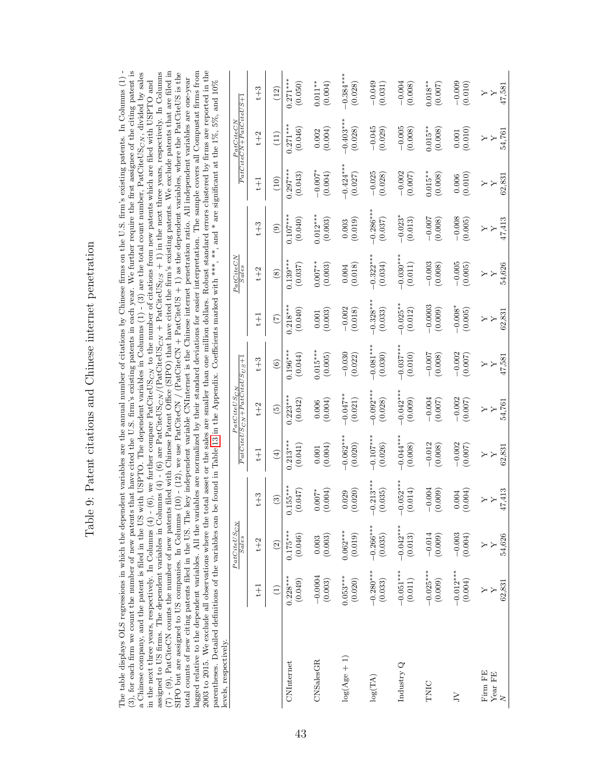| これでは いっけい しょく しょうしょう しょうしょう<br>ı |
|----------------------------------|
| l                                |
| $\frac{1}{2}$<br>5               |
| $\frac{1}{2}$                    |
|                                  |
|                                  |
| estant estatione and i<br>į      |

<span id="page-43-0"></span>The table displays OLS regressions in which the dependent variables are the annual number of citations by Chinese firms on the U.S. firm's existing patents. In Columns (1) lagged relative to the dependent variables. All the variables are normalized by their standard deviations for easier interpretation. The sample covers all Compustat firms from 2003 to 2015. We exclude all observations where the total asset or the sales are smaller than one million dollars. Robust standard errors clustered by firms are reported in the (3), for each firm we count the number of new patents that have cited the U.S. firm's existing patents in each year. We further require the first assignee of the citing patent is a Chinese company, and the patent is filed in the US with USPTO. The dependent variables in Columns  $(1)$  -  $(3)$  are the total count number, PatCiteUS<sub>CN</sub>, divided by sales assigned to US firms. The dependent variables in Columns (4) - (6) are PatCiteUS<sub>CN</sub> /(PatCiteUS<sub>CN</sub> + PatCiteUS<sub>US</sub> + 1) in the next three years, respectively. In Columns (7) - (9), PatCiteCN counts the number of new patents filed with Chinese Patent Office (SIPO) that have cited the firm's existing patents. We exclude patents that are filed in The table displays OLS regressions in which the dependent variables are the annual number of citations by Chinese firms on the U.S. firm's existing patents. In Columns (1) -(3), for each firm we count the number of new patents that have cited the U.S. firm's existing patents in each year. We further require the first assignee of the citing patent is (7) - (9), PatCiteCN counts the number of new patents filed with Chinese Patent Office (SIPO) that have cited the firm's existing patents. We exclude patents that are filed in SIPO but are assigned to US companies. In Columns (10) - (12), we use PatCiteCN / (PatCiteCN + PatCiteUS + 1) as the dependent variables, where the PatCiteUS is the lagged relative to the dependent variables. All the variables are normalized by their standard deviations for easier interpretation. The sample covers all Compustat firms from  $\alpha_0$  and  $\alpha_1$  is the sample covers all Com 2003 to 2015. We exclude all observations where the total asset or the sales are smaller than one million dollars. Robust standard errors clustered by firms are reported in the assigned to US firms. The dependent variables in Columns (4) - (6) are PatCiteUSC<sub>N</sub> /(PatCiteUS<sub>CN</sub> + PatCiteUS<sub>US</sub> + 1) in the next three years, respectively. In Columns (3) in the next three years, respectively. In Col a Chinese company, and the patent is filed in the US with USPTO. The dependent variables in Columns (1) - (3) are the total count number, PatCiteUS<sub>CN</sub>, divided by sales<br>in the nont three wests worder in Columns (4) (6) we SIPO but are assigned to US companies. In Columns (10) - (12), we use PatCiteCN / (PatCiteCN + PatCiteUS + 1) as the dependent variables, where the PatCiteUS is the total counts of new citing patents filed in the US. The key independent variable CNInternet is the Chinese internet penetration ratio. All independent variables are one-year in the next three years, respectively. In Columns  $(4)$  -  $(6)$ , we further compare PatCiteUS<sub>CN</sub> to the number of citations from new patents which are filed with USPTO and total counts of new citing patents filed in the US. The key independent variable CNInternet is the Chinese internet penetration ratio. All independent variables are one-year parentheses. Detailed definitions of the variables can be found in Table 13 in the Appendix. Coefficients marked with \*\*\*, \*\*, and \* are significant at the 1%, 5%, and 10% in the next three years, respectively. In Columns (4) - (6), we further compare PatCiteUS<sub>CN</sub> to the number of citations from new patents which are filed with USPTO and<br>conjunct to a filed from a compart which is followed parentheses. Detailed definitions of the variables can be found in Table [13](#page-51-0) in the Appendix. Coefficients marked with \*\*\*, \*\*, and \* are significant at the 1%, 5%, and 10% levels, respectively. levels, respectively.

|                              |                                      | $PatCiteUS_{CN}$<br>Sales |                                  |                             | $PatCiteUSCN + PatCiteUSUS + 1$<br>PatCiteUSCN |                             |                       | PatCiteCN<br>Sales     |                             |                                   | $PatCiteCN+PatCiteUS+1$<br>PatCiteCN |                             |
|------------------------------|--------------------------------------|---------------------------|----------------------------------|-----------------------------|------------------------------------------------|-----------------------------|-----------------------|------------------------|-----------------------------|-----------------------------------|--------------------------------------|-----------------------------|
|                              | $t + 1$                              | $t+2$                     | $t+3$                            | $t + 1$                     | $t+2$                                          | $t + 3$                     | $\pm$                 | $t + 2$                | $t+3$                       | $+1$                              | $t+2$                                | $t + 3$                     |
|                              | Ξ                                    | $\widehat{c}$             | ව                                | $\bigoplus$                 | $\widetilde{5}$                                | $\widehat{c}$               | E                     | $\left( 8\right)$      | $\odot$                     | (10)                              | $\left(11\right)$                    | $\left(12\right)$           |
| CNInternet                   | $0.228***$<br>(0.049)                | $0.175***$<br>(0.046)     | 155***<br>(0.047)<br>ö           | $0.213***$<br>(0.041)       | $0.223***$<br>(0.042)                          | $0.196***$<br>(0.044)       | $0.218**$<br>(0.040)  | $0.139***$<br>(0.037)  | $0.107***$<br>(0.040)       | $0.297***$<br>(0.043)             | $0.271***$<br>(0.046)                | $0.271***$<br>(0.050)       |
| CNSalesGR                    | $-0.0004$<br>(0.003)                 | (0.003)                   | (0.004)<br>$0.007*$              | (0.004)<br>0.001            | (0.004)<br>0.006                               | $0.015***$<br>(0.005)       | (0.003)<br>0.001      | $0.007$ **<br>(0.003)  | $0.012***$<br>(0.003)       | $-0.007*$<br>(0.004)              | (0.004)<br>0.002                     | $0.011**$<br>(0.004)        |
| $log(Age + 1)$               | $0.053***$<br>(0.020)                | $0.062***$<br>(0.019)     | (0.020)<br>0.029                 | $-0.062***$<br>(0.020)      | $-0.047**$<br>(0.021)                          | $-0.030$<br>(0.022)         | $-0.002$<br>(0.018)   | (0.018)<br>0.004       | (0.019)<br>0.003            | $-0.424***$<br>(0.027)            | $-0.403***$<br>(0.028)               | $-0.384***$<br>(0.028)      |
| $\log(\mathrm{T}\mathrm{A})$ | $-0.280***$<br>(0.033)               | $-0.266***$<br>(0.035)    | $-0.213***$<br>(0.035)           | $-0.107***$<br>(0.026)      | $-0.092***$<br>(0.028)                         | $-0.081***$<br>(0.030)      | $0.328**$<br>(0.033)  | $-0.322**$<br>(0.034)  | $-0.286***$<br>(0.037)      | $-0.025$<br>(0.028)               | $-0.045$<br>(0.029)                  | $-0.049$<br>(0.031)         |
| Industry Q                   | $-0.051***$<br>$\left( 0.011\right)$ | $-0.042***$<br>(0.013)    | $-0.052***$<br>(0.014)           | $-0.044***$<br>(0.008)      | $-0.042***$<br>(0.009)                         | $-0.037***$<br>(0.010)      | $-0.025**$<br>(0.012) | $-0.030***$<br>(0.011) | $-0.023*$<br>(0.013)        | $-0.002$<br>(0.007)               | $-0.005$<br>(0.008)                  | $-0.004$<br>(0.008)         |
| TNIC                         | $-0.025***$<br>(0.009)               | $-0.014$<br>(0.009)       | $-0.004$<br>(0.009)              | $-0.012$<br>(0.008)         | $-0.004$<br>(0.007)                            | $-0.007$<br>(0.008)         | $-0.0003$<br>(0.009)  | $-0.003$<br>(0.008)    | $-0.007$<br>(0.008)         | $0.015**$<br>(0.008)              | $0.015**$<br>(0.008)                 | $0.018**$<br>(0.007)        |
| $\gtrsim$                    | $-0.012***$<br>(0.004)               | $-0.003$<br>(0.004)       | (0.004)<br>0.004                 | $-0.002$<br>(0.007)         | $-0.002$<br>(0.007)                            | $-0.002$<br>(0.007)         | $-0.008*$<br>(0.005)  | $-0.005$<br>(0.005)    | $-0.008$<br>(0.005)         | (0.010)<br>$0.006\,$              | (0.010)<br>0.001                     | $-0.009$<br>(0.010)         |
| Firm FE<br>Year FE<br>$\geq$ | 62,831                               | 54,626<br>$\mathsf{Y}$    | 17,413<br>$\mathbf{\Sigma}$<br>Υ | 62,831<br>$\mathsf{Y}$<br>Y | 54,761<br>$\rightarrow$<br>Υ                   | 47,581<br>$\mathsf{Y}$<br>Υ | 62,831<br>$\geq$<br>Y | 54,626<br>$\geq$<br>Υ  | 47,413<br>$\geq$<br>$\succ$ | 62,831<br>$\mathsf{Y}$<br>$\succ$ | 54,761<br>$\blacktriangleright$<br>Υ | 47,581<br>$\mathsf{Y}$<br>λ |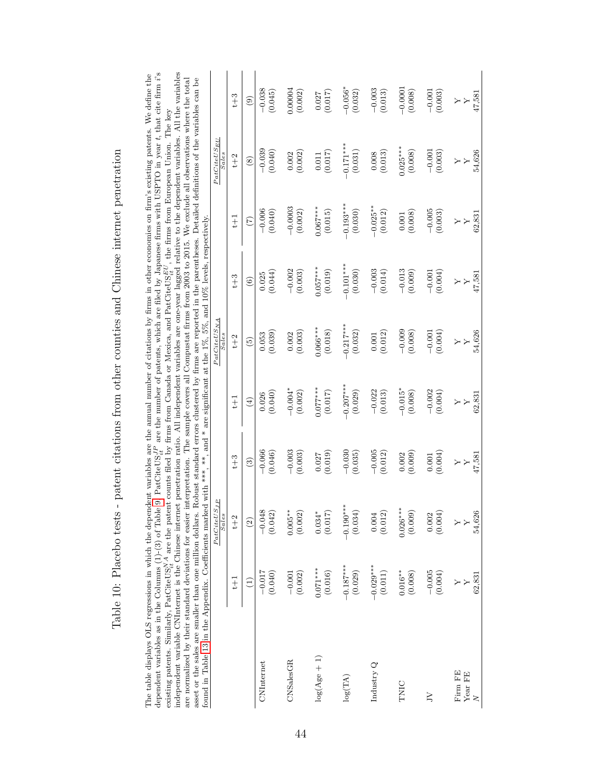<span id="page-44-0"></span>

| dependent variables as in the Columns (1)-(3) of Table 9. PatCiteUS $_{it}^{JP}$ are the number of patents, which are filed by Japanese firms with USPTO in year t, that cite firm i's<br>independent variable CNInternet is the Chinese internet penetration ratio. All independent variables are one-year lagged relative to the dependent variables. All the variables<br>The table displays OLS regressions in which the dependent variables are the annual number of citations by firms in other economies on firm's existing patents. We define the<br>are normalized by their standard deviations for easier interpretation. The sample covers all Compustat firms from 2003 to 2015. We exclude all observations where the total<br>existing patents. Similarly, PatCiteUS <sup>24</sup> are the patent counts filed by firms from Canada or Mexica, and PatCiteUS $_{H}^{EU}$ , the firms from European Union. The key<br>asset or the sales are smaller than one million dollars. |                                                |                                           | $\ast$                           |                              |                                         |                                                                     |                                        | Robust standard errors clustered by firms are reported in the parentheses. Detailed definitions of the variables can be |                                         |
|---------------------------------------------------------------------------------------------------------------------------------------------------------------------------------------------------------------------------------------------------------------------------------------------------------------------------------------------------------------------------------------------------------------------------------------------------------------------------------------------------------------------------------------------------------------------------------------------------------------------------------------------------------------------------------------------------------------------------------------------------------------------------------------------------------------------------------------------------------------------------------------------------------------------------------------------------------------------------------------------|------------------------------------------------|-------------------------------------------|----------------------------------|------------------------------|-----------------------------------------|---------------------------------------------------------------------|----------------------------------------|-------------------------------------------------------------------------------------------------------------------------|-----------------------------------------|
| found in Table 13 in the Appendix. Coefficients marked with ***, **                                                                                                                                                                                                                                                                                                                                                                                                                                                                                                                                                                                                                                                                                                                                                                                                                                                                                                                         |                                                | $PatCiteUS_{JP}$<br><b>Sales</b>          | , and                            |                              | $PatCiteUS_{NA}$<br><b>Sales</b>        | are significant at the $1\%, 5\%,$ and $10\%$ levels, respectively. |                                        | $PatCiteUS_{EU}$<br>Sales                                                                                               |                                         |
|                                                                                                                                                                                                                                                                                                                                                                                                                                                                                                                                                                                                                                                                                                                                                                                                                                                                                                                                                                                             | $t + 1$                                        | $t+2$                                     | $t + 3$                          | $t + 1$                      | $t+2$                                   | $t+3$                                                               | $+1$                                   | $t+2$                                                                                                                   | $t+3$                                   |
|                                                                                                                                                                                                                                                                                                                                                                                                                                                                                                                                                                                                                                                                                                                                                                                                                                                                                                                                                                                             | $\left( \begin{matrix} 1 \end{matrix} \right)$ | $\widehat{2}$                             | $\widehat{c}$                    | $\widehat{E}$                | $\widetilde{5}$                         | $\widehat{6}$                                                       | $\widehat{L}$                          | $\circled{s}$                                                                                                           | $\circledcirc$                          |
| CNInternet                                                                                                                                                                                                                                                                                                                                                                                                                                                                                                                                                                                                                                                                                                                                                                                                                                                                                                                                                                                  | $-0.017$                                       | $-0.048$                                  | $-0.066$                         | (0.040)                      | (0.039)                                 | (0.044)                                                             | $-0.006$                               | $-0.039$                                                                                                                | $-0.038$                                |
|                                                                                                                                                                                                                                                                                                                                                                                                                                                                                                                                                                                                                                                                                                                                                                                                                                                                                                                                                                                             | (0.040)                                        | (0.042)                                   | (0.046)                          | 0.026                        | 0.053                                   | 0.025                                                               | (0.040)                                | (0.040)                                                                                                                 | (0.045)                                 |
| CNSalesGR                                                                                                                                                                                                                                                                                                                                                                                                                                                                                                                                                                                                                                                                                                                                                                                                                                                                                                                                                                                   | (0.002)<br>$-0.001$                            | $0.005**$<br>(0.002)                      | $-0.003$<br>(0.003)              | $-0.004*$<br>(0.002)         | (0.003)<br>0.002                        | $-0.002$<br>(0.003)                                                 | $-0.0003$<br>(0.002)                   | (0.002)                                                                                                                 | 0.00004<br>(0.002)                      |
| $log(Age + 1)$                                                                                                                                                                                                                                                                                                                                                                                                                                                                                                                                                                                                                                                                                                                                                                                                                                                                                                                                                                              | $0.071***$                                     | $0.034*$                                  | (0.019)                          | $0.077***$                   | $0.066***$                              | $0.057***$                                                          | $0.067***$                             | (0.017)                                                                                                                 | (0.017)                                 |
|                                                                                                                                                                                                                                                                                                                                                                                                                                                                                                                                                                                                                                                                                                                                                                                                                                                                                                                                                                                             | (0.016)                                        | (0.017)                                   | 0.027                            | (0.017)                      | (0.018)                                 | (0.019)                                                             | (0.015)                                | $0.011\,$                                                                                                               | 0.027                                   |
| log(TA)                                                                                                                                                                                                                                                                                                                                                                                                                                                                                                                                                                                                                                                                                                                                                                                                                                                                                                                                                                                     | $-0.187***$                                    | $-0.190***$                               | $-0.030$                         | $-0.207***$                  | $-0.217***$                             | $-0.101***$                                                         | $-0.193***$                            | $-0.171***$                                                                                                             | $-0.056*$                               |
|                                                                                                                                                                                                                                                                                                                                                                                                                                                                                                                                                                                                                                                                                                                                                                                                                                                                                                                                                                                             | (0.029)                                        | (0.034)                                   | (0.035)                          | (0.029)                      | (0.032)                                 | (0.030)                                                             | (0.030)                                | (0.031)                                                                                                                 | (0.032)                                 |
| Industry Q                                                                                                                                                                                                                                                                                                                                                                                                                                                                                                                                                                                                                                                                                                                                                                                                                                                                                                                                                                                  | $-0.029***$                                    | 0.004                                     | $-0.005$                         | $-0.022$                     | (0.012)                                 | $-0.003$                                                            | $-0.025**$                             | (0.013)                                                                                                                 | $-0.003$                                |
|                                                                                                                                                                                                                                                                                                                                                                                                                                                                                                                                                                                                                                                                                                                                                                                                                                                                                                                                                                                             | (0.011)                                        | (0.012)                                   | (0.012)                          | (0.013)                      | 0.001                                   | (0.014)                                                             | (0.012)                                | 0.008                                                                                                                   | (0.013)                                 |
| TNIC                                                                                                                                                                                                                                                                                                                                                                                                                                                                                                                                                                                                                                                                                                                                                                                                                                                                                                                                                                                        | $0.016**$                                      | $0.026***$                                | (0.009)                          | $-0.015*$                    | $-0.009$                                | $-0.013$                                                            | (0.008)                                | $0.025***$                                                                                                              | $-0.0001$                               |
|                                                                                                                                                                                                                                                                                                                                                                                                                                                                                                                                                                                                                                                                                                                                                                                                                                                                                                                                                                                             | (0.008)                                        | (0.009)                                   | 0.002                            | (0.008)                      | (0.008)                                 | (0.009)                                                             | $0.001\,$                              | (0.008)                                                                                                                 | (0.008)                                 |
| $\geq$                                                                                                                                                                                                                                                                                                                                                                                                                                                                                                                                                                                                                                                                                                                                                                                                                                                                                                                                                                                      | $-0.005$                                       | 0.002                                     | (0.004)                          | $-0.002$                     | $-0.001$                                | $-0.001$                                                            | $-0.005$                               | $-0.001$                                                                                                                | $-0.001$                                |
|                                                                                                                                                                                                                                                                                                                                                                                                                                                                                                                                                                                                                                                                                                                                                                                                                                                                                                                                                                                             | (0.004)                                        | (0.004)                                   | 0.001                            | (0.004)                      | (0.004)                                 | (0.004)                                                             | (0.003)                                | (0.003)                                                                                                                 | (0.003)                                 |
| Firm FE<br>Year FE<br>$\geq$                                                                                                                                                                                                                                                                                                                                                                                                                                                                                                                                                                                                                                                                                                                                                                                                                                                                                                                                                                | 62,831<br>$\rightarrow$                        | 54,626<br>$\ddot{\phantom{1}}$<br>$\succ$ | 47,581<br>$\geq$<br>$\mathbf{y}$ | 62,831<br>$\rightarrow$<br>Y | 54,626<br>$\rightarrow$<br>$\mathbf{y}$ | 47,581<br>$\rightarrow$<br>$\mathbf{y}$                             | 62,831<br>$\mathbf{y}$<br>$\mathsf{Y}$ | 54,626<br>$\mathbf{y}$<br>$\mathsf{Y}$                                                                                  | 47,581<br>$\rightarrow$<br>$\mathbf{y}$ |

Table 10: Placebo tests - patent citations from other counties and Chinese internet penetration Table 10: Placebo tests - patent citations from other counties and Chinese internet penetration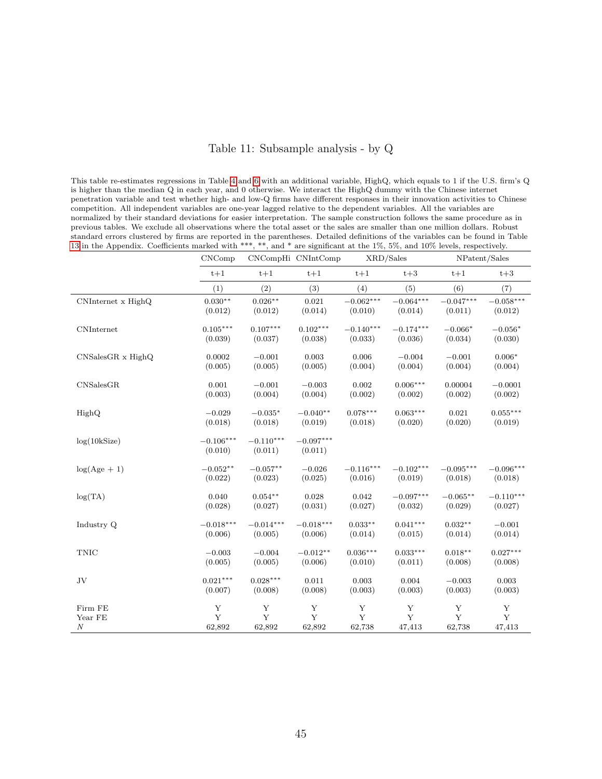### Table 11: Subsample analysis - by Q

<span id="page-45-0"></span>This table re-estimates regressions in Table [4](#page-38-0) and [6](#page-40-0) with an additional variable, HighQ, which equals to 1 if the U.S. firm's Q is higher than the median Q in each year, and 0 otherwise. We interact the HighQ dummy with the Chinese internet penetration variable and test whether high- and low-Q firms have different responses in their innovation activities to Chinese competition. All independent variables are one-year lagged relative to the dependent variables. All the variables are normalized by their standard deviations for easier interpretation. The sample construction follows the same procedure as in previous tables. We exclude all observations where the total asset or the sales are smaller than one million dollars. Robust standard errors clustered by firms are reported in the parentheses. Detailed definitions of the variables can be found in Table [13](#page-51-0) in the Appendix. Coefficients marked with \*\*\*, \*\*, and \* are significant at the 1%, 5%, and 10% levels, respectively.

|                    | CNComp                 |                        | CNCompHi CNIntComp     | XRD/Sales   |             | NPatent/Sales |             |
|--------------------|------------------------|------------------------|------------------------|-------------|-------------|---------------|-------------|
|                    | $t+1$                  | $t+1$                  | $t+1$                  | $t+1$       | $t+3$       | $t+1$         | $t+3$       |
|                    | (1)                    | (2)                    | (3)                    | (4)         | (5)         | (6)           | (7)         |
| CNInternet x HighQ | $0.030**$              | $0.026**$              | 0.021                  | $-0.062***$ | $-0.064***$ | $-0.047***$   | $-0.058***$ |
|                    | (0.012)                | (0.012)                | (0.014)                | (0.010)     | (0.014)     | (0.011)       | (0.012)     |
| CNInternet         | $0.105^{***}\,$        | $0.107***$             | $0.102***$             | $-0.140***$ | $-0.174***$ | $-0.066*$     | $-0.056*$   |
|                    | (0.039)                | (0.037)                | (0.038)                | (0.033)     | (0.036)     | (0.034)       | (0.030)     |
| CNSalesGR x HighQ  | 0.0002                 | $-0.001$               | 0.003                  | 0.006       | $-0.004$    | $-0.001$      | $0.006*$    |
|                    | (0.005)                | (0.005)                | (0.005)                | (0.004)     | (0.004)     | (0.004)       | (0.004)     |
| CNSalesGR          | 0.001                  | $-0.001$               | $-0.003$               | 0.002       | $0.006***$  | 0.00004       | $-0.0001$   |
|                    | (0.003)                | (0.004)                | (0.004)                | (0.002)     | (0.002)     | (0.002)       | (0.002)     |
| HighQ              | $-0.029$               | $-0.035*$              | $-0.040**$             | $0.078***$  | $0.063***$  | 0.021         | $0.055***$  |
|                    | (0.018)                | (0.018)                | (0.019)                | (0.018)     | (0.020)     | (0.020)       | (0.019)     |
| log(10kSize)       | $-0.106***$<br>(0.010) | $-0.110***$<br>(0.011) | $-0.097***$<br>(0.011) |             |             |               |             |
| $log(Age + 1)$     | $-0.052**$             | $-0.057**$             | $-0.026$               | $-0.116***$ | $-0.102***$ | $-0.095***$   | $-0.096***$ |
|                    | (0.022)                | (0.023)                | (0.025)                | (0.016)     | (0.019)     | (0.018)       | (0.018)     |
| log(TA)            | 0.040                  | $0.054**$              | 0.028                  | 0.042       | $-0.097***$ | $-0.065**$    | $-0.110***$ |
|                    | (0.028)                | (0.027)                | (0.031)                | (0.027)     | (0.032)     | (0.029)       | (0.027)     |
| Industry Q         | $-0.018***$            | $-0.014***$            | $-0.018***$            | $0.033**$   | $0.041***$  | $0.032**$     | $-0.001$    |
|                    | (0.006)                | (0.005)                | (0.006)                | (0.014)     | (0.015)     | (0.014)       | (0.014)     |
| TNIC               | $-0.003$               | $\!-0.004\!$           | $-0.012**$             | $0.036***$  | $0.033***$  | $0.018**$     | $0.027***$  |
|                    | (0.005)                | (0.005)                | (0.006)                | (0.010)     | (0.011)     | (0.008)       | (0.008)     |
| $\rm{JV}$          | $0.021***$             | $0.028***$             | 0.011                  | 0.003       | 0.004       | $-0.003$      | 0.003       |
|                    | (0.007)                | (0.008)                | (0.008)                | (0.003)     | (0.003)     | (0.003)       | (0.003)     |
| Firm FE            | Y                      | Y                      | $\mathbf Y$            | Y           | Y           | Y             | Y           |
| Year FE            | Y                      | Y                      | Y                      | Y           | Y           | $\mathbf{Y}$  | Y           |
| $\cal N$           | 62,892                 | 62,892                 | 62,892                 | 62,738      | 47,413      | 62,738        | 47,413      |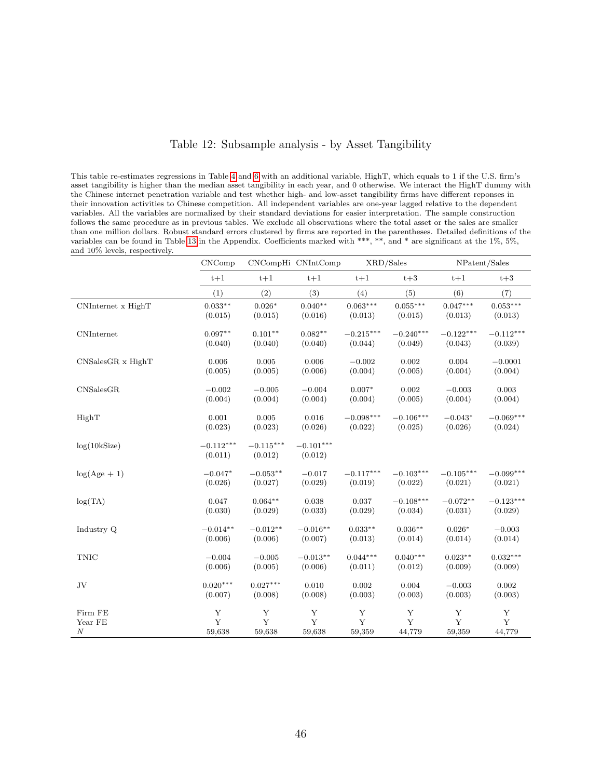### Table 12: Subsample analysis - by Asset Tangibility

<span id="page-46-0"></span>This table re-estimates regressions in Table [4](#page-38-0) and [6](#page-40-0) with an additional variable, HighT, which equals to 1 if the U.S. firm's asset tangibility is higher than the median asset tangibility in each year, and 0 otherwise. We interact the HighT dummy with the Chinese internet penetration variable and test whether high- and low-asset tangibility firms have different reponses in their innovation activities to Chinese competition. All independent variables are one-year lagged relative to the dependent variables. All the variables are normalized by their standard deviations for easier interpretation. The sample construction follows the same procedure as in previous tables. We exclude all observations where the total asset or the sales are smaller than one million dollars. Robust standard errors clustered by firms are reported in the parentheses. Detailed definitions of the variables can be found in Table [13](#page-51-0) in the Appendix. Coefficients marked with \*\*\*, \*\*, and \* are significant at the 1%, 5%, and 10% levels, respectively.

|                    | CNComp                 |                        | CNCompHi CNIntComp     | XRD/Sales   |             | NPatent/Sales |             |
|--------------------|------------------------|------------------------|------------------------|-------------|-------------|---------------|-------------|
|                    | $t+1$                  | $t+1$                  | $t+1$                  | $t+1$       | $t+3$       | $t+1$         | $t+3$       |
|                    | (1)                    | (2)                    | (3)                    | (4)         | (5)         | (6)           | (7)         |
| CNInternet x HighT | $0.033***$             | $0.026*$               | $0.040**$              | $0.063***$  | $0.055***$  | $0.047***$    | $0.053***$  |
|                    | (0.015)                | (0.015)                | (0.016)                | (0.013)     | (0.015)     | (0.013)       | (0.013)     |
| <b>CNInternet</b>  | $0.097**$              | $0.101**$              | $0.082**$              | $-0.215***$ | $-0.240***$ | $-0.122***$   | $-0.112***$ |
|                    | (0.040)                | (0.040)                | (0.040)                | (0.044)     | (0.049)     | (0.043)       | (0.039)     |
| CNSalesGR x HighT  | 0.006                  | 0.005                  | 0.006                  | $-0.002$    | 0.002       | 0.004         | $-0.0001$   |
|                    | (0.005)                | (0.005)                | (0.006)                | (0.004)     | (0.005)     | (0.004)       | (0.004)     |
| CNSalesGR          | $-0.002$               | $-0.005$               | $-0.004$               | $0.007*$    | 0.002       | $-0.003$      | 0.003       |
|                    | (0.004)                | (0.004)                | (0.004)                | (0.004)     | (0.005)     | (0.004)       | (0.004)     |
| HighT              | 0.001                  | 0.005                  | 0.016                  | $-0.098***$ | $-0.106***$ | $-0.043*$     | $-0.069***$ |
|                    | (0.023)                | (0.023)                | (0.026)                | (0.022)     | (0.025)     | (0.026)       | (0.024)     |
| log(10kSize)       | $-0.112***$<br>(0.011) | $-0.115***$<br>(0.012) | $-0.101***$<br>(0.012) |             |             |               |             |
| $log(Age + 1)$     | $-0.047*$              | $-0.053**$             | $-0.017$               | $-0.117***$ | $-0.103***$ | $-0.105***$   | $-0.099***$ |
|                    | (0.026)                | (0.027)                | (0.029)                | (0.019)     | (0.022)     | (0.021)       | (0.021)     |
| log(TA)            | 0.047                  | $0.064**$              | 0.038                  | 0.037       | $-0.108***$ | $-0.072**$    | $-0.123***$ |
|                    | (0.030)                | (0.029)                | (0.033)                | (0.029)     | (0.034)     | (0.031)       | (0.029)     |
| Industry Q         | $-0.014**$             | $-0.012**$             | $-0.016**$             | $0.033**$   | $0.036**$   | $0.026*$      | $-0.003$    |
|                    | (0.006)                | (0.006)                | (0.007)                | (0.013)     | (0.014)     | (0.014)       | (0.014)     |
| <b>TNIC</b>        | $-0.004$               | $-0.005$               | $-0.013**$             | $0.044***$  | $0.040***$  | $0.023**$     | $0.032***$  |
|                    | (0.006)                | (0.005)                | (0.006)                | (0.011)     | (0.012)     | (0.009)       | (0.009)     |
| JV                 | $0.020***$             | $0.027***$             | 0.010                  | 0.002       | 0.004       | $-0.003$      | 0.002       |
|                    | (0.007)                | (0.008)                | (0.008)                | (0.003)     | (0.003)     | (0.003)       | (0.003)     |
| Firm FE            | $\mathbf Y$            | Y                      | $\mathbf Y$            | Y           | Y           | Y             | Y           |
| Year FE            | Y                      | Y                      | Y                      | Y           | Y           | Y             | Y           |
| $\boldsymbol{N}$   | 59,638                 | 59,638                 | 59,638                 | 59,359      | 44,779      | 59,359        | 44,779      |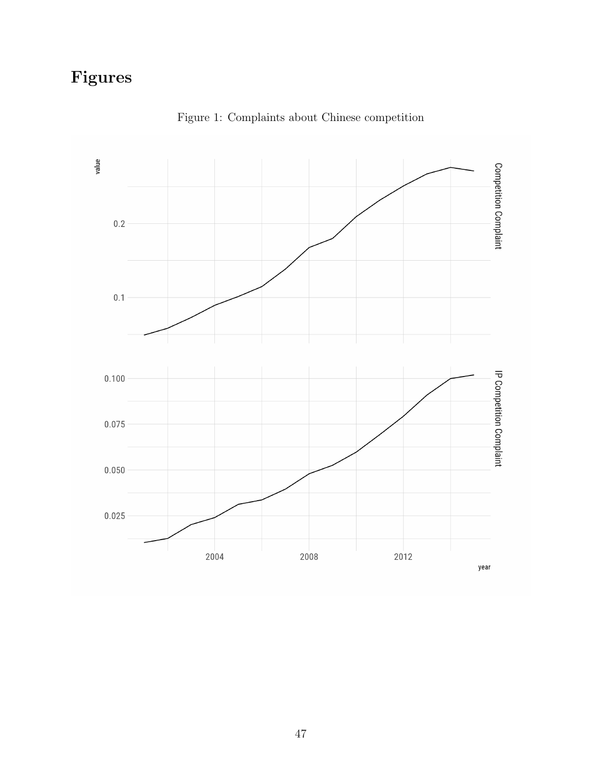# Figures

<span id="page-47-0"></span>

Figure 1: Complaints about Chinese competition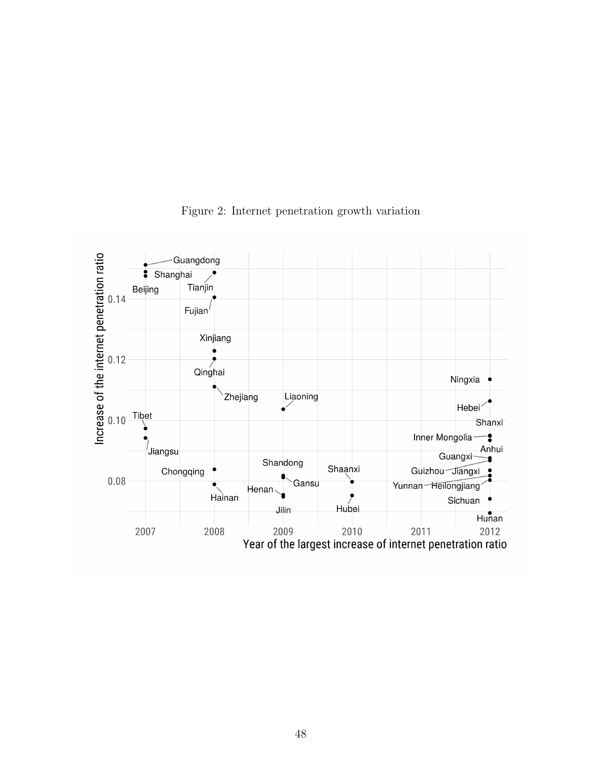<span id="page-48-0"></span>

Figure 2: Internet penetration growth variation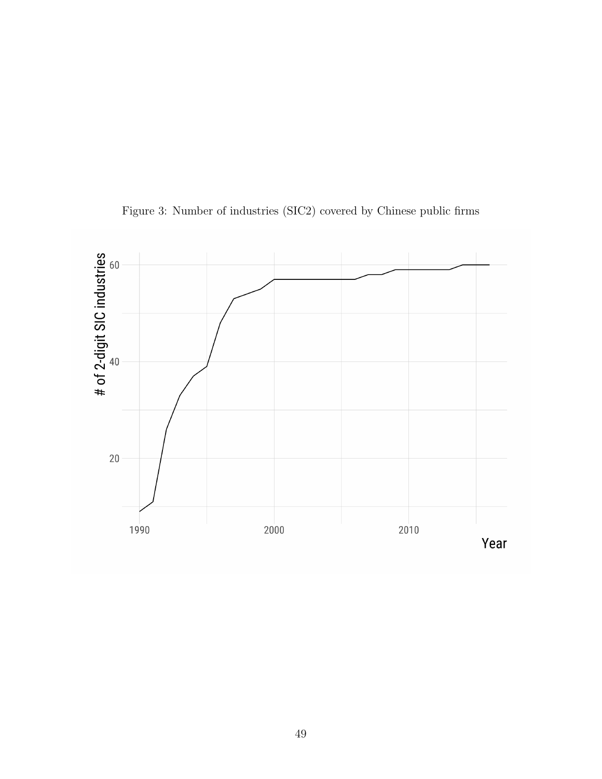<span id="page-49-0"></span>

Figure 3: Number of industries (SIC2) covered by Chinese public firms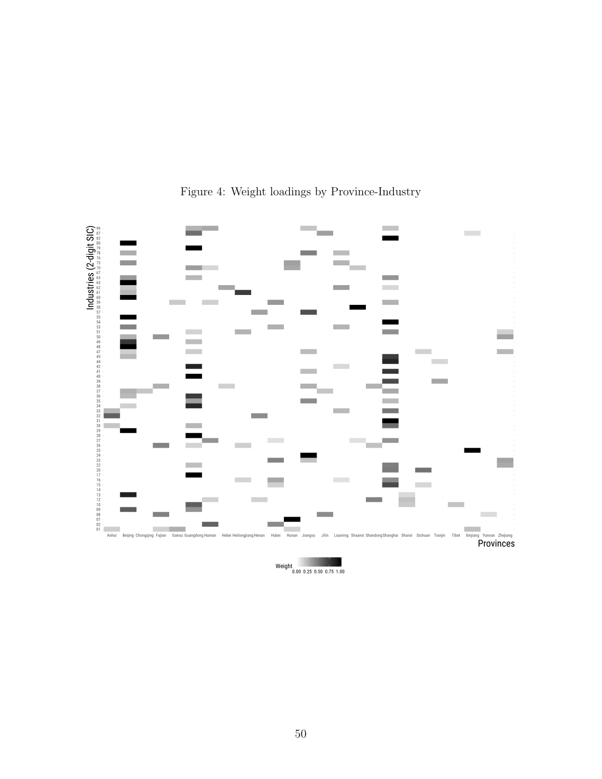<span id="page-50-0"></span>

# Figure 4: Weight loadings by Province-Industry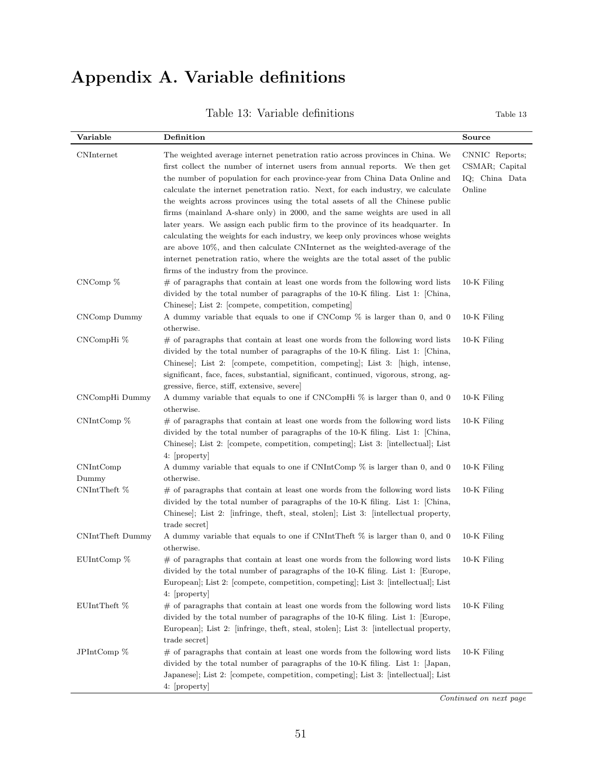# Appendix A. Variable definitions

| Table 13: Variable definitions<br>Table 13 |
|--------------------------------------------|
|--------------------------------------------|

<span id="page-51-0"></span>

| Variable           | Definition                                                                                                                                                                                                                                                                                                                                                                                                                                                                                                                                                                                                                                                                                                                                                                                                                                                                       | Source                                                       |
|--------------------|----------------------------------------------------------------------------------------------------------------------------------------------------------------------------------------------------------------------------------------------------------------------------------------------------------------------------------------------------------------------------------------------------------------------------------------------------------------------------------------------------------------------------------------------------------------------------------------------------------------------------------------------------------------------------------------------------------------------------------------------------------------------------------------------------------------------------------------------------------------------------------|--------------------------------------------------------------|
| CNInternet         | The weighted average internet penetration ratio across provinces in China. We<br>first collect the number of internet users from annual reports. We then get<br>the number of population for each province-year from China Data Online and<br>calculate the internet penetration ratio. Next, for each industry, we calculate<br>the weights across provinces using the total assets of all the Chinese public<br>firms (mainland A-share only) in 2000, and the same weights are used in all<br>later years. We assign each public firm to the province of its headquarter. In<br>calculating the weights for each industry, we keep only provinces whose weights<br>are above 10%, and then calculate CNInternet as the weighted-average of the<br>internet penetration ratio, where the weights are the total asset of the public<br>firms of the industry from the province. | CNNIC Reports;<br>CSMAR; Capital<br>IQ; China Data<br>Online |
| $CNComp$ %         | $#$ of paragraphs that contain at least one words from the following word lists<br>divided by the total number of paragraphs of the 10-K filing. List 1: [China,<br>Chinese]; List 2: [compete, competition, competing]                                                                                                                                                                                                                                                                                                                                                                                                                                                                                                                                                                                                                                                          | 10-K Filing                                                  |
| CNComp Dummy       | A dummy variable that equals to one if CNComp % is larger than 0, and 0<br>otherwise.                                                                                                                                                                                                                                                                                                                                                                                                                                                                                                                                                                                                                                                                                                                                                                                            | 10-K Filing                                                  |
| CNCompHi %         | $#$ of paragraphs that contain at least one words from the following word lists<br>divided by the total number of paragraphs of the 10-K filing. List 1: China,<br>Chinese, List 2: [compete, competition, competing]; List 3: [high, intense,<br>significant, face, faces, substantial, significant, continued, vigorous, strong, ag-<br>gressive, fierce, stiff, extensive, severe                                                                                                                                                                                                                                                                                                                                                                                                                                                                                             | $10-K$ Filing                                                |
| CNCompHi Dummy     | A dummy variable that equals to one if CNCompHi % is larger than 0, and 0<br>otherwise.                                                                                                                                                                                                                                                                                                                                                                                                                                                                                                                                                                                                                                                                                                                                                                                          | 10-K Filing                                                  |
| $CNIntComp\ %$     | $#$ of paragraphs that contain at least one words from the following word lists<br>divided by the total number of paragraphs of the 10-K filing. List 1: [China,<br>Chinese, List 2: [compete, competition, competing]; List 3: [intellectual]; List<br>4: property                                                                                                                                                                                                                                                                                                                                                                                                                                                                                                                                                                                                              | 10-K Filing                                                  |
| CNIntComp<br>Dummy | A dummy variable that equals to one if CNIntComp $\%$ is larger than 0, and 0<br>otherwise.                                                                                                                                                                                                                                                                                                                                                                                                                                                                                                                                                                                                                                                                                                                                                                                      | 10-K Filing                                                  |
| CNIntTheft %       | $#$ of paragraphs that contain at least one words from the following word lists<br>divided by the total number of paragraphs of the 10-K filing. List 1: [China,<br>Chinese, List 2: [infringe, theft, steal, stolen]; List 3: [intellectual property,<br>trade secret                                                                                                                                                                                                                                                                                                                                                                                                                                                                                                                                                                                                           | $10-K$ Filing                                                |
| CNIntTheft Dummy   | A dummy variable that equals to one if CNIntTheft % is larger than 0, and 0<br>otherwise.                                                                                                                                                                                                                                                                                                                                                                                                                                                                                                                                                                                                                                                                                                                                                                                        | 10-K Filing                                                  |
| $EUIntComp \$ %    | $\#$ of paragraphs that contain at least one words from the following word lists<br>divided by the total number of paragraphs of the 10-K filing. List 1: [Europe,<br>European]; List 2: [compete, competition, competing]; List 3: [intellectual]; List<br>4: [property]                                                                                                                                                                                                                                                                                                                                                                                                                                                                                                                                                                                                        | $10-K$ Filing                                                |
| EUIntTheft %       | $#$ of paragraphs that contain at least one words from the following word lists<br>divided by the total number of paragraphs of the 10-K filing. List 1: [Europe,<br>European; List 2: [infringe, theft, steal, stolen]; List 3: [intellectual property,<br>trade secret                                                                                                                                                                                                                                                                                                                                                                                                                                                                                                                                                                                                         | $10-K$ Filing                                                |
| JPIntComp %        | $#$ of paragraphs that contain at least one words from the following word lists<br>divided by the total number of paragraphs of the 10-K filing. List 1: [Japan,<br>Japanese, List 2: [compete, competition, competing]; List 3: [intellectual]; List<br>4: [property]                                                                                                                                                                                                                                                                                                                                                                                                                                                                                                                                                                                                           | 10-K Filing                                                  |

Continued on next page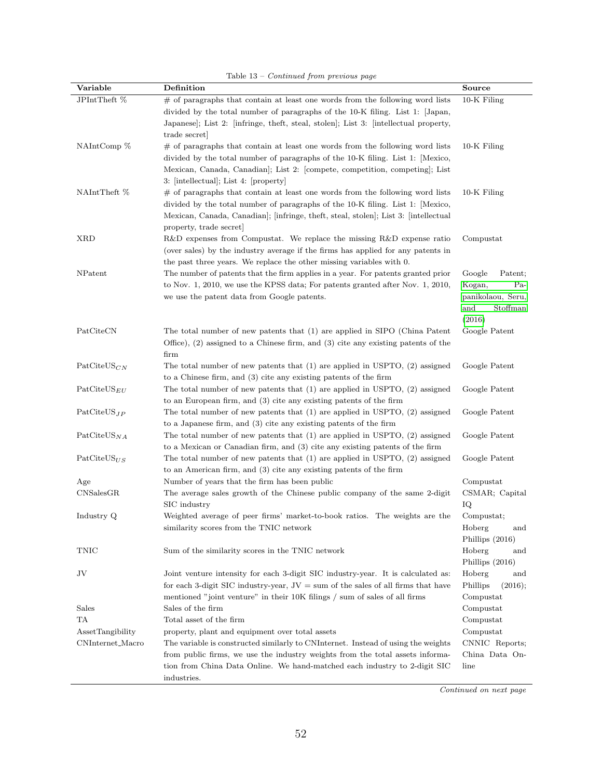|                               | ranic ro<br>Continued from previous page                                                                                                              |                     |
|-------------------------------|-------------------------------------------------------------------------------------------------------------------------------------------------------|---------------------|
| Variable                      | Definition                                                                                                                                            | Source              |
| JPIntTheft %                  | $#$ of paragraphs that contain at least one words from the following word lists                                                                       | $10-K$ Filing       |
|                               | divided by the total number of paragraphs of the 10-K filing. List 1: Japan,                                                                          |                     |
|                               | Japanese, List 2: [infringe, theft, steal, stolen]; List 3: [intellectual property,                                                                   |                     |
|                               | trade secret                                                                                                                                          |                     |
| NAIntComp %                   | $#$ of paragraphs that contain at least one words from the following word lists                                                                       | $10-K$ Filing       |
|                               | divided by the total number of paragraphs of the 10-K filing. List 1: Mexico,                                                                         |                     |
|                               | Mexican, Canada, Canadian; List 2: [compete, competition, competing]; List                                                                            |                     |
|                               | 3: [intellectual]; List 4: [property]                                                                                                                 |                     |
| NAIntTheft %                  | $#$ of paragraphs that contain at least one words from the following word lists                                                                       | $10-K$ Filing       |
|                               | divided by the total number of paragraphs of the 10-K filing. List 1: [Mexico,                                                                        |                     |
|                               | Mexican, Canada, Canadian; infringe, theft, steal, stolen; List 3: intellectual                                                                       |                     |
|                               | property, trade secret                                                                                                                                |                     |
| <b>XRD</b>                    | R&D expenses from Compustat. We replace the missing R&D expense ratio                                                                                 | Compustat           |
|                               | (over sales) by the industry average if the firms has applied for any patents in                                                                      |                     |
|                               | the past three years. We replace the other missing variables with 0.                                                                                  |                     |
| NPatent                       | The number of patents that the firm applies in a year. For patents granted prior                                                                      | Google<br>Patent;   |
|                               | to Nov. 1, 2010, we use the KPSS data; For patents granted after Nov. 1, 2010,                                                                        | Pa-<br>Kogan,       |
|                               | we use the patent data from Google patents.                                                                                                           | panikolaou, Seru,   |
|                               |                                                                                                                                                       | and<br>Stoffman     |
|                               |                                                                                                                                                       | (2016)              |
| PatCiteCN                     | The total number of new patents that (1) are applied in SIPO (China Patent                                                                            | Google Patent       |
|                               | Office), $(2)$ assigned to a Chinese firm, and $(3)$ cite any existing patents of the                                                                 |                     |
|                               | firm                                                                                                                                                  |                     |
| $\text{PatCiteUS}_{CN}$       | The total number of new patents that $(1)$ are applied in USPTO, $(2)$ assigned                                                                       | Google Patent       |
| $\mathrm{PatCiteUS}_{EU}$     | to a Chinese firm, and $(3)$ cite any existing patents of the firm<br>The total number of new patents that $(1)$ are applied in USPTO, $(2)$ assigned |                     |
|                               | to an European firm, and $(3)$ cite any existing patents of the firm                                                                                  | Google Patent       |
| $\text{PatCiteUS}_{JP}$       | The total number of new patents that $(1)$ are applied in USPTO, $(2)$ assigned                                                                       | Google Patent       |
|                               | to a Japanese firm, and $(3)$ cite any existing patents of the firm                                                                                   |                     |
| $\mathrm{PatCiteUS}_{NA}$     | The total number of new patents that $(1)$ are applied in USPTO, $(2)$ assigned                                                                       | Google Patent       |
|                               | to a Mexican or Canadian firm, and $(3)$ cite any existing patents of the firm                                                                        |                     |
| $\text{PatCiteUS}_{US}$       | The total number of new patents that $(1)$ are applied in USPTO, $(2)$ assigned                                                                       | Google Patent       |
|                               | to an American firm, and $(3)$ cite any existing patents of the firm                                                                                  |                     |
| Age                           | Number of years that the firm has been public                                                                                                         | Compustat           |
| $\text{CNS}$ ales $\text{GR}$ | The average sales growth of the Chinese public company of the same 2-digit                                                                            | CSMAR; Capital      |
|                               | SIC industry                                                                                                                                          | ΙQ                  |
| Industry Q                    | Weighted average of peer firms' market-to-book ratios. The weights are the                                                                            | Compustat;          |
|                               | similarity scores from the TNIC network                                                                                                               | Hoberg<br>and       |
|                               |                                                                                                                                                       | Phillips (2016)     |
| TNIC                          | Sum of the similarity scores in the TNIC network                                                                                                      | Hoberg<br>and       |
|                               |                                                                                                                                                       | Phillips (2016)     |
| JV                            | Joint venture intensity for each 3-digit SIC industry-year. It is calculated as:                                                                      | Hoberg<br>and       |
|                               | for each 3-digit SIC industry-year, $JV =$ sum of the sales of all firms that have                                                                    | Phillips<br>(2016); |
|                               | mentioned "joint venture" in their 10K filings / sum of sales of all firms                                                                            | Compustat           |
| Sales                         | Sales of the firm                                                                                                                                     | Compustat           |
| TA                            | Total asset of the firm                                                                                                                               | Compustat           |
| AssetTangibility              | property, plant and equipment over total assets                                                                                                       | Compustat           |
| CNInternet_Macro              | The variable is constructed similarly to CNInternet. Instead of using the weights                                                                     | CNNIC Reports;      |
|                               | from public firms, we use the industry weights from the total assets informa-                                                                         | China Data On-      |
|                               | tion from China Data Online. We hand-matched each industry to 2-digit SIC                                                                             | line                |
|                               | industries.                                                                                                                                           |                     |

Table 13 – Continued from previous page

Continued on next page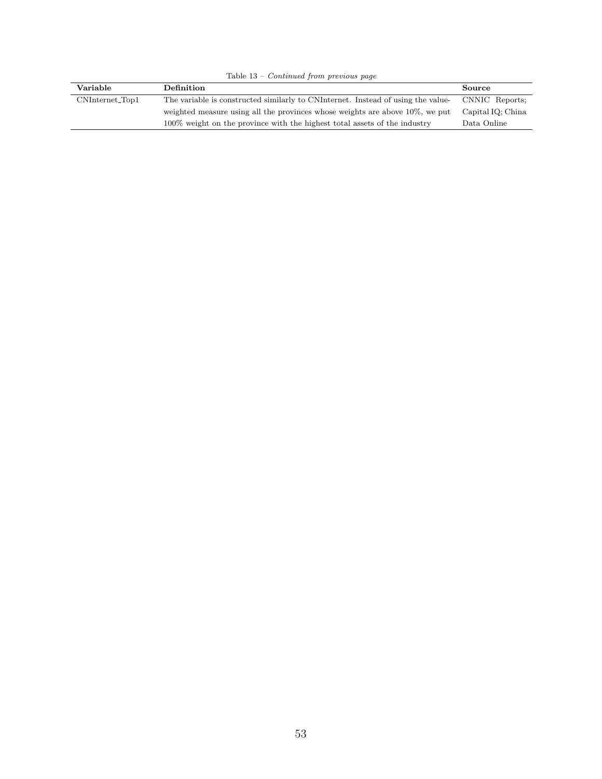| Variable           | Definition                                                                       | Source            |
|--------------------|----------------------------------------------------------------------------------|-------------------|
| $CNInternet\_Top1$ | The variable is constructed similarly to CNI term to Instead of using the value- | CNNIC Reports;    |
|                    | weighted measure using all the provinces whose weights are above $10\%$ , we put | Capital IQ; China |
|                    | 100% weight on the province with the highest total assets of the industry        | Data Online       |

Table 13 – Continued from previous page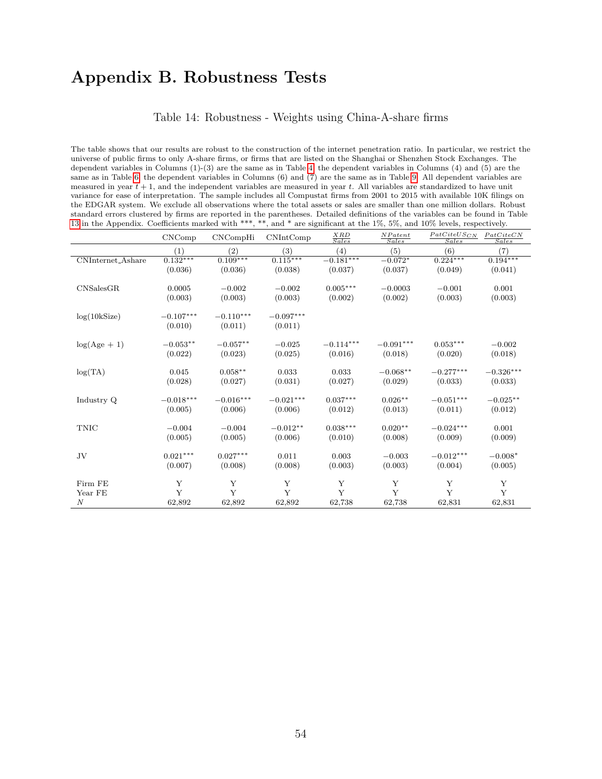# Appendix B. Robustness Tests

#### Table 14: Robustness - Weights using China-A-share firms

The table shows that our results are robust to the construction of the internet penetration ratio. In particular, we restrict the universe of public firms to only A-share firms, or firms that are listed on the Shanghai or Shenzhen Stock Exchanges. The dependent variables in Columns (1)-(3) are the same as in Table [4;](#page-38-0) the dependent variables in Columns (4) and (5) are the same as in Table [6;](#page-40-0) the dependent variables in Columns (6) and (7) are the same as in Table [9.](#page-43-0) All dependent variables are measured in year  $t + 1$ , and the independent variables are measured in year t. All variables are standardized to have unit variance for ease of interpretation. The sample includes all Compustat firms from 2001 to 2015 with available 10K filings on the EDGAR system. We exclude all observations where the total assets or sales are smaller than one million dollars. Robust standard errors clustered by firms are reported in the parentheses. Detailed definitions of the variables can be found in Table [13](#page-51-0) in the Appendix. Coefficients marked with \*\*\*, \*\*, and \* are significant at the 1%, 5%, and 10% levels, respectively.

|                   | CNComp      | CNCompHi          | CNIntComp   | $\frac{XRD}{Sales}$ | NP at ent<br>Sales | $PatC \underline{iteUS_{CN}}$<br>Sales | PatCiteCN<br>Sales |
|-------------------|-------------|-------------------|-------------|---------------------|--------------------|----------------------------------------|--------------------|
|                   | (1)         | $\left( 2\right)$ | (3)         | (4)                 | (5)                | (6)                                    | (7)                |
| CNInternet_Ashare | $0.132***$  | $0.109***$        | $0.115***$  | $-0.181***$         | $-0.072*$          | $0.224***$                             | $0.194***$         |
|                   | (0.036)     | (0.036)           | (0.038)     | (0.037)             | (0.037)            | (0.049)                                | (0.041)            |
|                   |             |                   |             |                     |                    |                                        |                    |
| <b>CNSalesGR</b>  | 0.0005      | $-0.002$          | $-0.002$    | $0.005***$          | $-0.0003$          | $-0.001$                               | 0.001              |
|                   | (0.003)     | (0.003)           | (0.003)     | (0.002)             | (0.002)            | (0.003)                                | (0.003)            |
| log(10kSize)      | $-0.107***$ | $-0.110***$       | $-0.097***$ |                     |                    |                                        |                    |
|                   | (0.010)     | (0.011)           | (0.011)     |                     |                    |                                        |                    |
|                   |             |                   |             |                     |                    |                                        |                    |
| $log(Age + 1)$    | $-0.053**$  | $-0.057**$        | $-0.025$    | $-0.114***$         | $-0.091***$        | $0.053***$                             | $-0.002$           |
|                   | (0.022)     | (0.023)           | (0.025)     | (0.016)             | (0.018)            | (0.020)                                | (0.018)            |
|                   |             |                   |             |                     |                    |                                        |                    |
| log(TA)           | 0.045       | $0.058**$         | 0.033       | 0.033               | $-0.068**$         | $-0.277***$                            | $-0.326***$        |
|                   | (0.028)     | (0.027)           | (0.031)     | (0.027)             | (0.029)            | (0.033)                                | (0.033)            |
|                   |             |                   |             |                     |                    |                                        |                    |
| Industry Q        | $-0.018***$ | $-0.016***$       | $-0.021***$ | $0.037***$          | $0.026**$          | $-0.051***$                            | $-0.025**$         |
|                   | (0.005)     | (0.006)           | (0.006)     | (0.012)             | (0.013)            | (0.011)                                | (0.012)            |
| <b>TNIC</b>       | $-0.004$    | $-0.004$          | $-0.012**$  | $0.038***$          | $0.020**$          | $-0.024***$                            | 0.001              |
|                   | (0.005)     | (0.005)           | (0.006)     | (0.010)             | (0.008)            | (0.009)                                | (0.009)            |
|                   |             |                   |             |                     |                    |                                        |                    |
| JV                | $0.021***$  | $0.027***$        | 0.011       | 0.003               | $-0.003$           | $-0.012***$                            | $-0.008*$          |
|                   | (0.007)     | (0.008)           | (0.008)     | (0.003)             | (0.003)            | (0.004)                                | (0.005)            |
|                   |             |                   |             |                     |                    |                                        |                    |
| Firm FE           | Y           | Y                 | Y           | Y                   | Y                  | Y                                      | Y                  |
| Year FE           | Y           | Y                 | Y           | Y                   | Y                  | Y                                      | Y                  |
| $\boldsymbol{N}$  | 62,892      | 62,892            | 62,892      | 62,738              | 62,738             | 62,831                                 | 62,831             |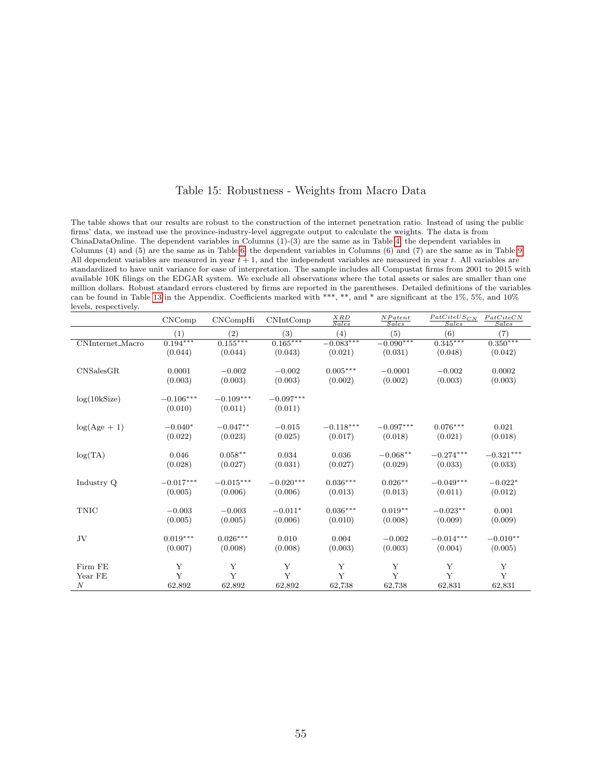## Table 15: Robustness - Weights from Macro Data

The table shows that our results are robust to the construction of the internet penetration ratio. Instead of using the public firms' data, we instead use the province-industry-level aggregate output to calculate the weights. The data is from ChinaDataOnline. The dependent variables in Columns (1)-(3) are the same as in Table [4;](#page-38-0) the dependent variables in Columns (4) and (5) are the same as in Table [6;](#page-40-0) the dependent variables in Columns (6) and (7) are the same as in Table [9.](#page-43-0) All dependent variables are measured in year  $t + 1$ , and the independent variables are measured in year t. All variables are standardized to have unit variance for ease of interpretation. The sample includes all Compustat firms from 2001 to 2015 with available 10K filings on the EDGAR system. We exclude all observations where the total assets or sales are smaller than one million dollars. Robust standard errors clustered by firms are reported in the parentheses. Detailed definitions of the variables can be found in Table [13](#page-51-0) in the Appendix. Coefficients marked with \*\*\*, \*\*, and \* are significant at the 1%, 5%, and 10% levels, respectively.

|                  | CNComp          | CNCompHi    | CNIntComp   | $\frac{XRD}{Sales}$ | NP at ent<br><i>Sales</i> | $PatCiteUS_{CN}$<br>Sales | PatCiteCN<br><b>Sales</b> |
|------------------|-----------------|-------------|-------------|---------------------|---------------------------|---------------------------|---------------------------|
|                  | (1)             | (2)         | (3)         | (4)                 | (5)                       | (6)                       | (7)                       |
| CNInternet_Macro | $0.194***$      | $0.155***$  | $0.165***$  | $-0.083***$         | $-0.090***$               | $0.345***$                | $0.350***$                |
|                  | (0.044)         | (0.044)     | (0.043)     | (0.021)             | (0.031)                   | (0.048)                   | (0.042)                   |
|                  |                 |             |             |                     |                           |                           |                           |
| CNSalesGR        | 0.0001          | $-0.002$    | $-0.002$    | $0.005^{***}\,$     | $-0.0001$                 | $-0.002$                  | 0.0002                    |
|                  | (0.003)         | (0.003)     | (0.003)     | (0.002)             | (0.002)                   | (0.003)                   | (0.003)                   |
| log(10kSize)     | $-0.106***$     | $-0.109***$ | $-0.097***$ |                     |                           |                           |                           |
|                  | (0.010)         | (0.011)     | (0.011)     |                     |                           |                           |                           |
|                  |                 |             |             |                     |                           |                           |                           |
| $log(Age + 1)$   | $-0.040*$       | $-0.047**$  | $-0.015$    | $-0.118***$         | $-0.097***$               | $0.076***$                | 0.021                     |
|                  | (0.022)         | (0.023)     | (0.025)     | (0.017)             | (0.018)                   | (0.021)                   | (0.018)                   |
|                  |                 |             |             |                     |                           |                           |                           |
| log(TA)          | 0.046           | $0.058***$  | 0.034       | 0.036               | $-0.068**$                | $-0.274***$               | $-0.321***$               |
|                  | (0.028)         | (0.027)     | (0.031)     | (0.027)             | (0.029)                   | (0.033)                   | (0.033)                   |
|                  | $-0.017***$     | $-0.015***$ | $-0.020***$ | $0.036***$          | $0.026**$                 | $-0.049***$               | $-0.022*$                 |
| Industry Q       |                 |             |             |                     |                           |                           |                           |
|                  | (0.005)         | (0.006)     | (0.006)     | (0.013)             | (0.013)                   | (0.011)                   | (0.012)                   |
| <b>TNIC</b>      | $-0.003$        | $-0.003$    | $-0.011*$   | $0.036***$          | $0.019**$                 | $-0.023**$                | 0.001                     |
|                  | (0.005)         | (0.005)     | (0.006)     | (0.010)             | (0.008)                   | (0.009)                   | (0.009)                   |
|                  |                 |             |             |                     |                           |                           |                           |
| JV               | $0.019^{***}\,$ | $0.026***$  | 0.010       | 0.004               | $-0.002$                  | $-0.014***$               | $-0.010**$                |
|                  | (0.007)         | (0.008)     | (0.008)     | (0.003)             | (0.003)                   | (0.004)                   | (0.005)                   |
|                  |                 |             |             |                     |                           |                           |                           |
| Firm FE          | Y               | Y           | Y           | Y                   | Y                         | Y                         | Y                         |
| Year FE          | Y               | Y           | Y           | Y                   | Y                         | Y                         | Y                         |
| $\boldsymbol{N}$ | 62,892          | 62,892      | 62,892      | 62,738              | 62,738                    | 62,831                    | 62,831                    |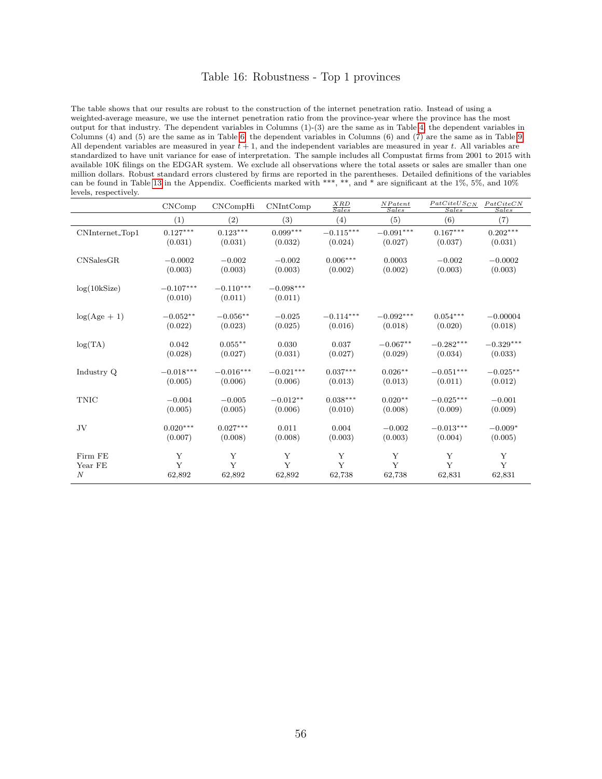### Table 16: Robustness - Top 1 provinces

The table shows that our results are robust to the construction of the internet penetration ratio. Instead of using a weighted-average measure, we use the internet penetration ratio from the province-year where the province has the most output for that industry. The dependent variables in Columns (1)-(3) are the same as in Table [4;](#page-38-0) the dependent variables in Columns (4) and (5) are the same as in Table [6;](#page-40-0) the dependent variables in Columns (6) and (7) are the same as in Table [9.](#page-43-0) All dependent variables are measured in year  $t + 1$ , and the independent variables are measured in year t. All variables are standardized to have unit variance for ease of interpretation. The sample includes all Compustat firms from 2001 to 2015 with available 10K filings on the EDGAR system. We exclude all observations where the total assets or sales are smaller than one million dollars. Robust standard errors clustered by firms are reported in the parentheses. Detailed definitions of the variables can be found in Table [13](#page-51-0) in the Appendix. Coefficients marked with \*\*\*, \*\*, and \* are significant at the 1%, 5%, and 10% levels, respectively.

|                  | CNComp                 | CNCompHi               | CNIntComp              | $rac{XRD}{Sales}$ | NP at ent<br>Sales | $PatCiteUS_{CN}$<br>Sales | PatCiteCN<br><b>Sales</b> |
|------------------|------------------------|------------------------|------------------------|-------------------|--------------------|---------------------------|---------------------------|
|                  | (1)                    | (2)                    | (3)                    | (4)               | (5)                | (6)                       | (7)                       |
| CNInternet_Top1  | $0.127***$             | $0.123^{\ast\ast\ast}$ | $0.099***$             | $-0.115***$       | $-0.091***$        | $0.167***$                | $0.202***$                |
|                  | (0.031)                | (0.031)                | (0.032)                | (0.024)           | (0.027)            | (0.037)                   | (0.031)                   |
| CNSalesGR        | $-0.0002$              | $-0.002$               | $-0.002$               | $0.006***$        | 0.0003             | $-0.002$                  | $-0.0002$                 |
|                  | (0.003)                | (0.003)                | (0.003)                | (0.002)           | (0.002)            | (0.003)                   | (0.003)                   |
| log(10kSize)     | $-0.107***$<br>(0.010) | $-0.110***$<br>(0.011) | $-0.098***$<br>(0.011) |                   |                    |                           |                           |
| $log(Age + 1)$   | $-0.052**$             | $-0.056**$             | $-0.025$               | $-0.114***$       | $-0.092***$        | $0.054***$                | $-0.00004$                |
|                  | (0.022)                | (0.023)                | (0.025)                | (0.016)           | (0.018)            | (0.020)                   | (0.018)                   |
| log(TA)          | 0.042                  | $0.055***$             | 0.030                  | 0.037             | $-0.067**$         | $-0.282***$               | $-0.329***$               |
|                  | (0.028)                | (0.027)                | (0.031)                | (0.027)           | (0.029)            | (0.034)                   | (0.033)                   |
| Industry Q       | $-0.018***$            | $-0.016***$            | $-0.021***$            | $0.037***$        | $0.026**$          | $-0.051***$               | $-0.025**$                |
|                  | (0.005)                | (0.006)                | (0.006)                | (0.013)           | (0.013)            | (0.011)                   | (0.012)                   |
| <b>TNIC</b>      | $-0.004$               | $-0.005$               | $-0.012**$             | $0.038***$        | $0.020**$          | $-0.025***$               | $-0.001$                  |
|                  | (0.005)                | (0.005)                | (0.006)                | (0.010)           | (0.008)            | (0.009)                   | (0.009)                   |
| JV               | $0.020***$             | $0.027***$             | 0.011                  | 0.004             | $-0.002$           | $-0.013***$               | $-0.009*$                 |
|                  | (0.007)                | (0.008)                | (0.008)                | (0.003)           | (0.003)            | (0.004)                   | (0.005)                   |
| Firm FE          | Y                      | Y                      | Y                      | Y                 | Y                  | Y                         | Y                         |
| Year FE          | Y                      | Y                      | Y                      | Y                 | Y                  | Y                         | Y                         |
| $\boldsymbol{N}$ | 62,892                 | 62,892                 | 62,892                 | 62,738            | 62,738             | 62,831                    | 62,831                    |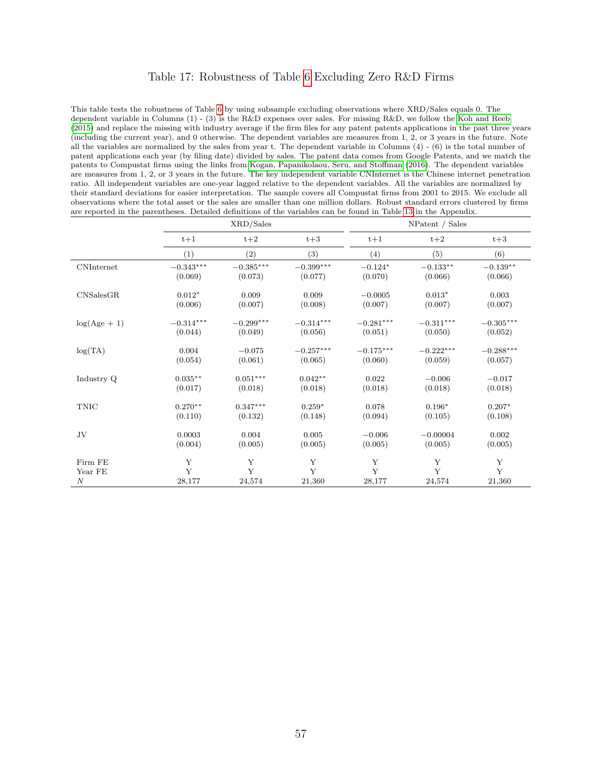### Table 17: Robustness of Table [6](#page-40-0) Excluding Zero R&D Firms

This table tests the robustness of Table [6](#page-40-0) by using subsample excluding observations where XRD/Sales equals 0. The dependent variable in Columns (1) - (3) is the R&D expenses over sales. For missing R&D, we follow the [Koh and Reeb](#page-34-8) [\(2015\)](#page-34-8) and replace the missing with industry average if the firm files for any patent patents applications in the past three years (including the current year), and 0 otherwise. The dependent variables are measures from 1, 2, or 3 years in the future. Note all the variables are normalized by the sales from year t. The dependent variable in Columns  $(4) - (6)$  is the total number of patent applications each year (by filing date) divided by sales. The patent data comes from Google Patents, and we match the patents to Compustat firms using the links from [Kogan, Papanikolaou, Seru, and Stoffman](#page-34-9) [\(2016\)](#page-34-9). The dependent variables are measures from 1, 2, or 3 years in the future. The key independent variable CNInternet is the Chinese internet penetration ratio. All independent variables are one-year lagged relative to the dependent variables. All the variables are normalized by their standard deviations for easier interpretation. The sample covers all Compustat firms from 2001 to 2015. We exclude all observations where the total asset or the sales are smaller than one million dollars. Robust standard errors clustered by firms are reported in the parentheses. Detailed definitions of the variables can be found in Table [13](#page-51-0) in the Appendix.

|                   |                  | XRD/Sales        |             |             | NPatent / Sales |             |
|-------------------|------------------|------------------|-------------|-------------|-----------------|-------------|
|                   | $t+1$            | $t+2$            | $t+3$       | $t+1$       | $t+2$           | $t+3$       |
|                   | (1)              | (2)              | (3)         | (4)         | (5)             | (6)         |
| <b>CNInternet</b> | $-0.343***$      | $-0.385^{***}\,$ | $-0.399***$ | $-0.124*$   | $-0.133**$      | $-0.139**$  |
|                   | (0.069)          | (0.073)          | (0.077)     | (0.070)     | (0.066)         | (0.066)     |
| CNSalesGR         | $0.012*$         | 0.009            | 0.009       | $-0.0005$   | $0.013*$        | 0.003       |
|                   | (0.006)          | (0.007)          | (0.008)     | (0.007)     | (0.007)         | (0.007)     |
| $log(Age + 1)$    | $-0.314^{***}\,$ | $-0.299***$      | $-0.314***$ | $-0.281***$ | $-0.311***$     | $-0.305***$ |
|                   | (0.044)          | (0.049)          | (0.056)     | (0.051)     | (0.050)         | (0.052)     |
| log(TA)           | 0.004            | $-0.075$         | $-0.257***$ | $-0.175***$ | $-0.222***$     | $-0.288***$ |
|                   | (0.054)          | (0.061)          | (0.065)     | (0.060)     | (0.059)         | (0.057)     |
| Industry Q        | $0.035**$        | $0.051***$       | $0.042**$   | 0.022       | $-0.006$        | $-0.017$    |
|                   | (0.017)          | (0.018)          | (0.018)     | (0.018)     | (0.018)         | (0.018)     |
| <b>TNIC</b>       | $0.270**$        | $0.347***$       | $0.259*$    | 0.078       | $0.196*$        | $0.207*$    |
|                   | (0.110)          | (0.132)          | (0.148)     | (0.094)     | (0.105)         | (0.108)     |
| JV                | 0.0003           | 0.004            | 0.005       | $-0.006$    | $-0.00004$      | 0.002       |
|                   | (0.004)          | (0.005)          | (0.005)     | (0.005)     | (0.005)         | (0.005)     |
| Firm FE           | Y                | Y                | Y           | Y           | Y               | Y           |
| Year FE           | Y                | $\mathbf{Y}$     | Y           | Y           | Y               | $\mathbf Y$ |
| $\boldsymbol{N}$  | 28,177           | 24,574           | 21,360      | 28,177      | 24,574          | 21,360      |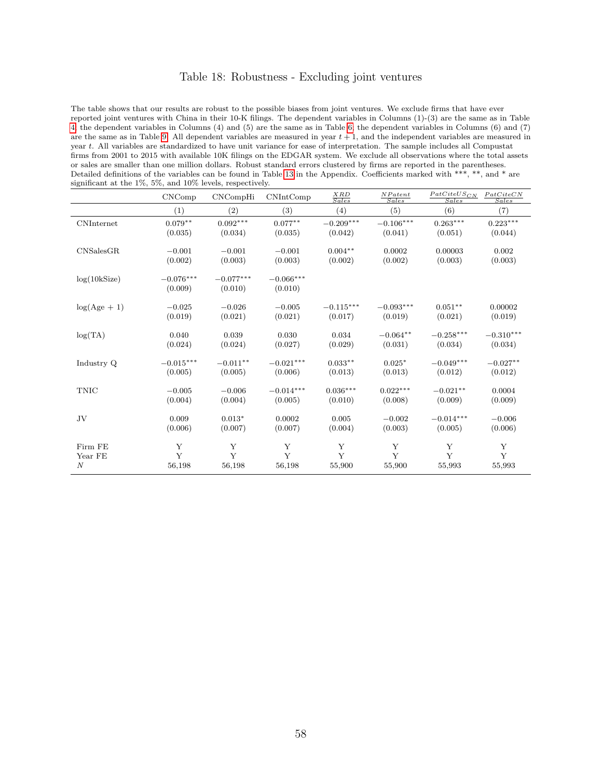## Table 18: Robustness - Excluding joint ventures

The table shows that our results are robust to the possible biases from joint ventures. We exclude firms that have ever reported joint ventures with China in their 10-K filings. The dependent variables in Columns (1)-(3) are the same as in Table [4;](#page-38-0) the dependent variables in Columns (4) and (5) are the same as in Table [6;](#page-40-0) the dependent variables in Columns (6) and (7) are the same as in Table [9.](#page-43-0) All dependent variables are measured in year  $t + 1$ , and the independent variables are measured in year t. All variables are standardized to have unit variance for ease of interpretation. The sample includes all Compustat firms from 2001 to 2015 with available 10K filings on the EDGAR system. We exclude all observations where the total assets or sales are smaller than one million dollars. Robust standard errors clustered by firms are reported in the parentheses. Detailed definitions of the variables can be found in Table [13](#page-51-0) in the Appendix. Coefficients marked with \*\*\*, \*\*, and \* are significant at the 1%, 5%, and 10% levels, respectively.

|                  | CNComp                 | CNCompHi               | CNIntComp              | $\frac{XRD}{Sales}$ | NP at ent<br>Sales | $PatCiteUS_{CN}$<br>Sales | PatCiteCN<br><i>Sales</i> |
|------------------|------------------------|------------------------|------------------------|---------------------|--------------------|---------------------------|---------------------------|
|                  | (1)                    | $\left( 2\right)$      | (3)                    | (4)                 | (5)                | (6)                       | (7)                       |
| CNInternet       | $0.079**$              | $0.092***$             | $0.077**$              | $-0.209***$         | $-0.106***$        | $0.263***$                | $0.223***$                |
|                  | (0.035)                | (0.034)                | (0.035)                | (0.042)             | (0.041)            | (0.051)                   | (0.044)                   |
| CNSalesGR        | $-0.001$               | $-0.001$               | $-0.001$               | $0.004**$           | 0.0002             | 0.00003                   | 0.002                     |
|                  | (0.002)                | (0.003)                | (0.003)                | (0.002)             | (0.002)            | (0.003)                   | (0.003)                   |
| log(10kSize)     | $-0.076***$<br>(0.009) | $-0.077***$<br>(0.010) | $-0.066***$<br>(0.010) |                     |                    |                           |                           |
| $log(Age + 1)$   | $-0.025$               | $-0.026$               | $-0.005$               | $-0.115***$         | $-0.093***$        | $0.051**$                 | 0.00002                   |
|                  | (0.019)                | (0.021)                | (0.021)                | (0.017)             | (0.019)            | (0.021)                   | (0.019)                   |
| log(TA)          | 0.040                  | 0.039                  | 0.030                  | 0.034               | $-0.064**$         | $-0.258***$               | $-0.310***$               |
|                  | (0.024)                | (0.024)                | (0.027)                | (0.029)             | (0.031)            | (0.034)                   | (0.034)                   |
| Industry Q       | $-0.015***$            | $-0.011**$             | $-0.021***$            | $0.033**$           | $0.025*$           | $-0.049***$               | $-0.027**$                |
|                  | (0.005)                | (0.005)                | (0.006)                | (0.013)             | (0.013)            | (0.012)                   | (0.012)                   |
| <b>TNIC</b>      | $-0.005$               | $-0.006$               | $-0.014***$            | $0.036***$          | $0.022***$         | $-0.021**$                | 0.0004                    |
|                  | (0.004)                | (0.004)                | (0.005)                | (0.010)             | (0.008)            | (0.009)                   | (0.009)                   |
| JV               | 0.009                  | $0.013*$               | 0.0002                 | 0.005               | $-0.002$           | $-0.014***$               | $-0.006$                  |
|                  | (0.006)                | (0.007)                | (0.007)                | (0.004)             | (0.003)            | (0.005)                   | (0.006)                   |
| Firm FE          | Y                      | Y                      | Y                      | Y                   | Y                  | Y                         | Y                         |
| Year FE          | Y                      | Y                      | Y                      | Y                   | Y                  | Y                         | Y                         |
| $\boldsymbol{N}$ | 56,198                 | 56,198                 | 56,198                 | 55,900              | 55,900             | 55,993                    | 55,993                    |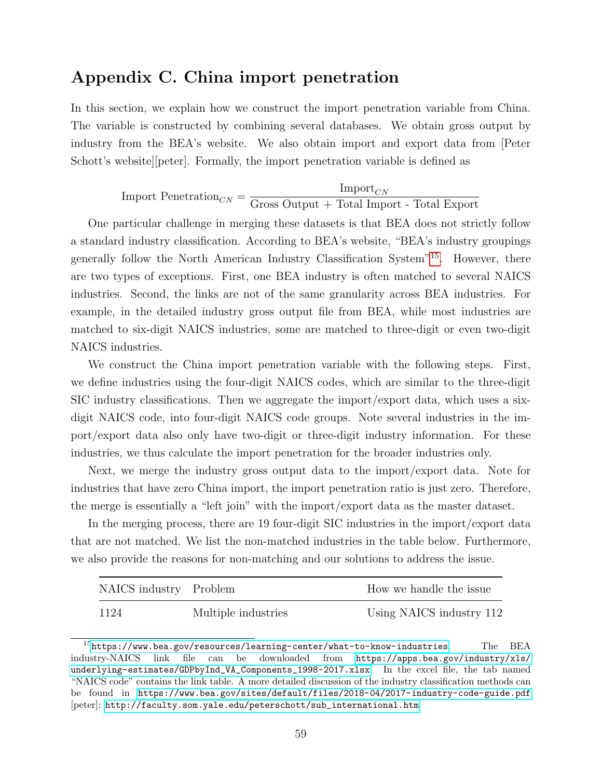# <span id="page-59-0"></span>Appendix C. China import penetration

In this section, we explain how we construct the import penetration variable from China. The variable is constructed by combining several databases. We obtain gross output by industry from the BEA's website. We also obtain import and export data from [Peter Schott's website][peter]. Formally, the import penetration variable is defined as

> Import Penetration $_{CN}$  =  $\text{Import}_{CN}$ Gross Output + Total Import - Total Export

One particular challenge in merging these datasets is that BEA does not strictly follow a standard industry classification. According to BEA's website, "BEA's industry groupings generally follow the North American Industry Classification System"[15](#page-59-1). However, there are two types of exceptions. First, one BEA industry is often matched to several NAICS industries. Second, the links are not of the same granularity across BEA industries. For example, in the detailed industry gross output file from BEA, while most industries are matched to six-digit NAICS industries, some are matched to three-digit or even two-digit NAICS industries.

We construct the China import penetration variable with the following steps. First, we define industries using the four-digit NAICS codes, which are similar to the three-digit SIC industry classifications. Then we aggregate the import/export data, which uses a sixdigit NAICS code, into four-digit NAICS code groups. Note several industries in the import/export data also only have two-digit or three-digit industry information. For these industries, we thus calculate the import penetration for the broader industries only.

Next, we merge the industry gross output data to the import/export data. Note for industries that have zero China import, the import penetration ratio is just zero. Therefore, the merge is essentially a "left join" with the import/export data as the master dataset.

In the merging process, there are 19 four-digit SIC industries in the import/export data that are not matched. We list the non-matched industries in the table below. Furthermore, we also provide the reasons for non-matching and our solutions to address the issue.

| NAICS industry Problem |                     | How we handle the issue  |
|------------------------|---------------------|--------------------------|
| 1124                   | Multiple industries | Using NAICS industry 112 |

<span id="page-59-1"></span> $15$ <https://www.bea.gov/resources/learning-center/what-to-know-industries>. The BEA industry-NAICS link file can be downloaded from [https://apps.bea.gov/industry/xls/](https://apps.bea.gov/industry/xls/underlying-estimates/GDPbyInd_VA_Components_1998-2017.xlsx) [underlying-estimates/GDPbyInd\\_VA\\_Components\\_1998-2017.xlsx](https://apps.bea.gov/industry/xls/underlying-estimates/GDPbyInd_VA_Components_1998-2017.xlsx). In the excel file, the tab named "NAICS code" contains the link table. A more detailed discussion of the industry classification methods can be found in <https://www.bea.gov/sites/default/files/2018-04/2017-industry-code-guide.pdf> [peter]: [http://faculty.som.yale.edu/peterschott/sub\\_international.htm](http://faculty.som.yale.edu/peterschott/sub_international.htm)